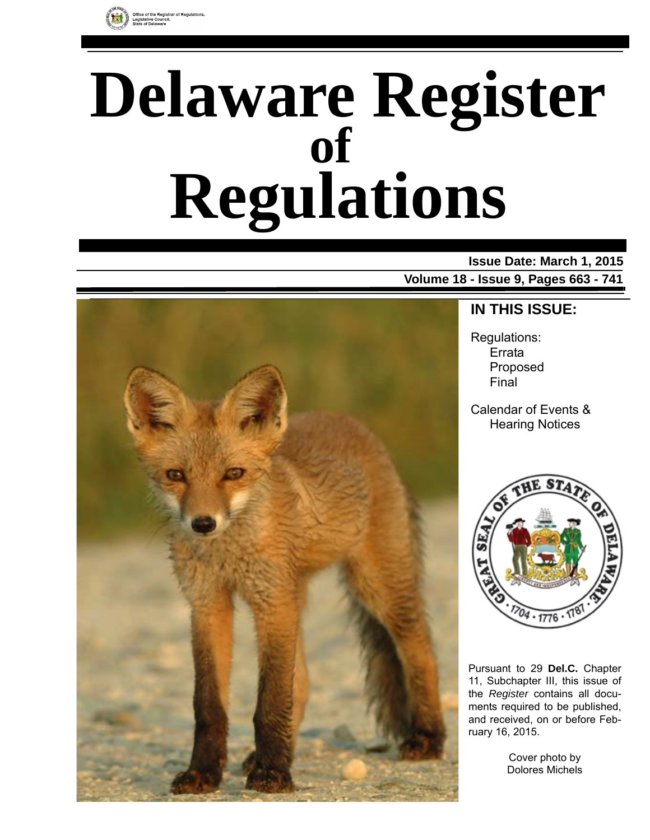

# **Delaware Register Regulations of**

### **Issue Date: March 1, 2015**

**Volume 18 - Issue 9, Pages 663 - 741**



### **IN THIS ISSUE:**

Regulations: Errata Proposed Final

Calendar of Events & Hearing Notices



Pursuant to 29 **Del.C.** Chapter 11, Subchapter III, this issue of the *Register* contains all documents required to be published, and received, on or before February 16, 2015.

> Cover photo by Dolores Michels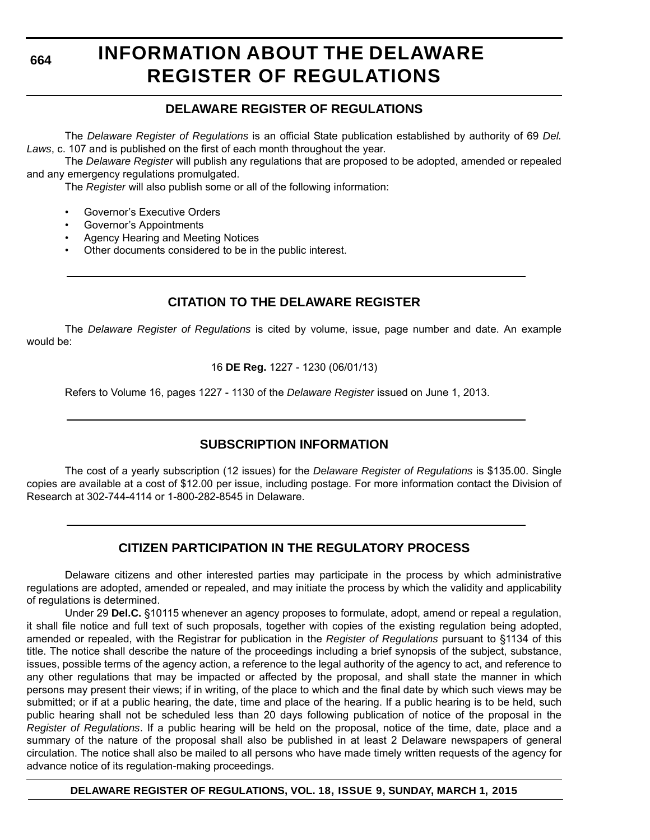# **INFORMATION ABOUT THE DELAWARE REGISTER OF REGULATIONS**

### **DELAWARE REGISTER OF REGULATIONS**

The *Delaware Register of Regulations* is an official State publication established by authority of 69 *Del. Laws*, c. 107 and is published on the first of each month throughout the year.

The *Delaware Register* will publish any regulations that are proposed to be adopted, amended or repealed and any emergency regulations promulgated.

The *Register* will also publish some or all of the following information:

- Governor's Executive Orders
- Governor's Appointments
- Agency Hearing and Meeting Notices
- Other documents considered to be in the public interest.

### **CITATION TO THE DELAWARE REGISTER**

The *Delaware Register of Regulations* is cited by volume, issue, page number and date. An example would be:

16 **DE Reg.** 1227 - 1230 (06/01/13)

Refers to Volume 16, pages 1227 - 1130 of the *Delaware Register* issued on June 1, 2013.

### **SUBSCRIPTION INFORMATION**

The cost of a yearly subscription (12 issues) for the *Delaware Register of Regulations* is \$135.00. Single copies are available at a cost of \$12.00 per issue, including postage. For more information contact the Division of Research at 302-744-4114 or 1-800-282-8545 in Delaware.

### **CITIZEN PARTICIPATION IN THE REGULATORY PROCESS**

Delaware citizens and other interested parties may participate in the process by which administrative regulations are adopted, amended or repealed, and may initiate the process by which the validity and applicability of regulations is determined.

Under 29 **Del.C.** §10115 whenever an agency proposes to formulate, adopt, amend or repeal a regulation, it shall file notice and full text of such proposals, together with copies of the existing regulation being adopted, amended or repealed, with the Registrar for publication in the *Register of Regulations* pursuant to §1134 of this title. The notice shall describe the nature of the proceedings including a brief synopsis of the subject, substance, issues, possible terms of the agency action, a reference to the legal authority of the agency to act, and reference to any other regulations that may be impacted or affected by the proposal, and shall state the manner in which persons may present their views; if in writing, of the place to which and the final date by which such views may be submitted; or if at a public hearing, the date, time and place of the hearing. If a public hearing is to be held, such public hearing shall not be scheduled less than 20 days following publication of notice of the proposal in the *Register of Regulations*. If a public hearing will be held on the proposal, notice of the time, date, place and a summary of the nature of the proposal shall also be published in at least 2 Delaware newspapers of general circulation. The notice shall also be mailed to all persons who have made timely written requests of the agency for advance notice of its regulation-making proceedings.

**DELAWARE REGISTER OF REGULATIONS, VOL. 18, ISSUE 9, SUNDAY, MARCH 1, 2015**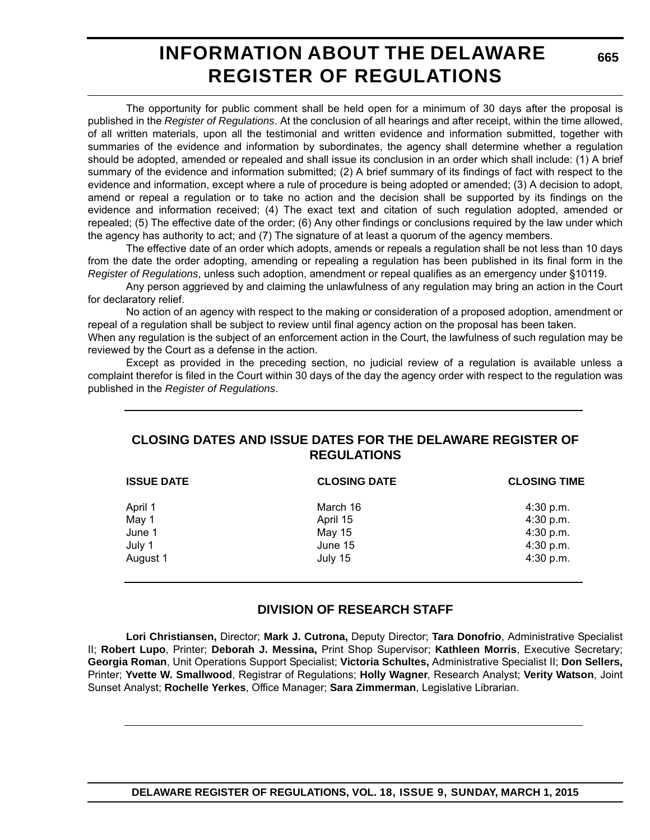# **INFORMATION ABOUT THE DELAWARE REGISTER OF REGULATIONS**

The opportunity for public comment shall be held open for a minimum of 30 days after the proposal is published in the *Register of Regulations*. At the conclusion of all hearings and after receipt, within the time allowed, of all written materials, upon all the testimonial and written evidence and information submitted, together with summaries of the evidence and information by subordinates, the agency shall determine whether a regulation should be adopted, amended or repealed and shall issue its conclusion in an order which shall include: (1) A brief summary of the evidence and information submitted; (2) A brief summary of its findings of fact with respect to the evidence and information, except where a rule of procedure is being adopted or amended; (3) A decision to adopt, amend or repeal a regulation or to take no action and the decision shall be supported by its findings on the evidence and information received; (4) The exact text and citation of such regulation adopted, amended or repealed; (5) The effective date of the order; (6) Any other findings or conclusions required by the law under which the agency has authority to act; and (7) The signature of at least a quorum of the agency members.

The effective date of an order which adopts, amends or repeals a regulation shall be not less than 10 days from the date the order adopting, amending or repealing a regulation has been published in its final form in the *Register of Regulations*, unless such adoption, amendment or repeal qualifies as an emergency under §10119.

Any person aggrieved by and claiming the unlawfulness of any regulation may bring an action in the Court for declaratory relief.

No action of an agency with respect to the making or consideration of a proposed adoption, amendment or repeal of a regulation shall be subject to review until final agency action on the proposal has been taken.

When any regulation is the subject of an enforcement action in the Court, the lawfulness of such regulation may be reviewed by the Court as a defense in the action.

Except as provided in the preceding section, no judicial review of a regulation is available unless a complaint therefor is filed in the Court within 30 days of the day the agency order with respect to the regulation was published in the *Register of Regulations*.

### **CLOSING DATES AND ISSUE DATES FOR THE DELAWARE REGISTER OF REGULATIONS**

| <b>ISSUE DATE</b> | <b>CLOSING DATE</b> | <b>CLOSING TIME</b> |  |
|-------------------|---------------------|---------------------|--|
| April 1           | March 16            | $4:30$ p.m.         |  |
| May 1             | April 15            | 4:30 p.m.           |  |
| June 1            | May 15              | 4:30 p.m.           |  |
| July 1            | June 15             | 4:30 p.m.           |  |
| August 1          | July 15             | 4:30 p.m.           |  |

### **DIVISION OF RESEARCH STAFF**

**Lori Christiansen,** Director; **Mark J. Cutrona,** Deputy Director; **Tara Donofrio**, Administrative Specialist II; **Robert Lupo**, Printer; **Deborah J. Messina,** Print Shop Supervisor; **Kathleen Morris**, Executive Secretary; **Georgia Roman**, Unit Operations Support Specialist; **Victoria Schultes,** Administrative Specialist II; **Don Sellers,** Printer; **Yvette W. Smallwood**, Registrar of Regulations; **Holly Wagner**, Research Analyst; **Verity Watson**, Joint Sunset Analyst; **Rochelle Yerkes**, Office Manager; **Sara Zimmerman**, Legislative Librarian.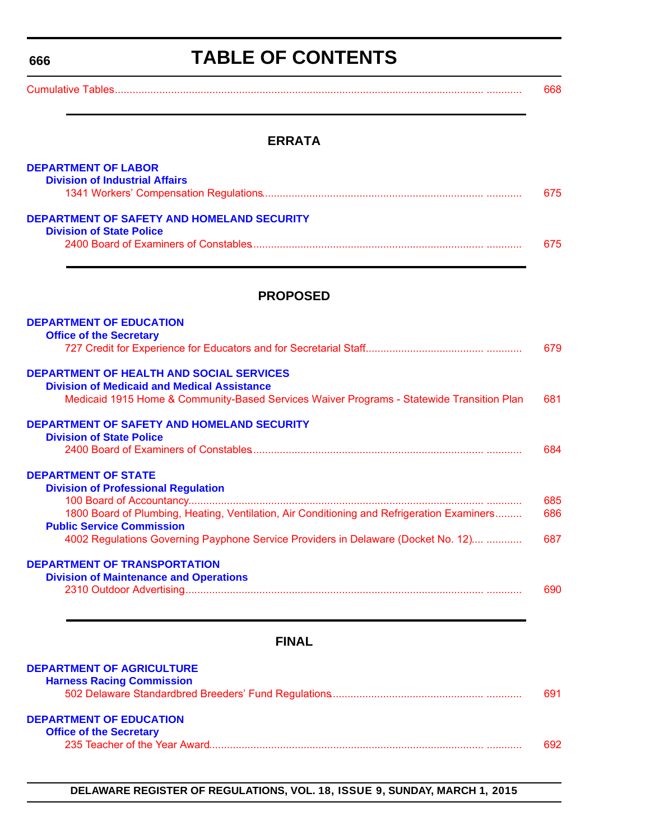# **TABLE OF CONTENTS**

<span id="page-3-0"></span>

| $O_{\text{model}}$ is the set of $T$ and $T$ |  |
|----------------------------------------------|--|
|----------------------------------------------|--|

#### **ERRATA**

| <b>DEPARTMENT OF LABOR</b>                 |      |
|--------------------------------------------|------|
| <b>Division of Industrial Affairs</b>      |      |
|                                            | 675. |
| DEPARTMENT OF SAFETY AND HOMELAND SECURITY |      |
| <b>Division of State Police</b>            |      |
|                                            | 675. |
|                                            |      |

#### **PROPOSED**

| <b>DEPARTMENT OF EDUCATION</b><br><b>Office of the Secretary</b>                           |     |
|--------------------------------------------------------------------------------------------|-----|
|                                                                                            | 679 |
| <b>DEPARTMENT OF HEALTH AND SOCIAL SERVICES</b>                                            |     |
| <b>Division of Medicaid and Medical Assistance</b>                                         |     |
| Medicaid 1915 Home & Community-Based Services Waiver Programs - Statewide Transition Plan  | 681 |
| DEPARTMENT OF SAFETY AND HOMELAND SECURITY                                                 |     |
| <b>Division of State Police</b>                                                            |     |
|                                                                                            | 684 |
| <b>DEPARTMENT OF STATE</b>                                                                 |     |
| <b>Division of Professional Regulation</b>                                                 |     |
|                                                                                            | 685 |
| 1800 Board of Plumbing, Heating, Ventilation, Air Conditioning and Refrigeration Examiners | 686 |
| <b>Public Service Commission</b>                                                           |     |
| 4002 Regulations Governing Payphone Service Providers in Delaware (Docket No. 12)          | 687 |
| DEPARTMENT OF TRANSPORTATION                                                               |     |
| <b>Division of Maintenance and Operations</b>                                              |     |
|                                                                                            | 690 |
|                                                                                            |     |

### **FINAL**

### **[DEPARTMENT OF AGRICULTURE](http://desbf.delaware.gov/)**

| <b>Harness Racing Commission</b> |      |
|----------------------------------|------|
|                                  | 691. |
| <b>DEPARTMENT OF EDUCATION</b>   |      |
| <b>Office of the Secretary</b>   |      |
|                                  | 692  |

#### **DELAWARE REGISTER OF REGULATIONS, VOL. 18, ISSUE 9, SUNDAY, MARCH 1, 2015**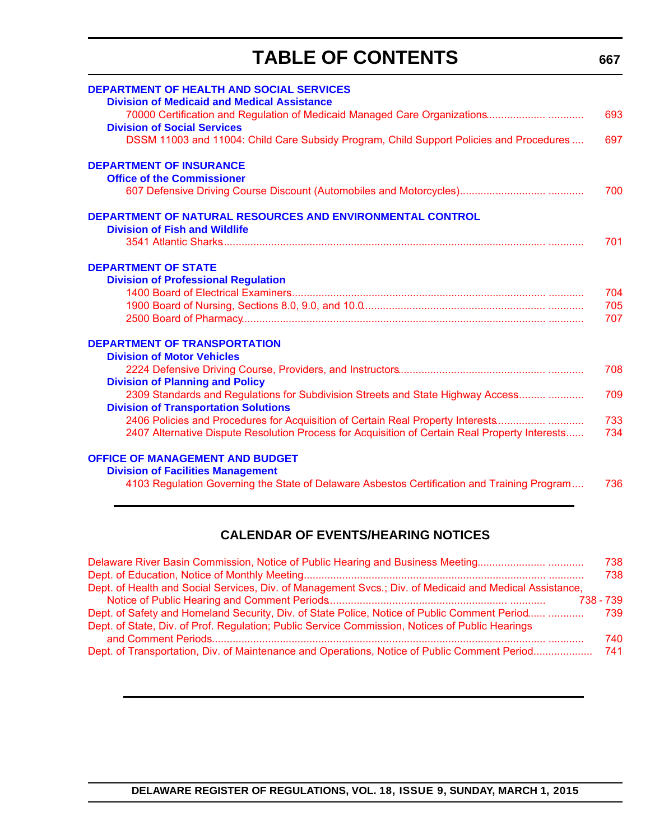# **TABLE OF CONTENTS**

<span id="page-4-0"></span>

| <b>DEPARTMENT OF HEALTH AND SOCIAL SERVICES</b><br><b>Division of Medicaid and Medical Assistance</b> |     |
|-------------------------------------------------------------------------------------------------------|-----|
| <b>Division of Social Services</b>                                                                    | 693 |
| DSSM 11003 and 11004: Child Care Subsidy Program, Child Support Policies and Procedures               | 697 |
| <b>DEPARTMENT OF INSURANCE</b>                                                                        |     |
| <b>Office of the Commissioner</b>                                                                     | 700 |
|                                                                                                       |     |
| <b>DEPARTMENT OF NATURAL RESOURCES AND ENVIRONMENTAL CONTROL</b>                                      |     |
| <b>Division of Fish and Wildlife</b>                                                                  | 701 |
|                                                                                                       |     |
| <b>DEPARTMENT OF STATE</b>                                                                            |     |
| <b>Division of Professional Regulation</b>                                                            |     |
|                                                                                                       | 704 |
|                                                                                                       | 705 |
|                                                                                                       | 707 |
| <b>DEPARTMENT OF TRANSPORTATION</b>                                                                   |     |
| <b>Division of Motor Vehicles</b>                                                                     |     |
|                                                                                                       | 708 |
| <b>Division of Planning and Policy</b>                                                                |     |
| 2309 Standards and Regulations for Subdivision Streets and State Highway Access                       | 709 |
| <b>Division of Transportation Solutions</b>                                                           |     |
| 2406 Policies and Procedures for Acquisition of Certain Real Property Interests                       | 733 |
| 2407 Alternative Dispute Resolution Process for Acquisition of Certain Real Property Interests        | 734 |
| <b>OFFICE OF MANAGEMENT AND BUDGET</b>                                                                |     |
| <b>Division of Facilities Management</b>                                                              |     |
| 4103 Regulation Governing the State of Delaware Asbestos Certification and Training Program           | 736 |

### **CALENDAR OF EVENTS/HEARING NOTICES**

|                                                                                                         | 738       |
|---------------------------------------------------------------------------------------------------------|-----------|
|                                                                                                         | 738       |
| Dept. of Health and Social Services, Div. of Management Svcs.; Div. of Medicaid and Medical Assistance, |           |
|                                                                                                         | 738 - 739 |
| Dept. of Safety and Homeland Security, Div. of State Police, Notice of Public Comment Period            | 739       |
| Dept. of State, Div. of Prof. Regulation; Public Service Commission, Notices of Public Hearings         |           |
|                                                                                                         | 740       |
| Dept. of Transportation, Div. of Maintenance and Operations, Notice of Public Comment Period            | 741       |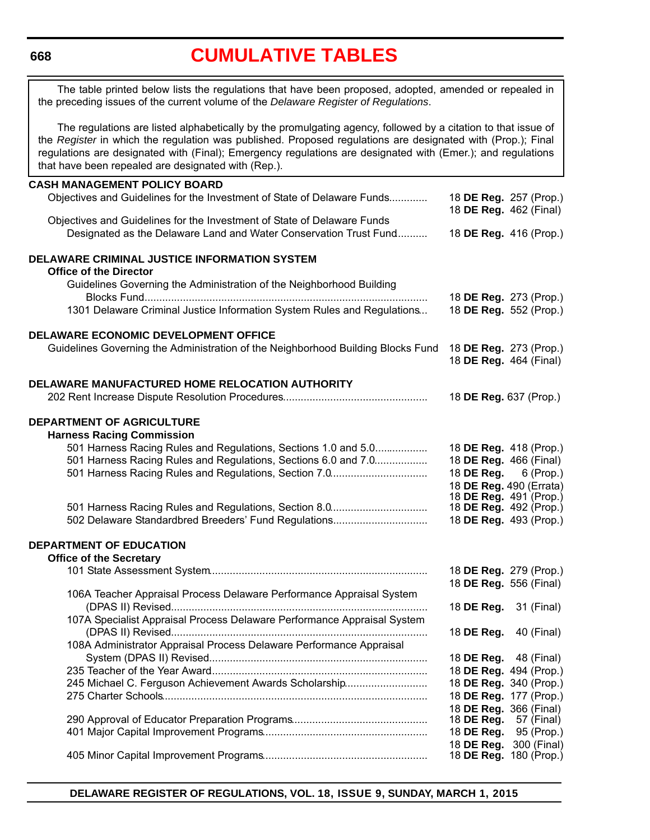# **[CUMULATIVE TABLES](#page-3-0)**

<span id="page-5-0"></span>The table printed below lists the regulations that have been proposed, adopted, amended or repealed in the preceding issues of the current volume of the *Delaware Register of Regulations*.

The regulations are listed alphabetically by the promulgating agency, followed by a citation to that issue of the *Register* in which the regulation was published. Proposed regulations are designated with (Prop.); Final regulations are designated with (Final); Emergency regulations are designated with (Emer.); and regulations that have been repealed are designated with (Rep.).

#### **CASH MANAGEMENT POLICY BOARD** Objectives and Guidelines for the Investment of State of Delaware Funds............. 18 **DE Reg.** 257 (Prop.) 18 **DE Reg.** 462 (Final) Objectives and Guidelines for the Investment of State of Delaware Funds Designated as the Delaware Land and Water Conservation Trust Fund........... 18 **DE Reg.** 416 (Prop.) **DELAWARE CRIMINAL JUSTICE INFORMATION SYSTEM Office of the Director** Guidelines Governing the Administration of the Neighborhood Building Blocks Fund................................................................................................. 18 **DE Reg.** 273 (Prop.) 1301 Delaware Criminal Justice Information System Rules and Regulations... 18 **DE Reg.** 552 (Prop.) **DELAWARE ECONOMIC DEVELOPMENT OFFICE** Guidelines Governing the Administration of the Neighborhood Building Blocks Fund 18 **DE Reg.** 273 (Prop.) 18 **DE Reg.** 464 (Final) **DELAWARE MANUFACTURED HOME RELOCATION AUTHORITY** 202 Rent Increase Dispute Resolution Procedures................................................. 18 **DE Reg.** 637 (Prop.) **DEPARTMENT OF AGRICULTURE Harness Racing Commission** 501 Harness Racing Rules and Regulations, Sections 1.0 and 5.0.................. 18 **DE Reg.** 418 (Prop.) 501 Harness Racing Rules and Regulations, Sections 6.0 and 7.0.................. 18 **DE Reg.** 466 (Final) 501 Harness Racing Rules and Regulations, Section 7.0................................. 18 **DE Reg.** 6 (Prop.) 18 **DE Reg.** 490 (Errata) 18 **DE Reg.** 491 (Prop.) 501 Harness Racing Rules and Regulations, Section 8.0............................. 502 Delaware Standardbred Breeders' Fund Regulations................................ 18 **DE Reg.** 493 (Prop.) **DEPARTMENT OF EDUCATION Office of the Secretary** 101 State Assessment System.......................................................................... 18 **DE Reg.** 279 (Prop.) 18 **DE Reg.** 556 (Final) 106A Teacher Appraisal Process Delaware Performance Appraisal System (DPAS II) Revised....................................................................................... 18 **DE Reg.** 31 (Final) 107A Specialist Appraisal Process Delaware Performance Appraisal System (DPAS II) Revised....................................................................................... 18 **DE Reg.** 40 (Final) 108A Administrator Appraisal Process Delaware Performance Appraisal System (DPAS II) Revised.......................................................................... 18 **DE Reg.** 48 (Final) 235 Teacher of the Year Award.......................................................................... 18 **DE Reg.** 494 (Prop.) 245 Michael C. Ferguson Achievement Awards Scholarship............................ 18 **DE Reg.** 340 (Prop.) 275 Charter Schools.......................................................................................... 18 **DE Reg.** 177 (Prop.) 18 **DE Reg.** 366 (Final) 290 Approval of Educator Preparation Programs.............................................. 18 **DE Reg.** 57 (Final) 401 Major Capital Improvement Programs........................................................ 18 **DE Reg.** 95 (Prop.) 18 **DE Reg.** 300 (Final)

405 Minor Capital Improvement Programs........................................................ 18 **DE Reg.** 180 (Prop.)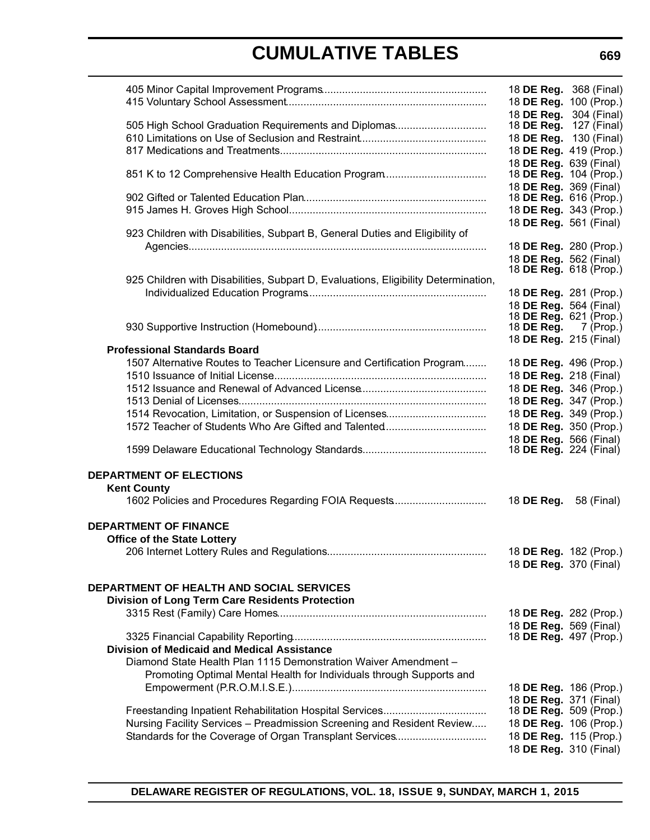|                                                                                    | 18 DE Reg. 368 (Final)                           |                        |
|------------------------------------------------------------------------------------|--------------------------------------------------|------------------------|
|                                                                                    | 18 DE Reg. 100 (Prop.)                           |                        |
| 505 High School Graduation Requirements and Diplomas                               | 18 DE Reg. 304 (Final)<br>18 DE Reg.             | 127 (Final)            |
|                                                                                    | 18 DE Reg. 130 (Final)                           |                        |
|                                                                                    | 18 DE Reg. 419 (Prop.)                           |                        |
|                                                                                    | 18 DE Reg. 639 (Final)                           |                        |
| 851 K to 12 Comprehensive Health Education Program                                 | 18 DE Reg. 104 (Prop.)                           |                        |
|                                                                                    | 18 DE Reg. 369 (Final)                           |                        |
|                                                                                    | 18 DE Reg. 616 (Prop.)                           |                        |
|                                                                                    | 18 DE Reg. 343 (Prop.)                           |                        |
|                                                                                    | 18 DE Reg. 561 (Final)                           |                        |
| 923 Children with Disabilities, Subpart B, General Duties and Eligibility of       |                                                  |                        |
|                                                                                    | 18 DE Reg. 280 (Prop.)                           | 18 DE Reg. 562 (Final) |
|                                                                                    | 18 DE Reg. 618 (Prop.)                           |                        |
| 925 Children with Disabilities, Subpart D, Evaluations, Eligibility Determination, |                                                  |                        |
|                                                                                    | 18 DE Reg. 281 (Prop.)                           |                        |
|                                                                                    | 18 DE Reg. 564 (Final)                           |                        |
|                                                                                    | 18 DE Reg. 621 (Prop.)                           |                        |
|                                                                                    | 18 <b>DE Reg.</b> 7 (Prop.)                      |                        |
| <b>Professional Standards Board</b>                                                | 18 DE Reg. 215 (Final)                           |                        |
| 1507 Alternative Routes to Teacher Licensure and Certification Program             | 18 DE Reg. 496 (Prop.)                           |                        |
|                                                                                    |                                                  | 18 DE Reg. 218 (Final) |
|                                                                                    | 18 DE Reg. 346 (Prop.)                           |                        |
|                                                                                    | 18 DE Reg. 347 (Prop.)                           |                        |
|                                                                                    | 18 DE Reg. 349 (Prop.)                           |                        |
|                                                                                    | 18 DE Reg. 350 (Prop.)                           |                        |
|                                                                                    | 18 DE Reg. 566 (Final)                           |                        |
|                                                                                    | 18 <b>DE Reg.</b> 224 (Final)                    |                        |
| <b>DEPARTMENT OF ELECTIONS</b>                                                     |                                                  |                        |
| <b>Kent County</b>                                                                 |                                                  |                        |
| 1602 Policies and Procedures Regarding FOIA Requests                               | 18 <b>DE Reg.</b> 58 (Final)                     |                        |
|                                                                                    |                                                  |                        |
| <b>DEPARTMENT OF FINANCE</b>                                                       |                                                  |                        |
| <b>Office of the State Lottery</b>                                                 |                                                  |                        |
|                                                                                    | 18 DE Reg. 182 (Prop.)                           |                        |
|                                                                                    | 18 DE Reg. 370 (Final)                           |                        |
|                                                                                    |                                                  |                        |
| <b>DEPARTMENT OF HEALTH AND SOCIAL SERVICES</b>                                    |                                                  |                        |
| <b>Division of Long Term Care Residents Protection</b>                             |                                                  |                        |
|                                                                                    | 18 DE Reg. 282 (Prop.)                           |                        |
|                                                                                    | 18 DE Reg. 569 (Final)<br>18 DE Reg. 497 (Prop.) |                        |
| <b>Division of Medicaid and Medical Assistance</b>                                 |                                                  |                        |
| Diamond State Health Plan 1115 Demonstration Waiver Amendment -                    |                                                  |                        |
| Promoting Optimal Mental Health for Individuals through Supports and               |                                                  |                        |
|                                                                                    | 18 DE Reg. 186 (Prop.)                           |                        |
|                                                                                    | 18 DE Reg. 371 (Final)                           |                        |
|                                                                                    | 18 DE Reg. 509 (Prop.)                           |                        |
| Nursing Facility Services - Preadmission Screening and Resident Review             | 18 DE Reg. 106 (Prop.)                           |                        |
| Standards for the Coverage of Organ Transplant Services                            | 18 DE Reg. 115 (Prop.)                           |                        |
|                                                                                    |                                                  | 18 DE Reg. 310 (Final) |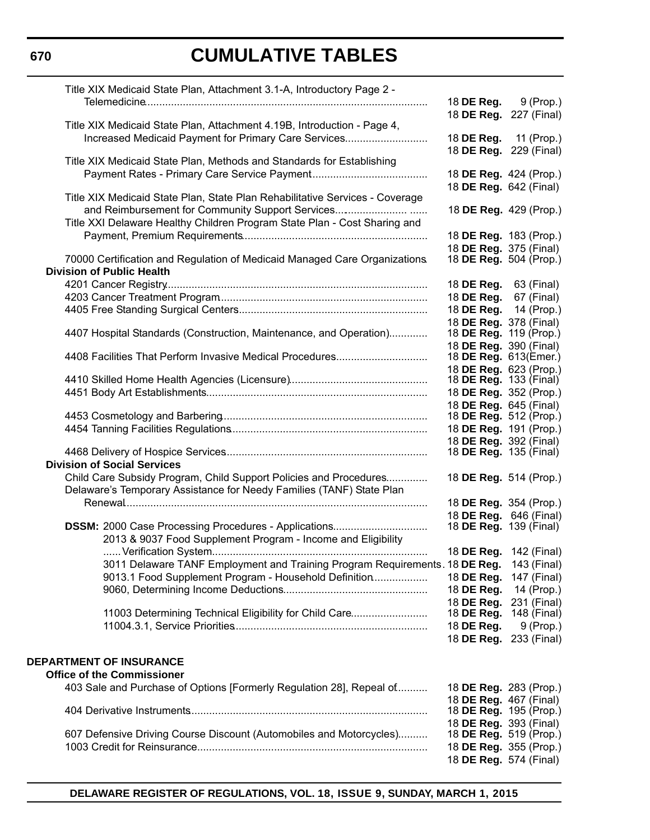| Title XIX Medicaid State Plan, Attachment 3.1-A, Introductory Page 2 -       |                                                  |                                       |
|------------------------------------------------------------------------------|--------------------------------------------------|---------------------------------------|
|                                                                              | 18 DE Reg.                                       | 9 (Prop.)                             |
|                                                                              |                                                  | 18 DE Reg. 227 (Final)                |
| Title XIX Medicaid State Plan, Attachment 4.19B, Introduction - Page 4,      |                                                  |                                       |
| Increased Medicaid Payment for Primary Care Services                         |                                                  | 18 <b>DE Reg.</b> 11 (Prop.)          |
| Title XIX Medicaid State Plan, Methods and Standards for Establishing        |                                                  | 18 DE Reg. 229 (Final)                |
|                                                                              | 18 DE Reg. 424 (Prop.)                           |                                       |
|                                                                              | 18 DE Reg. 642 (Final)                           |                                       |
| Title XIX Medicaid State Plan, State Plan Rehabilitative Services - Coverage |                                                  |                                       |
|                                                                              |                                                  | 18 DE Reg. 429 (Prop.)                |
| Title XXI Delaware Healthy Children Program State Plan - Cost Sharing and    |                                                  |                                       |
|                                                                              | 18 DE Reg. 183 (Prop.)                           |                                       |
|                                                                              | 18 DE Reg. 375 (Final)                           |                                       |
| 70000 Certification and Regulation of Medicaid Managed Care Organizations.   | 18 <b>DE Reg.</b> 504 (Prop.)                    |                                       |
| <b>Division of Public Health</b>                                             |                                                  |                                       |
|                                                                              | 18 <b>DE Reg.</b> 63 (Final)                     |                                       |
|                                                                              | 18 <b>DE Reg.</b> 67 (Final)                     |                                       |
|                                                                              | 18 DE Reg.                                       | 14 (Prop.)                            |
|                                                                              | 18 DE Reg. 378 (Final)                           |                                       |
| 4407 Hospital Standards (Construction, Maintenance, and Operation)           | 18 DE Reg. 119 (Prop.)<br>18 DE Reg. 390 (Final) |                                       |
| 4408 Facilities That Perform Invasive Medical Procedures                     | 18 DE Reg. 613(Emer.)                            |                                       |
|                                                                              | 18 DE Reg. 623 (Prop.)                           |                                       |
|                                                                              | 18 <b>DE Reg.</b> 133 (Final)                    |                                       |
|                                                                              | 18 DE Reg. 352 (Prop.)                           |                                       |
|                                                                              | 18 DE Reg. 645 (Final)                           |                                       |
|                                                                              | 18 <b>DE Reg.</b> 512 (Prop.)                    |                                       |
|                                                                              | 18 DE Reg. 191 (Prop.)                           |                                       |
|                                                                              | 18 DE Reg. 392 (Final)<br>18 DE Reg. 135 (Final) |                                       |
| <b>Division of Social Services</b>                                           |                                                  |                                       |
| Child Care Subsidy Program, Child Support Policies and Procedures            | 18 DE Reg. 514 (Prop.)                           |                                       |
| Delaware's Temporary Assistance for Needy Families (TANF) State Plan         |                                                  |                                       |
|                                                                              | 18 DE Reg. 354 (Prop.)                           |                                       |
|                                                                              |                                                  | 18 DE Reg. 646 (Final)                |
|                                                                              | 18 <b>DE Reg.</b> 139 (Final)                    |                                       |
| 2013 & 9037 Food Supplement Program - Income and Eligibility                 |                                                  |                                       |
|                                                                              |                                                  | 18 <b>DE Reg.</b> 142 (Final)         |
| 3011 Delaware TANF Employment and Training Program Requirements. 18 DE Reg.  |                                                  | 143 (Final)                           |
| 9013.1 Food Supplement Program - Household Definition                        | 18 DE Reg.                                       | 147 (Final)                           |
|                                                                              | 18 DE Reg.                                       | 14 (Prop.)                            |
|                                                                              | 18 DE Reg.                                       | 231 (Final)                           |
| 11003 Determining Technical Eligibility for Child Care                       | 18 DE Reg.                                       | 148 (Final)                           |
|                                                                              | 18 DE Reg.                                       | $9$ (Prop.)<br>18 DE Reg. 233 (Final) |
|                                                                              |                                                  |                                       |
| <b>DEPARTMENT OF INSURANCE</b>                                               |                                                  |                                       |
| <b>Office of the Commissioner</b>                                            |                                                  |                                       |
| 403 Sale and Purchase of Options [Formerly Regulation 28], Repeal of         | 18 DE Reg. 283 (Prop.)                           |                                       |
|                                                                              | 18 DE Reg. 467 (Final)                           |                                       |
|                                                                              | 18 <b>DE Reg.</b> 195 (Prop.)                    |                                       |
|                                                                              | 18 DE Reg. 393 (Final)                           |                                       |
| 607 Defensive Driving Course Discount (Automobiles and Motorcycles)          | 18 DE Reg. 519 (Prop.)                           |                                       |
|                                                                              | 18 DE Reg. 355 (Prop.)<br>18 DE Reg. 574 (Final) |                                       |
|                                                                              |                                                  |                                       |

**DELAWARE REGISTER OF REGULATIONS, VOL. 18, ISSUE 9, SUNDAY, MARCH 1, 2015**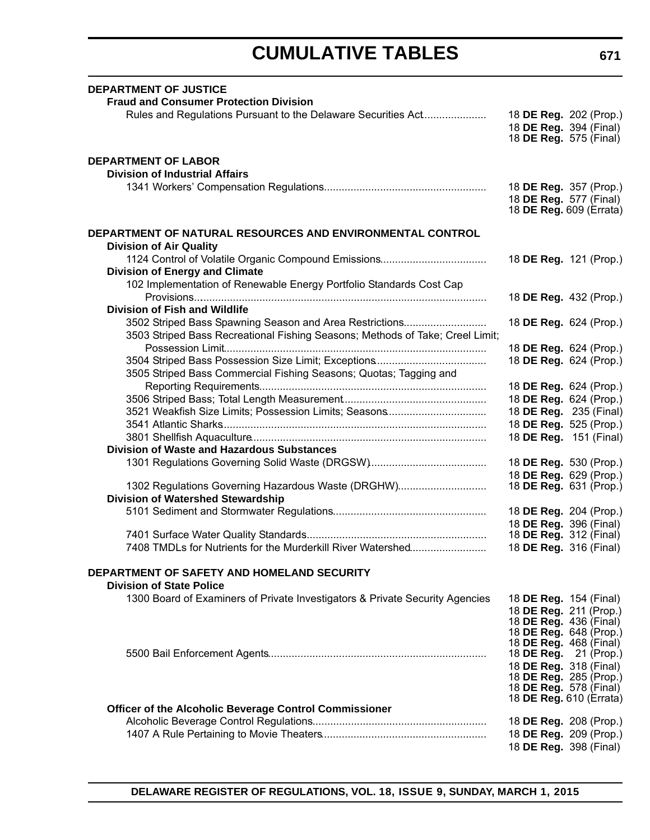| <b>DEPARTMENT OF JUSTICE</b>                                                  |                                                         |  |
|-------------------------------------------------------------------------------|---------------------------------------------------------|--|
| <b>Fraud and Consumer Protection Division</b>                                 |                                                         |  |
| Rules and Regulations Pursuant to the Delaware Securities Act                 | 18 DE Reg. 202 (Prop.)                                  |  |
|                                                                               | 18 DE Reg. 394 (Final)                                  |  |
|                                                                               | 18 <b>DE Reg.</b> 575 (Final)                           |  |
|                                                                               |                                                         |  |
| <b>DEPARTMENT OF LABOR</b>                                                    |                                                         |  |
| <b>Division of Industrial Affairs</b>                                         |                                                         |  |
|                                                                               | 18 DE Reg. 357 (Prop.)                                  |  |
|                                                                               | 18 DE Reg. 577 (Final)                                  |  |
|                                                                               | 18 DE Reg. 609 (Errata)                                 |  |
| DEPARTMENT OF NATURAL RESOURCES AND ENVIRONMENTAL CONTROL                     |                                                         |  |
| <b>Division of Air Quality</b>                                                |                                                         |  |
|                                                                               | 18 DE Reg. 121 (Prop.)                                  |  |
| <b>Division of Energy and Climate</b>                                         |                                                         |  |
| 102 Implementation of Renewable Energy Portfolio Standards Cost Cap           |                                                         |  |
|                                                                               | 18 DE Reg. 432 (Prop.)                                  |  |
| <b>Division of Fish and Wildlife</b>                                          |                                                         |  |
| 3502 Striped Bass Spawning Season and Area Restrictions                       | 18 DE Reg. 624 (Prop.)                                  |  |
| 3503 Striped Bass Recreational Fishing Seasons; Methods of Take; Creel Limit; |                                                         |  |
|                                                                               | 18 DE Reg. 624 (Prop.)                                  |  |
|                                                                               | 18 DE Reg. 624 (Prop.)                                  |  |
| 3505 Striped Bass Commercial Fishing Seasons; Quotas; Tagging and             |                                                         |  |
|                                                                               | 18 DE Reg. 624 (Prop.)                                  |  |
|                                                                               | 18 DE Reg. 624 (Prop.)                                  |  |
| 3521 Weakfish Size Limits; Possession Limits; Seasons                         | 18 DE Reg. 235 (Final)                                  |  |
|                                                                               | 18 DE Reg. 525 (Prop.)                                  |  |
|                                                                               | 18 DE Reg. 151 (Final)                                  |  |
| <b>Division of Waste and Hazardous Substances</b>                             |                                                         |  |
|                                                                               |                                                         |  |
|                                                                               | 18 DE Reg. 530 (Prop.)                                  |  |
| 1302 Regulations Governing Hazardous Waste (DRGHW)                            | 18 DE Reg. 629 (Prop.)<br>18 DE Reg. 631 (Prop.)        |  |
|                                                                               |                                                         |  |
| <b>Division of Watershed Stewardship</b>                                      |                                                         |  |
|                                                                               | 18 DE Reg. 204 (Prop.)                                  |  |
|                                                                               | 18 DE Reg. 396 (Final)<br>18 <b>DE Reg.</b> 312 (Final) |  |
| 7408 TMDLs for Nutrients for the Murderkill River Watershed                   | 18 DE Reg. 316 (Final)                                  |  |
|                                                                               |                                                         |  |
| DEPARTMENT OF SAFETY AND HOMELAND SECURITY                                    |                                                         |  |
| <b>Division of State Police</b>                                               |                                                         |  |
| 1300 Board of Examiners of Private Investigators & Private Security Agencies  | 18 DE Reg. 154 (Final)                                  |  |
|                                                                               | 18 DE Reg. 211 (Prop.)                                  |  |
|                                                                               | 18 <b>DE Reg.</b> 436 (Final)<br>18 DE Reg. 648 (Prop.) |  |
|                                                                               | 18 DE Reg. 468 (Final)                                  |  |
|                                                                               | 18 DE Reg. $21$ (Prop.)                                 |  |
|                                                                               | 18 DE Reg. 318 (Final)                                  |  |
|                                                                               | 18 DE Reg. 285 (Prop.)                                  |  |
|                                                                               | 18 DE Reg. 578 (Final)                                  |  |
|                                                                               | 18 <b>DE Reg.</b> 610 (Errata)                          |  |
| Officer of the Alcoholic Beverage Control Commissioner                        |                                                         |  |
|                                                                               | 18 DE Reg. 208 (Prop.)                                  |  |
|                                                                               | 18 DE Reg. 209 (Prop.)                                  |  |
|                                                                               | 18 DE Reg. 398 (Final)                                  |  |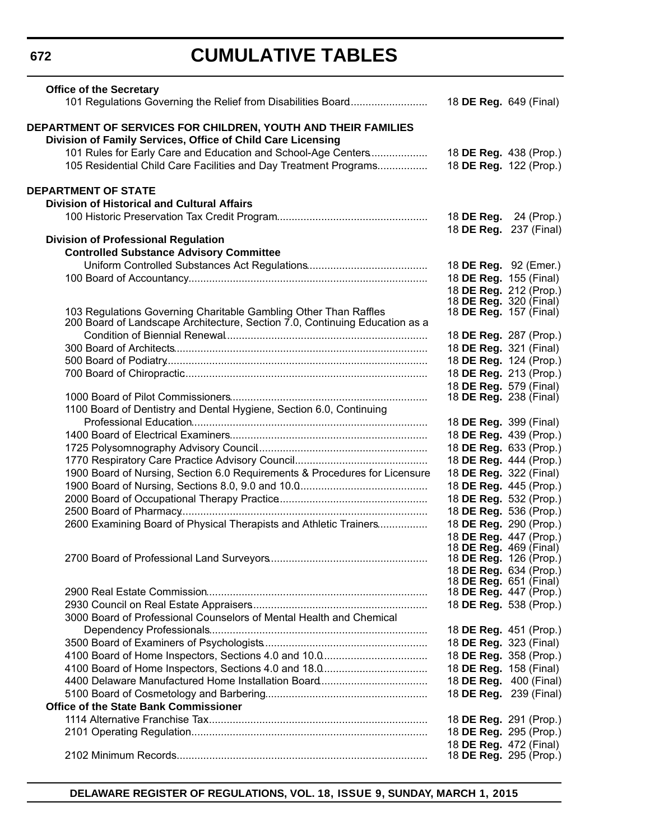# **CUMULATIVE TABLES**

| <b>Office of the Secretary</b><br>101 Regulations Governing the Relief from Disabilities Board |                               | 18 DE Reg. 649 (Final)                                  |
|------------------------------------------------------------------------------------------------|-------------------------------|---------------------------------------------------------|
| DEPARTMENT OF SERVICES FOR CHILDREN, YOUTH AND THEIR FAMILIES                                  |                               |                                                         |
| Division of Family Services, Office of Child Care Licensing                                    |                               |                                                         |
| 101 Rules for Early Care and Education and School-Age Centers                                  |                               | 18 DE Reg. 438 (Prop.)                                  |
| 105 Residential Child Care Facilities and Day Treatment Programs                               |                               | 18 DE Reg. 122 (Prop.)                                  |
| <b>DEPARTMENT OF STATE</b>                                                                     |                               |                                                         |
| <b>Division of Historical and Cultural Affairs</b>                                             |                               |                                                         |
|                                                                                                | 18 DE Reg.                    | 24 (Prop.)                                              |
|                                                                                                |                               | 18 DE Reg. 237 (Final)                                  |
| <b>Division of Professional Regulation</b><br><b>Controlled Substance Advisory Committee</b>   |                               |                                                         |
|                                                                                                |                               | 18 DE Reg. 92 (Emer.)                                   |
|                                                                                                |                               | 18 DE Reg. 155 (Final)                                  |
|                                                                                                |                               | 18 DE Reg. 212 (Prop.)                                  |
|                                                                                                | 18 <b>DE Reg.</b> 320 (Final) |                                                         |
| 103 Regulations Governing Charitable Gambling Other Than Raffles                               | 18 DE Reg. 157 (Final)        |                                                         |
| 200 Board of Landscape Architecture, Section 7.0, Continuing Education as a                    |                               |                                                         |
|                                                                                                |                               | 18 DE Reg. 287 (Prop.)                                  |
|                                                                                                |                               | 18 DE Reg. 321 (Final)<br>18 DE Reg. 124 (Prop.)        |
|                                                                                                |                               | 18 DE Reg. 213 (Prop.)                                  |
|                                                                                                | 18 DE Reg. 579 (Final)        |                                                         |
|                                                                                                | 18 <b>DE Reg.</b> 238 (Final) |                                                         |
| 1100 Board of Dentistry and Dental Hygiene, Section 6.0, Continuing                            |                               |                                                         |
|                                                                                                |                               | 18 DE Reg. 399 (Final)                                  |
|                                                                                                |                               | 18 DE Reg. 439 (Prop.)                                  |
|                                                                                                |                               | 18 DE Reg. 633 (Prop.)                                  |
|                                                                                                |                               | 18 DE Reg. 444 (Prop.)                                  |
| 1900 Board of Nursing, Section 6.0 Requirements & Procedures for Licensure                     |                               | 18 DE Reg. 322 (Final)                                  |
|                                                                                                |                               | 18 DE Reg. 445 (Prop.)                                  |
|                                                                                                |                               | 18 DE Reg. 532 (Prop.)                                  |
| 2600 Examining Board of Physical Therapists and Athletic Trainers                              |                               | 18 DE Reg. 536 (Prop.)<br>18 DE Reg. 290 (Prop.)        |
|                                                                                                |                               | 18 DE Reg. 447 (Prop.)                                  |
|                                                                                                |                               | 18 <b>DE Reg.</b> 469 (Final)                           |
|                                                                                                |                               | 18 <b>DE Reg.</b> 126 (Prop.)                           |
|                                                                                                |                               | 18 DE Reg. 634 (Prop.)                                  |
|                                                                                                |                               | 18 <b>DE Reg.</b> 651 (Final)<br>18 DE Reg. 447 (Prop.) |
|                                                                                                |                               | 18 DE Reg. 538 (Prop.)                                  |
| 3000 Board of Professional Counselors of Mental Health and Chemical                            |                               |                                                         |
|                                                                                                |                               | 18 DE Reg. 451 (Prop.)                                  |
|                                                                                                |                               | 18 DE Reg. 323 (Final)                                  |
|                                                                                                |                               | 18 DE Reg. 358 (Prop.)                                  |
|                                                                                                |                               | 18 DE Reg. 158 (Final)                                  |
|                                                                                                |                               | 18 DE Reg. 400 (Final)                                  |
|                                                                                                |                               | 18 DE Reg. 239 (Final)                                  |
| <b>Office of the State Bank Commissioner</b>                                                   |                               |                                                         |
|                                                                                                |                               | 18 DE Reg. 291 (Prop.)                                  |
|                                                                                                |                               | 18 DE Reg. 295 (Prop.)                                  |
|                                                                                                |                               | 18 DE Reg. 472 (Final)                                  |
|                                                                                                |                               | 18 DE Reg. 295 (Prop.)                                  |

**DELAWARE REGISTER OF REGULATIONS, VOL. 18, ISSUE 9, SUNDAY, MARCH 1, 2015**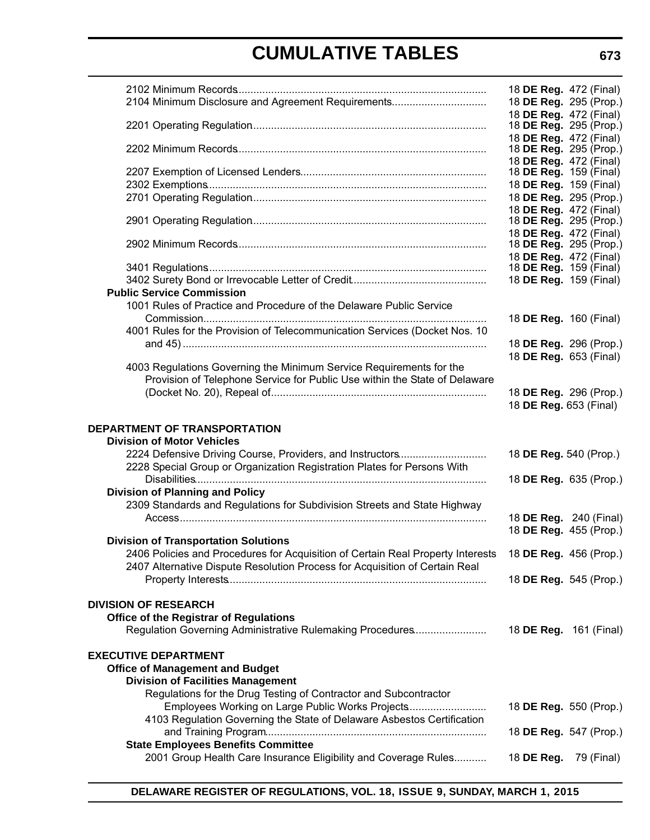|                                                                                                        | 18 DE Reg. 472 (Final)                                  |            |
|--------------------------------------------------------------------------------------------------------|---------------------------------------------------------|------------|
| 2104 Minimum Disclosure and Agreement Requirements                                                     | 18 DE Reg. 295 (Prop.)                                  |            |
|                                                                                                        | 18 DE Reg. 472 (Final)                                  |            |
|                                                                                                        | 18 DE Reg. 295 (Prop.)                                  |            |
|                                                                                                        | 18 DE Reg. 472 (Final)                                  |            |
|                                                                                                        | 18 <b>DE Reg.</b> 295 (Prop.)<br>18 DE Reg. 472 (Final) |            |
|                                                                                                        | 18 <b>DE Reg.</b> 159 (Final)                           |            |
|                                                                                                        | 18 DE Reg. 159 (Final)                                  |            |
|                                                                                                        | 18 DE Reg. 295 (Prop.)                                  |            |
|                                                                                                        | 18 DE Reg. 472 (Final)                                  |            |
|                                                                                                        | 18 <b>DE Reg.</b> 295 (Prop.)                           |            |
|                                                                                                        | 18 DE Reg. 472 (Final)                                  |            |
|                                                                                                        | 18 <b>DE Reg.</b> 295 (Prop.)                           |            |
|                                                                                                        | 18 DE Reg. 472 (Final)<br>18 <b>DE Reg.</b> 159 (Final) |            |
|                                                                                                        | 18 DE Reg. 159 (Final)                                  |            |
| <b>Public Service Commission</b>                                                                       |                                                         |            |
| 1001 Rules of Practice and Procedure of the Delaware Public Service                                    |                                                         |            |
|                                                                                                        | 18 DE Reg. 160 (Final)                                  |            |
| 4001 Rules for the Provision of Telecommunication Services (Docket Nos. 10                             |                                                         |            |
|                                                                                                        | 18 DE Reg. 296 (Prop.)                                  |            |
|                                                                                                        | 18 DE Reg. 653 (Final)                                  |            |
| 4003 Regulations Governing the Minimum Service Requirements for the                                    |                                                         |            |
| Provision of Telephone Service for Public Use within the State of Delaware                             |                                                         |            |
|                                                                                                        | 18 DE Reg. 296 (Prop.)<br>18 DE Reg. 653 (Final)        |            |
|                                                                                                        |                                                         |            |
| <b>DEPARTMENT OF TRANSPORTATION</b>                                                                    |                                                         |            |
| <b>Division of Motor Vehicles</b>                                                                      |                                                         |            |
| 2224 Defensive Driving Course, Providers, and Instructors                                              | 18 DE Reg. 540 (Prop.)                                  |            |
| 2228 Special Group or Organization Registration Plates for Persons With                                |                                                         |            |
|                                                                                                        | 18 DE Reg. 635 (Prop.)                                  |            |
| <b>Division of Planning and Policy</b>                                                                 |                                                         |            |
| 2309 Standards and Regulations for Subdivision Streets and State Highway                               |                                                         |            |
|                                                                                                        | 18 DE Reg. 240 (Final)                                  |            |
| <b>Division of Transportation Solutions</b>                                                            | 18 DE Reg. 455 (Prop.)                                  |            |
| 2406 Policies and Procedures for Acquisition of Certain Real Property Interests 18 DE Reg. 456 (Prop.) |                                                         |            |
| 2407 Alternative Dispute Resolution Process for Acquisition of Certain Real                            |                                                         |            |
|                                                                                                        | 18 DE Reg. 545 (Prop.)                                  |            |
|                                                                                                        |                                                         |            |
| <b>DIVISION OF RESEARCH</b>                                                                            |                                                         |            |
| <b>Office of the Registrar of Regulations</b>                                                          |                                                         |            |
| Regulation Governing Administrative Rulemaking Procedures                                              | 18 DE Reg. 161 (Final)                                  |            |
|                                                                                                        |                                                         |            |
| <b>EXECUTIVE DEPARTMENT</b><br><b>Office of Management and Budget</b>                                  |                                                         |            |
| <b>Division of Facilities Management</b>                                                               |                                                         |            |
| Regulations for the Drug Testing of Contractor and Subcontractor                                       |                                                         |            |
| Employees Working on Large Public Works Projects                                                       | 18 DE Reg. 550 (Prop.)                                  |            |
| 4103 Regulation Governing the State of Delaware Asbestos Certification                                 |                                                         |            |
|                                                                                                        | 18 DE Reg. 547 (Prop.)                                  |            |
| <b>State Employees Benefits Committee</b>                                                              |                                                         |            |
| 2001 Group Health Care Insurance Eligibility and Coverage Rules                                        | 18 DE Reg.                                              | 79 (Final) |
|                                                                                                        |                                                         |            |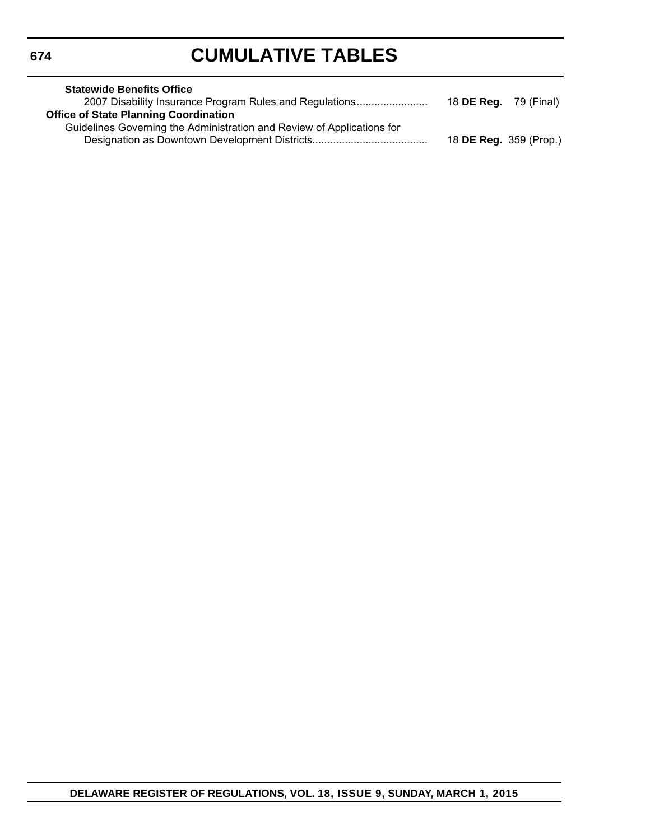| <b>Statewide Benefits Office</b>                                       |                               |  |
|------------------------------------------------------------------------|-------------------------------|--|
| 2007 Disability Insurance Program Rules and Regulations                | 18 <b>DE Reg.</b> 79 (Final)  |  |
| <b>Office of State Planning Coordination</b>                           |                               |  |
| Guidelines Governing the Administration and Review of Applications for |                               |  |
|                                                                        | 18 <b>DE Reg.</b> 359 (Prop.) |  |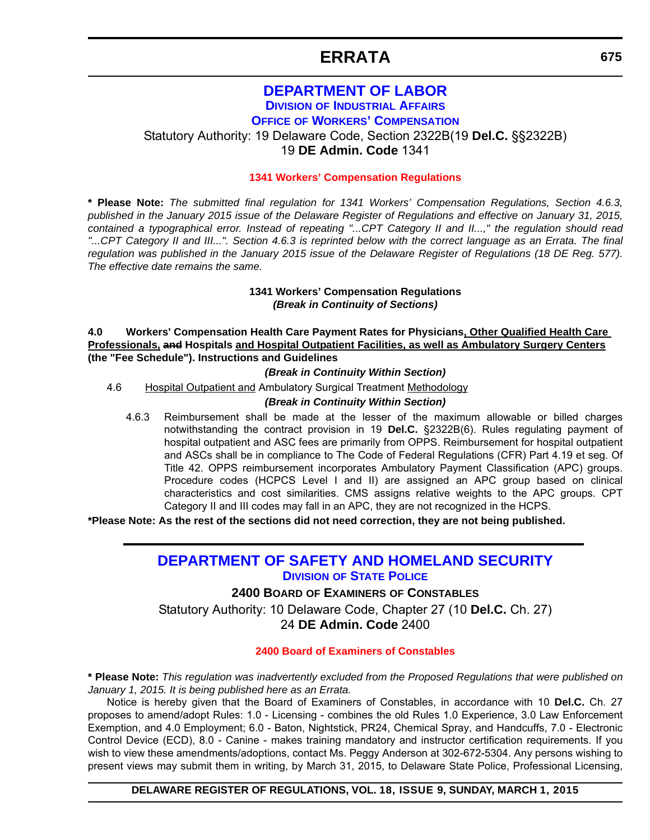### **ERRATA**

### **[DEPARTMENT OF LABOR](http://dia.delawareworks.com/workers-comp/) DIVISION OF INDUSTRIAL AFFAIRS**

**OFFICE OF WORKERS' COMPENSATION**

<span id="page-12-0"></span>Statutory Authority: 19 Delaware Code, Section 2322B(19 **Del.C.** §§2322B) 19 **DE Admin. Code** 1341

#### **[1341 Workers' Compensation Regulations](#page-3-0)**

**\* Please Note:** *The submitted final regulation for 1341 Workers' Compensation Regulations, Section 4.6.3, published in the January 2015 issue of the Delaware Register of Regulations and effective on January 31, 2015, contained a typographical error. Instead of repeating "...CPT Category II and II...," the regulation should read "...CPT Category II and III...". Section 4.6.3 is reprinted below with the correct language as an Errata. The final regulation was published in the January 2015 issue of the Delaware Register of Regulations (18 DE Reg. 577). The effective date remains the same.*

#### **1341 Workers' Compensation Regulations** *(Break in Continuity of Sections)*

**4.0 Workers' Compensation Health Care Payment Rates for Physicians, Other Qualified Health Care Professionals, and Hospitals and Hospital Outpatient Facilities, as well as Ambulatory Surgery Centers (the "Fee Schedule"). Instructions and Guidelines**

*(Break in Continuity Within Section)*

4.6 Hospital Outpatient and Ambulatory Surgical Treatment Methodology

#### *(Break in Continuity Within Section)*

4.6.3 Reimbursement shall be made at the lesser of the maximum allowable or billed charges notwithstanding the contract provision in 19 **Del.C.** §2322B(6). Rules regulating payment of hospital outpatient and ASC fees are primarily from OPPS. Reimbursement for hospital outpatient and ASCs shall be in compliance to The Code of Federal Regulations (CFR) Part 4.19 et seg. Of Title 42. OPPS reimbursement incorporates Ambulatory Payment Classification (APC) groups. Procedure codes (HCPCS Level I and II) are assigned an APC group based on clinical characteristics and cost similarities. CMS assigns relative weights to the APC groups. CPT Category II and III codes may fall in an APC, they are not recognized in the HCPS.

**\*Please Note: As the rest of the sections did not need correction, they are not being published.** 

### **[DEPARTMENT OF SAFETY AND HOMELAND SECURITY](http://dsp.delaware.gov/) DIVISION OF STATE POLICE**

#### **2400 BOARD OF EXAMINERS OF CONSTABLES**

Statutory Authority: 10 Delaware Code, Chapter 27 (10 **Del.C.** Ch. 27) 24 **DE Admin. Code** 2400

#### **[2400 Board of Examiners of Constables](#page-3-0)**

**\* Please Note:** *This regulation was inadvertently excluded from the Proposed Regulations that were published on January 1, 2015. It is being published here as an Errata.*

Notice is hereby given that the Board of Examiners of Constables, in accordance with 10 **Del.C.** Ch. 27 proposes to amend/adopt Rules: 1.0 - Licensing - combines the old Rules 1.0 Experience, 3.0 Law Enforcement Exemption, and 4.0 Employment; 6.0 - Baton, Nightstick, PR24, Chemical Spray, and Handcuffs, 7.0 - Electronic Control Device (ECD), 8.0 - Canine - makes training mandatory and instructor certification requirements. If you wish to view these amendments/adoptions, contact Ms. Peggy Anderson at 302-672-5304. Any persons wishing to present views may submit them in writing, by March 31, 2015, to Delaware State Police, Professional Licensing,

**DELAWARE REGISTER OF REGULATIONS, VOL. 18, ISSUE 9, SUNDAY, MARCH 1, 2015**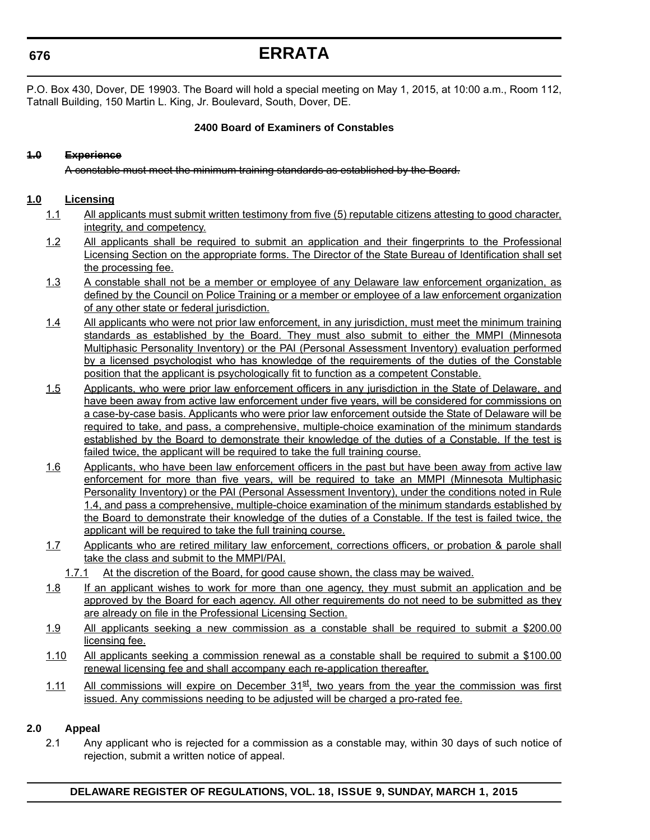### **ERRATA**

P.O. Box 430, Dover, DE 19903. The Board will hold a special meeting on May 1, 2015, at 10:00 a.m., Room 112, Tatnall Building, 150 Martin L. King, Jr. Boulevard, South, Dover, DE.

#### **2400 Board of Examiners of Constables**

#### **1.0 Experience**

A constable must meet the minimum training standards as established by the Board.

#### **1.0 Licensing**

- 1.1 All applicants must submit written testimony from five (5) reputable citizens attesting to good character, integrity, and competency.
- 1.2 All applicants shall be required to submit an application and their fingerprints to the Professional Licensing Section on the appropriate forms. The Director of the State Bureau of Identification shall set the processing fee.
- 1.3 A constable shall not be a member or employee of any Delaware law enforcement organization, as defined by the Council on Police Training or a member or employee of a law enforcement organization of any other state or federal jurisdiction.
- 1.4 All applicants who were not prior law enforcement, in any jurisdiction, must meet the minimum training standards as established by the Board. They must also submit to either the MMPI (Minnesota Multiphasic Personality Inventory) or the PAI (Personal Assessment Inventory) evaluation performed by a licensed psychologist who has knowledge of the requirements of the duties of the Constable position that the applicant is psychologically fit to function as a competent Constable.
- 1.5 Applicants, who were prior law enforcement officers in any jurisdiction in the State of Delaware, and have been away from active law enforcement under five years, will be considered for commissions on a case-by-case basis. Applicants who were prior law enforcement outside the State of Delaware will be required to take, and pass, a comprehensive, multiple-choice examination of the minimum standards established by the Board to demonstrate their knowledge of the duties of a Constable. If the test is failed twice, the applicant will be required to take the full training course.
- 1.6 Applicants, who have been law enforcement officers in the past but have been away from active law enforcement for more than five years, will be required to take an MMPI (Minnesota Multiphasic Personality Inventory) or the PAI (Personal Assessment Inventory), under the conditions noted in Rule 1.4, and pass a comprehensive, multiple-choice examination of the minimum standards established by the Board to demonstrate their knowledge of the duties of a Constable. If the test is failed twice, the applicant will be required to take the full training course.
- 1.7 Applicants who are retired military law enforcement, corrections officers, or probation & parole shall take the class and submit to the MMPI/PAI.
	- 1.7.1 At the discretion of the Board, for good cause shown, the class may be waived.
- 1.8 If an applicant wishes to work for more than one agency, they must submit an application and be approved by the Board for each agency. All other requirements do not need to be submitted as they are already on file in the Professional Licensing Section.
- 1.9 All applicants seeking a new commission as a constable shall be required to submit a \$200.00 licensing fee.
- 1.10 All applicants seeking a commission renewal as a constable shall be required to submit a \$100.00 renewal licensing fee and shall accompany each re-application thereafter.
- 1.11 All commissions will expire on December  $31<sup>st</sup>$ , two years from the year the commission was first issued. Any commissions needing to be adjusted will be charged a pro-rated fee.

#### **2.0 Appeal**

2.1 Any applicant who is rejected for a commission as a constable may, within 30 days of such notice of rejection, submit a written notice of appeal.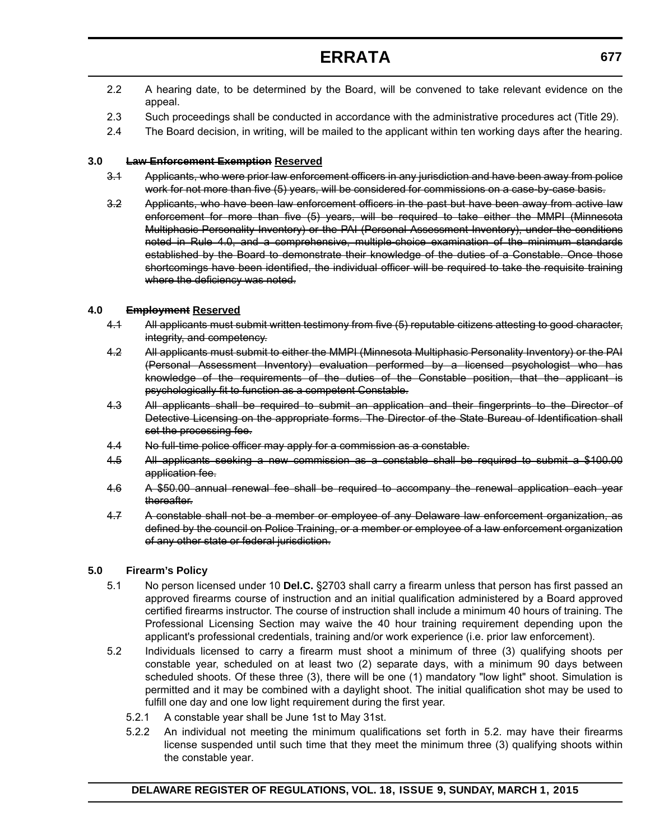### **ERRATA**

- 2.2 A hearing date, to be determined by the Board, will be convened to take relevant evidence on the appeal.
- 2.3 Such proceedings shall be conducted in accordance with the administrative procedures act (Title 29).
- 2.4 The Board decision, in writing, will be mailed to the applicant within ten working days after the hearing.

#### **3.0 Law Enforcement Exemption Reserved**

- 3.1 Applicants, who were prior law enforcement officers in any jurisdiction and have been away from police work for not more than five (5) years, will be considered for commissions on a case-by-case basis.
- 3.2 Applicants, who have been law enforcement officers in the past but have been away from active law enforcement for more than five (5) years, will be required to take either the MMPI (Minnesota Multiphasic Personality Inventory) or the PAI (Personal Assessment Inventory), under the conditions noted in Rule 4.0, and a comprehensive, multiple-choice examination of the minimum standards established by the Board to demonstrate their knowledge of the duties of a Constable. Once those shortcomings have been identified, the individual officer will be required to take the requisite training where the deficiency was noted.

#### **4.0 Employment Reserved**

- 4.1 All applicants must submit written testimony from five (5) reputable citizens attesting to good character, integrity, and competency.
- 4.2 All applicants must submit to either the MMPI (Minnesota Multiphasic Personality Inventory) or the PAI (Personal Assessment Inventory) evaluation performed by a licensed psychologist who has knowledge of the requirements of the duties of the Constable position, that the applicant is psychologically fit to function as a competent Constable.
- 4.3 All applicants shall be required to submit an application and their fingerprints to the Director of Detective Licensing on the appropriate forms. The Director of the State Bureau of Identification shall set the processing fee.
- 4.4 No full-time police officer may apply for a commission as a constable.
- 4.5 All applicants seeking a new commission as a constable shall be required to submit a \$100.00 application fee.
- 4.6 A \$50.00 annual renewal fee shall be required to accompany the renewal application each year thereafter.
- 4.7 A constable shall not be a member or employee of any Delaware law enforcement organization, as defined by the council on Police Training, or a member or employee of a law enforcement organization of any other state or federal jurisdiction.

#### **5.0 Firearm's Policy**

- 5.1 No person licensed under 10 **Del.C.** §2703 shall carry a firearm unless that person has first passed an approved firearms course of instruction and an initial qualification administered by a Board approved certified firearms instructor. The course of instruction shall include a minimum 40 hours of training. The Professional Licensing Section may waive the 40 hour training requirement depending upon the applicant's professional credentials, training and/or work experience (i.e. prior law enforcement).
- 5.2 Individuals licensed to carry a firearm must shoot a minimum of three (3) qualifying shoots per constable year, scheduled on at least two (2) separate days, with a minimum 90 days between scheduled shoots. Of these three (3), there will be one (1) mandatory "low light" shoot. Simulation is permitted and it may be combined with a daylight shoot. The initial qualification shot may be used to fulfill one day and one low light requirement during the first year.
	- 5.2.1 A constable year shall be June 1st to May 31st.
	- 5.2.2 An individual not meeting the minimum qualifications set forth in 5.2. may have their firearms license suspended until such time that they meet the minimum three (3) qualifying shoots within the constable year.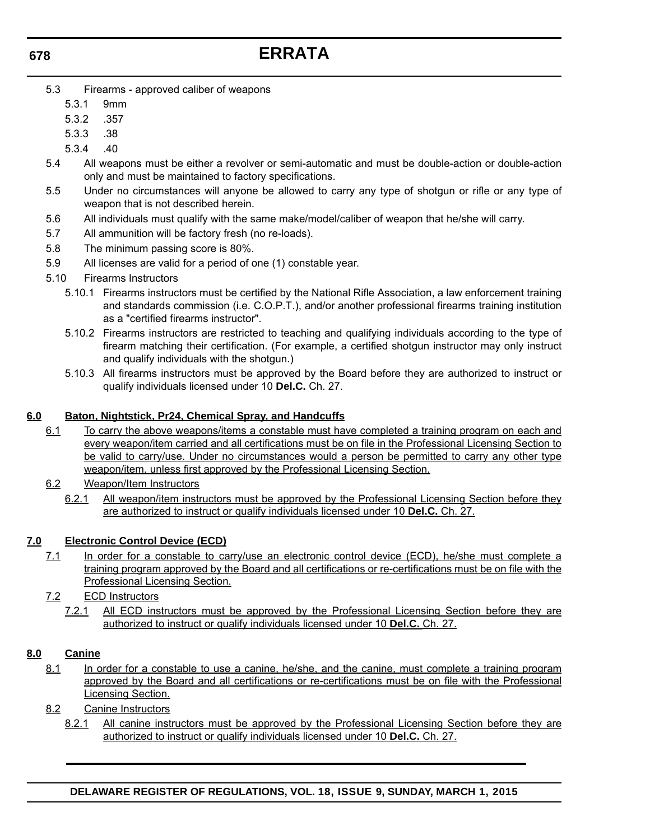### **ERRATA**

- 5.3 Firearms approved caliber of weapons
	- 5.3.1 9mm
	- 5.3.2 .357
	- 5.3.3 .38
	- 5.3.4 .40
- 5.4 All weapons must be either a revolver or semi-automatic and must be double-action or double-action only and must be maintained to factory specifications.
- 5.5 Under no circumstances will anyone be allowed to carry any type of shotgun or rifle or any type of weapon that is not described herein.
- 5.6 All individuals must qualify with the same make/model/caliber of weapon that he/she will carry.
- 5.7 All ammunition will be factory fresh (no re-loads).
- 5.8 The minimum passing score is 80%.
- 5.9 All licenses are valid for a period of one (1) constable year.
- 5.10 Firearms Instructors
	- 5.10.1 Firearms instructors must be certified by the National Rifle Association, a law enforcement training and standards commission (i.e. C.O.P.T.), and/or another professional firearms training institution as a "certified firearms instructor".
	- 5.10.2 Firearms instructors are restricted to teaching and qualifying individuals according to the type of firearm matching their certification. (For example, a certified shotgun instructor may only instruct and qualify individuals with the shotgun.)
	- 5.10.3 All firearms instructors must be approved by the Board before they are authorized to instruct or qualify individuals licensed under 10 **Del.C.** Ch. 27.

#### **6.0 Baton, Nightstick, Pr24, Chemical Spray, and Handcuffs**

- 6.1 To carry the above weapons/items a constable must have completed a training program on each and every weapon/item carried and all certifications must be on file in the Professional Licensing Section to be valid to carry/use. Under no circumstances would a person be permitted to carry any other type weapon/item, unless first approved by the Professional Licensing Section.
	- 6.2 Weapon/Item Instructors
		- 6.2.1 All weapon/item instructors must be approved by the Professional Licensing Section before they are authorized to instruct or qualify individuals licensed under 10 **Del.C.** Ch. 27.

### **7.0 Electronic Control Device (ECD)**

- 7.1 In order for a constable to carry/use an electronic control device (ECD), he/she must complete a training program approved by the Board and all certifications or re-certifications must be on file with the Professional Licensing Section.
- 7.2 ECD Instructors
	- 7.2.1 All ECD instructors must be approved by the Professional Licensing Section before they are authorized to instruct or qualify individuals licensed under 10 **Del.C.** Ch. 27.

#### **8.0 Canine**

- 8.1 In order for a constable to use a canine, he/she, and the canine, must complete a training program approved by the Board and all certifications or re-certifications must be on file with the Professional Licensing Section.
- 8.2 Canine Instructors
	- 8.2.1 All canine instructors must be approved by the Professional Licensing Section before they are authorized to instruct or qualify individuals licensed under 10 **Del.C.** Ch. 27.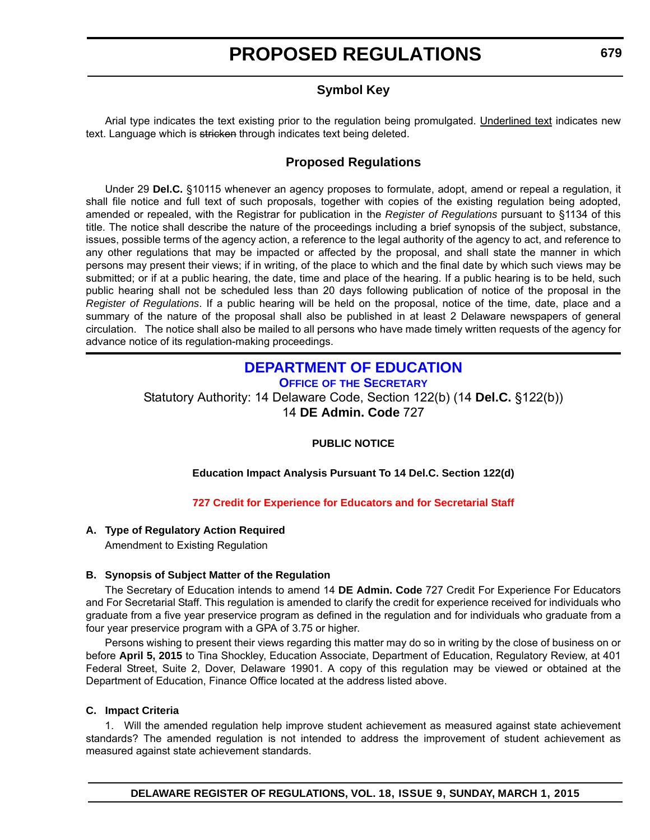# **PROPOSED REGULATIONS**

### **Symbol Key**

<span id="page-16-0"></span>Arial type indicates the text existing prior to the regulation being promulgated. Underlined text indicates new text. Language which is stricken through indicates text being deleted.

### **Proposed Regulations**

Under 29 **Del.C.** §10115 whenever an agency proposes to formulate, adopt, amend or repeal a regulation, it shall file notice and full text of such proposals, together with copies of the existing regulation being adopted, amended or repealed, with the Registrar for publication in the *Register of Regulations* pursuant to §1134 of this title. The notice shall describe the nature of the proceedings including a brief synopsis of the subject, substance, issues, possible terms of the agency action, a reference to the legal authority of the agency to act, and reference to any other regulations that may be impacted or affected by the proposal, and shall state the manner in which persons may present their views; if in writing, of the place to which and the final date by which such views may be submitted; or if at a public hearing, the date, time and place of the hearing. If a public hearing is to be held, such public hearing shall not be scheduled less than 20 days following publication of notice of the proposal in the *Register of Regulations*. If a public hearing will be held on the proposal, notice of the time, date, place and a summary of the nature of the proposal shall also be published in at least 2 Delaware newspapers of general circulation. The notice shall also be mailed to all persons who have made timely written requests of the agency for advance notice of its regulation-making proceedings.

### **[DEPARTMENT OF EDUCATION](http://www.doe.k12.de.us/site/default.aspx?PageID=1)**

**OFFICE OF THE SECRETARY**

Statutory Authority: 14 Delaware Code, Section 122(b) (14 **Del.C.** §122(b)) 14 **DE Admin. Code** 727

#### **PUBLIC NOTICE**

#### **Education Impact Analysis Pursuant To 14 Del.C. Section 122(d)**

#### **[727 Credit for Experience for Educators and for Secretarial Staff](#page-3-0)**

#### **A. Type of Regulatory Action Required**

Amendment to Existing Regulation

#### **B. Synopsis of Subject Matter of the Regulation**

The Secretary of Education intends to amend 14 **DE Admin. Code** 727 Credit For Experience For Educators and For Secretarial Staff. This regulation is amended to clarify the credit for experience received for individuals who graduate from a five year preservice program as defined in the regulation and for individuals who graduate from a four year preservice program with a GPA of 3.75 or higher.

Persons wishing to present their views regarding this matter may do so in writing by the close of business on or before **April 5, 2015** to Tina Shockley, Education Associate, Department of Education, Regulatory Review, at 401 Federal Street, Suite 2, Dover, Delaware 19901. A copy of this regulation may be viewed or obtained at the Department of Education, Finance Office located at the address listed above.

#### **C. Impact Criteria**

1. Will the amended regulation help improve student achievement as measured against state achievement standards? The amended regulation is not intended to address the improvement of student achievement as measured against state achievement standards.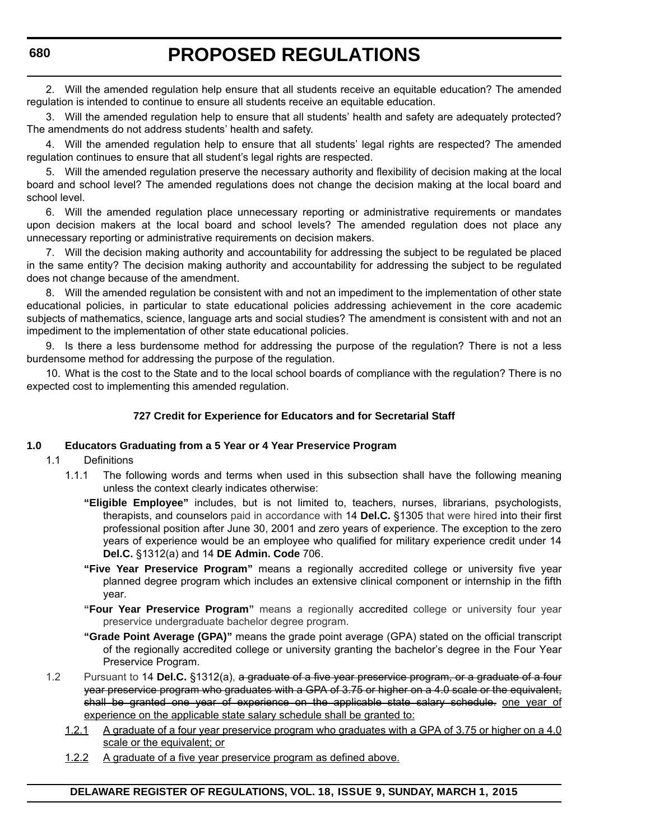2. Will the amended regulation help ensure that all students receive an equitable education? The amended regulation is intended to continue to ensure all students receive an equitable education.

3. Will the amended regulation help to ensure that all students' health and safety are adequately protected? The amendments do not address students' health and safety.

4. Will the amended regulation help to ensure that all students' legal rights are respected? The amended regulation continues to ensure that all student's legal rights are respected.

5. Will the amended regulation preserve the necessary authority and flexibility of decision making at the local board and school level? The amended regulations does not change the decision making at the local board and school level.

6. Will the amended regulation place unnecessary reporting or administrative requirements or mandates upon decision makers at the local board and school levels? The amended regulation does not place any unnecessary reporting or administrative requirements on decision makers.

7. Will the decision making authority and accountability for addressing the subject to be regulated be placed in the same entity? The decision making authority and accountability for addressing the subject to be regulated does not change because of the amendment.

8. Will the amended regulation be consistent with and not an impediment to the implementation of other state educational policies, in particular to state educational policies addressing achievement in the core academic subjects of mathematics, science, language arts and social studies? The amendment is consistent with and not an impediment to the implementation of other state educational policies.

9. Is there a less burdensome method for addressing the purpose of the regulation? There is not a less burdensome method for addressing the purpose of the regulation.

10. What is the cost to the State and to the local school boards of compliance with the regulation? There is no expected cost to implementing this amended regulation.

#### **727 Credit for Experience for Educators and for Secretarial Staff**

#### **1.0 Educators Graduating from a 5 Year or 4 Year Preservice Program**

- 1.1 Definitions
	- 1.1.1 The following words and terms when used in this subsection shall have the following meaning unless the context clearly indicates otherwise:
		- **"Eligible Employee"** includes, but is not limited to, teachers, nurses, librarians, psychologists, therapists, and counselors paid in accordance with 14 **Del.C.** §1305 that were hired into their first professional position after June 30, 2001 and zero years of experience. The exception to the zero years of experience would be an employee who qualified for military experience credit under 14 **Del.C.** §1312(a) and 14 **DE Admin. Code** 706.
		- **"Five Year Preservice Program"** means a regionally accredited college or university five year planned degree program which includes an extensive clinical component or internship in the fifth year.
		- **"Four Year Preservice Program"** means a regionally accredited college or university four year preservice undergraduate bachelor degree program.
		- **"Grade Point Average (GPA)"** means the grade point average (GPA) stated on the official transcript of the regionally accredited college or university granting the bachelor's degree in the Four Year Preservice Program.
- 1.2 Pursuant to 14 **Del.C.** §1312(a), a graduate of a five year preservice program, or a graduate of a four year preservice program who graduates with a GPA of 3.75 or higher on a 4.0 scale or the equivalent, shall be granted one year of experience on the applicable state salary schedule. one year of experience on the applicable state salary schedule shall be granted to:
	- 1.2.1 A graduate of a four year preservice program who graduates with a GPA of 3.75 or higher on a 4.0 scale or the equivalent; or
	- 1.2.2 A graduate of a five year preservice program as defined above.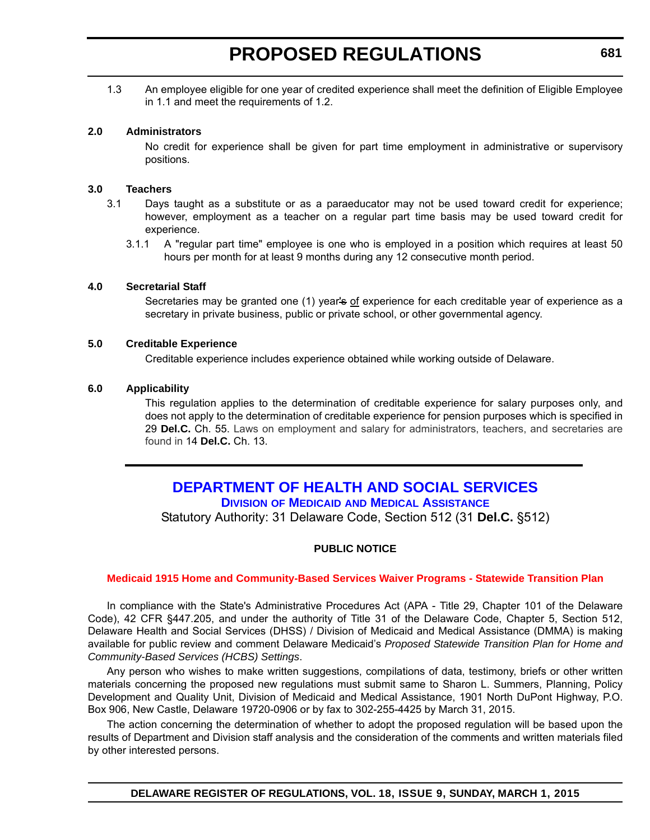# **PROPOSED REGULATIONS**

<span id="page-18-0"></span>1.3 An employee eligible for one year of credited experience shall meet the definition of Eligible Employee in 1.1 and meet the requirements of 1.2.

#### **2.0 Administrators**

No credit for experience shall be given for part time employment in administrative or supervisory positions.

#### **3.0 Teachers**

- 3.1 Days taught as a substitute or as a paraeducator may not be used toward credit for experience; however, employment as a teacher on a regular part time basis may be used toward credit for experience.
	- 3.1.1 A "regular part time" employee is one who is employed in a position which requires at least 50 hours per month for at least 9 months during any 12 consecutive month period.

#### **4.0 Secretarial Staff**

Secretaries may be granted one (1) year's of experience for each creditable year of experience as a secretary in private business, public or private school, or other governmental agency.

#### **5.0 Creditable Experience**

Creditable experience includes experience obtained while working outside of Delaware.

#### **6.0 Applicability**

This regulation applies to the determination of creditable experience for salary purposes only, and does not apply to the determination of creditable experience for pension purposes which is specified in 29 **Del.C.** Ch. 55. Laws on employment and salary for administrators, teachers, and secretaries are found in 14 **Del.C.** Ch. 13.

#### **[DEPARTMENT OF HEALTH AND SOCIAL SERVICES](http://www.dhss.delaware.gov/dhss/dmma/) DIVISION OF MEDICAID AND MEDICAL ASSISTANCE**

Statutory Authority: 31 Delaware Code, Section 512 (31 **Del.C.** §512)

#### **PUBLIC NOTICE**

#### **[Medicaid 1915 Home and Community-Based Services Waiver Programs - Statewide Transition Plan](#page-3-0)**

In compliance with the State's Administrative Procedures Act (APA - Title 29, Chapter 101 of the Delaware Code), 42 CFR §447.205, and under the authority of Title 31 of the Delaware Code, Chapter 5, Section 512, Delaware Health and Social Services (DHSS) / Division of Medicaid and Medical Assistance (DMMA) is making available for public review and comment Delaware Medicaid's *Proposed Statewide Transition Plan for Home and Community-Based Services (HCBS) Settings*.

Any person who wishes to make written suggestions, compilations of data, testimony, briefs or other written materials concerning the proposed new regulations must submit same to Sharon L. Summers, Planning, Policy Development and Quality Unit, Division of Medicaid and Medical Assistance, 1901 North DuPont Highway, P.O. Box 906, New Castle, Delaware 19720-0906 or by fax to 302-255-4425 by March 31, 2015.

The action concerning the determination of whether to adopt the proposed regulation will be based upon the results of Department and Division staff analysis and the consideration of the comments and written materials filed by other interested persons.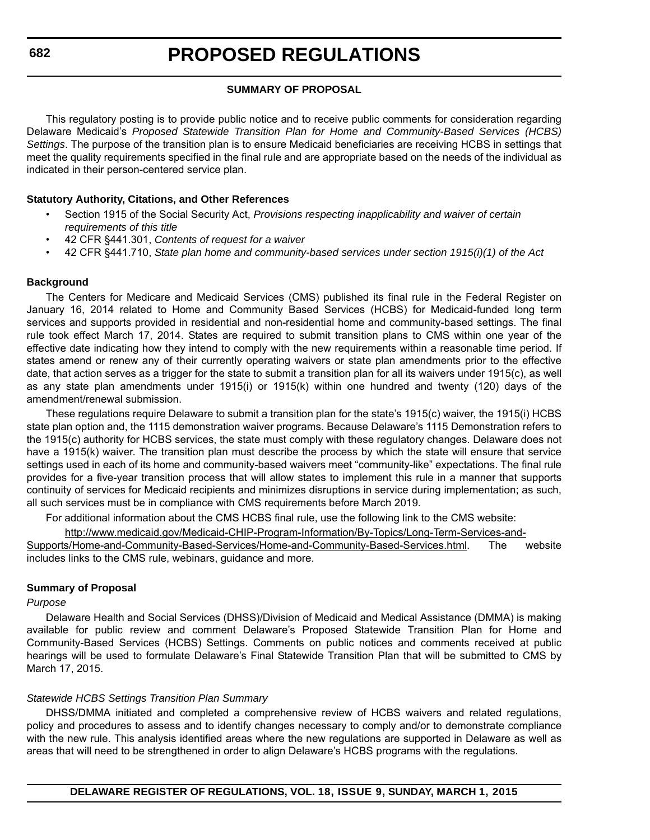#### **SUMMARY OF PROPOSAL**

This regulatory posting is to provide public notice and to receive public comments for consideration regarding Delaware Medicaid's *Proposed Statewide Transition Plan for Home and Community-Based Services (HCBS) Settings*. The purpose of the transition plan is to ensure Medicaid beneficiaries are receiving HCBS in settings that meet the quality requirements specified in the final rule and are appropriate based on the needs of the individual as indicated in their person-centered service plan.

#### **Statutory Authority, Citations, and Other References**

- Section 1915 of the Social Security Act, *Provisions respecting inapplicability and waiver of certain requirements of this title*
- 42 CFR §441.301, *Contents of request for a waiver*
- 42 CFR §441.710, *State plan home and community-based services under section 1915(i)(1) of the Act*

#### **Background**

The Centers for Medicare and Medicaid Services (CMS) published its final rule in the Federal Register on January 16, 2014 related to Home and Community Based Services (HCBS) for Medicaid-funded long term services and supports provided in residential and non-residential home and community-based settings. The final rule took effect March 17, 2014. States are required to submit transition plans to CMS within one year of the effective date indicating how they intend to comply with the new requirements within a reasonable time period. If states amend or renew any of their currently operating waivers or state plan amendments prior to the effective date, that action serves as a trigger for the state to submit a transition plan for all its waivers under 1915(c), as well as any state plan amendments under 1915(i) or 1915(k) within one hundred and twenty (120) days of the amendment/renewal submission.

These regulations require Delaware to submit a transition plan for the state's 1915(c) waiver, the 1915(i) HCBS state plan option and, the 1115 demonstration waiver programs. Because Delaware's 1115 Demonstration refers to the 1915(c) authority for HCBS services, the state must comply with these regulatory changes. Delaware does not have a 1915(k) waiver. The transition plan must describe the process by which the state will ensure that service settings used in each of its home and community-based waivers meet "community-like" expectations. The final rule provides for a five-year transition process that will allow states to implement this rule in a manner that supports continuity of services for Medicaid recipients and minimizes disruptions in service during implementation; as such, all such services must be in compliance with CMS requirements before March 2019.

For additional information about the CMS HCBS final rule, use the following link to the CMS website:

[http://www.medicaid.gov/Medicaid-CHIP-Program-Information/By-Topics/Long-Term-Services-and-](http://www.medicaid.gov/Medicaid-CHIP-Program-Information/By-Topics/Long-Term-Services-and-Supports/Home-and-Community-Based-Services/Home-and-Community-Based-Services.html)

[Supports/Home-and-Community-Based-Services/Home-and-Community-Based-Services.html.](http://www.medicaid.gov/Medicaid-CHIP-Program-Information/By-Topics/Long-Term-Services-and-Supports/Home-and-Community-Based-Services/Home-and-Community-Based-Services.html) The website includes links to the CMS rule, webinars, guidance and more.

#### **Summary of Proposal**

#### *Purpose*

Delaware Health and Social Services (DHSS)/Division of Medicaid and Medical Assistance (DMMA) is making available for public review and comment Delaware's Proposed Statewide Transition Plan for Home and Community-Based Services (HCBS) Settings. Comments on public notices and comments received at public hearings will be used to formulate Delaware's Final Statewide Transition Plan that will be submitted to CMS by March 17, 2015.

#### *Statewide HCBS Settings Transition Plan Summary*

DHSS/DMMA initiated and completed a comprehensive review of HCBS waivers and related regulations, policy and procedures to assess and to identify changes necessary to comply and/or to demonstrate compliance with the new rule. This analysis identified areas where the new regulations are supported in Delaware as well as areas that will need to be strengthened in order to align Delaware's HCBS programs with the regulations.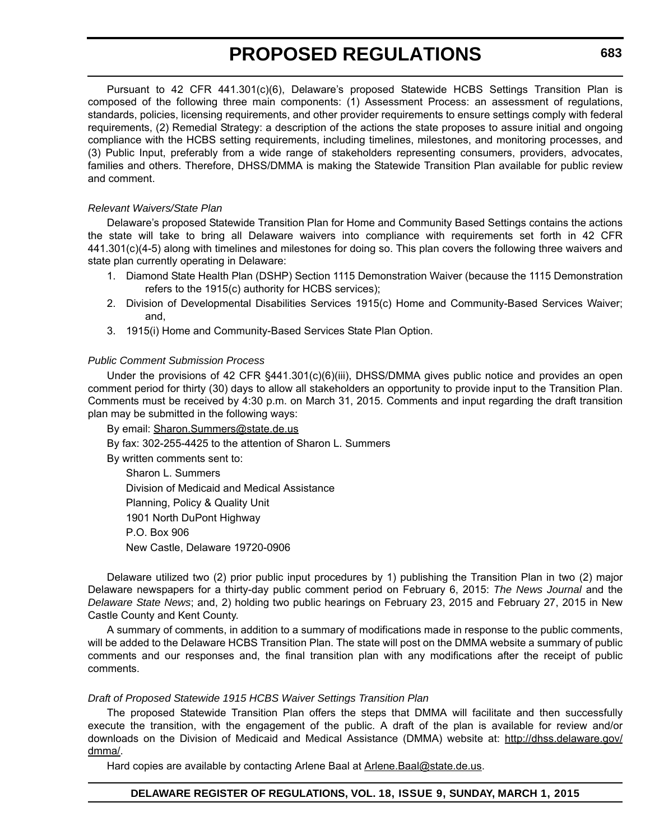# **PROPOSED REGULATIONS**

Pursuant to 42 CFR 441.301(c)(6), Delaware's proposed Statewide HCBS Settings Transition Plan is composed of the following three main components: (1) Assessment Process: an assessment of regulations, standards, policies, licensing requirements, and other provider requirements to ensure settings comply with federal requirements, (2) Remedial Strategy: a description of the actions the state proposes to assure initial and ongoing compliance with the HCBS setting requirements, including timelines, milestones, and monitoring processes, and (3) Public Input, preferably from a wide range of stakeholders representing consumers, providers, advocates, families and others. Therefore, DHSS/DMMA is making the Statewide Transition Plan available for public review and comment.

#### *Relevant Waivers/State Plan*

Delaware's proposed Statewide Transition Plan for Home and Community Based Settings contains the actions the state will take to bring all Delaware waivers into compliance with requirements set forth in 42 CFR 441.301(c)(4-5) along with timelines and milestones for doing so. This plan covers the following three waivers and state plan currently operating in Delaware:

- 1. Diamond State Health Plan (DSHP) Section 1115 Demonstration Waiver (because the 1115 Demonstration refers to the 1915(c) authority for HCBS services);
- 2. Division of Developmental Disabilities Services 1915(c) Home and Community-Based Services Waiver; and,
- 3. 1915(i) Home and Community-Based Services State Plan Option.

#### *Public Comment Submission Process*

Under the provisions of 42 CFR §441.301(c)(6)(iii), DHSS/DMMA gives public notice and provides an open comment period for thirty (30) days to allow all stakeholders an opportunity to provide input to the Transition Plan. Comments must be received by 4:30 p.m. on March 31, 2015. Comments and input regarding the draft transition plan may be submitted in the following ways:

By email: [Sharon.Summers@state.de.us](mailto:Sharon.Summers@state.de.us)

By fax: 302-255-4425 to the attention of Sharon L. Summers

By written comments sent to:

Sharon L. Summers Division of Medicaid and Medical Assistance Planning, Policy & Quality Unit 1901 North DuPont Highway P.O. Box 906 New Castle, Delaware 19720-0906

Delaware utilized two (2) prior public input procedures by 1) publishing the Transition Plan in two (2) major Delaware newspapers for a thirty-day public comment period on February 6, 2015: *The News Journal* and the *Delaware State News*; and, 2) holding two public hearings on February 23, 2015 and February 27, 2015 in New Castle County and Kent County.

A summary of comments, in addition to a summary of modifications made in response to the public comments, will be added to the Delaware HCBS Transition Plan. The state will post on the DMMA website a summary of public comments and our responses and, the final transition plan with any modifications after the receipt of public comments.

#### *Draft of Proposed Statewide 1915 HCBS Waiver Settings Transition Plan*

The proposed Statewide Transition Plan offers the steps that DMMA will facilitate and then successfully execute the transition, with the engagement of the public. A draft of the plan is available for review and/or downloads on the Division of Medicaid and Medical Assistance (DMMA) website at: [http://dhss.delaware.gov/](http://dhss.delaware.gov/dmma/) [dmma/](http://dhss.delaware.gov/dmma/).

Hard copies are available by contacting Arlene Baal at Arlene. Baal@state.de.us.

#### **DELAWARE REGISTER OF REGULATIONS, VOL. 18, ISSUE 9, SUNDAY, MARCH 1, 2015**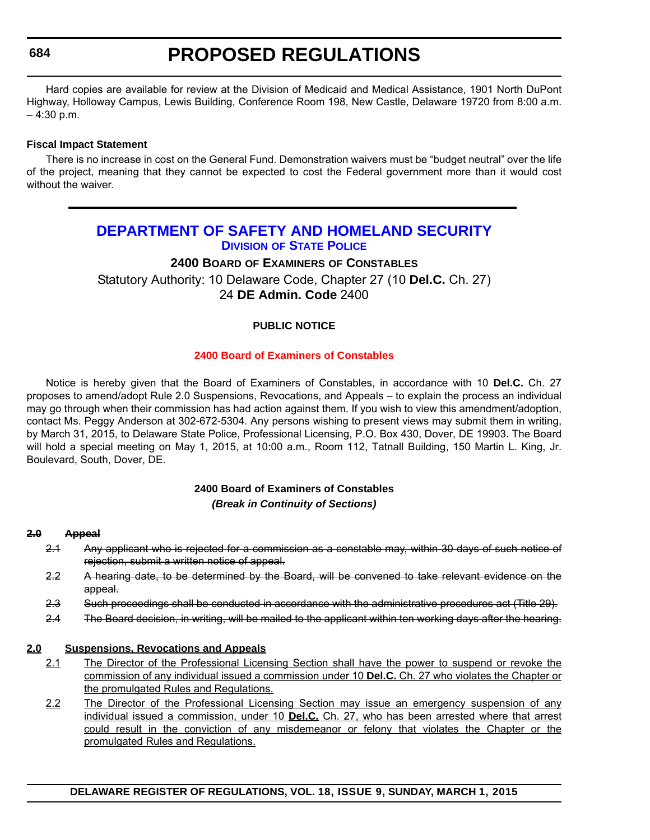# **PROPOSED REGULATIONS**

<span id="page-21-0"></span>Hard copies are available for review at the Division of Medicaid and Medical Assistance, 1901 North DuPont Highway, Holloway Campus, Lewis Building, Conference Room 198, New Castle, Delaware 19720 from 8:00 a.m.  $-4:30$  p.m.

#### **Fiscal Impact Statement**

There is no increase in cost on the General Fund. Demonstration waivers must be "budget neutral" over the life of the project, meaning that they cannot be expected to cost the Federal government more than it would cost without the waiver.

### **[DEPARTMENT OF SAFETY AND HOMELAND SECURITY](http://dsp.delaware.gov/) DIVISION OF STATE POLICE**

#### **2400 BOARD OF EXAMINERS OF CONSTABLES**

Statutory Authority: 10 Delaware Code, Chapter 27 (10 **Del.C.** Ch. 27) 24 **DE Admin. Code** 2400

#### **PUBLIC NOTICE**

#### **[2400 Board of Examiners of Constables](#page-3-0)**

Notice is hereby given that the Board of Examiners of Constables, in accordance with 10 **Del.C.** Ch. 27 proposes to amend/adopt Rule 2.0 Suspensions, Revocations, and Appeals – to explain the process an individual may go through when their commission has had action against them. If you wish to view this amendment/adoption, contact Ms. Peggy Anderson at 302-672-5304. Any persons wishing to present views may submit them in writing, by March 31, 2015, to Delaware State Police, Professional Licensing, P.O. Box 430, Dover, DE 19903. The Board will hold a special meeting on May 1, 2015, at 10:00 a.m., Room 112, Tatnall Building, 150 Martin L. King, Jr. Boulevard, South, Dover, DE.

#### **2400 Board of Examiners of Constables** *(Break in Continuity of Sections)*

#### **2.0 Appeal**

- 2.1 Any applicant who is rejected for a commission as a constable may, within 30 days of such notice of rejection, submit a written notice of appeal.
- 2.2 A hearing date, to be determined by the Board, will be convened to take relevant evidence on the appeal.
- 2.3 Such proceedings shall be conducted in accordance with the administrative procedures act (Title 29).
- 2.4 The Board decision, in writing, will be mailed to the applicant within ten working days after the hearing.

#### **2.0 Suspensions, Revocations and Appeals**

- 2.1 The Director of the Professional Licensing Section shall have the power to suspend or revoke the commission of any individual issued a commission under 10 **Del.C.** Ch. 27 who violates the Chapter or the promulgated Rules and Regulations.
- 2.2 The Director of the Professional Licensing Section may issue an emergency suspension of any individual issued a commission, under 10 **Del.C.** Ch. 27, who has been arrested where that arrest could result in the conviction of any misdemeanor or felony that violates the Chapter or the promulgated Rules and Regulations.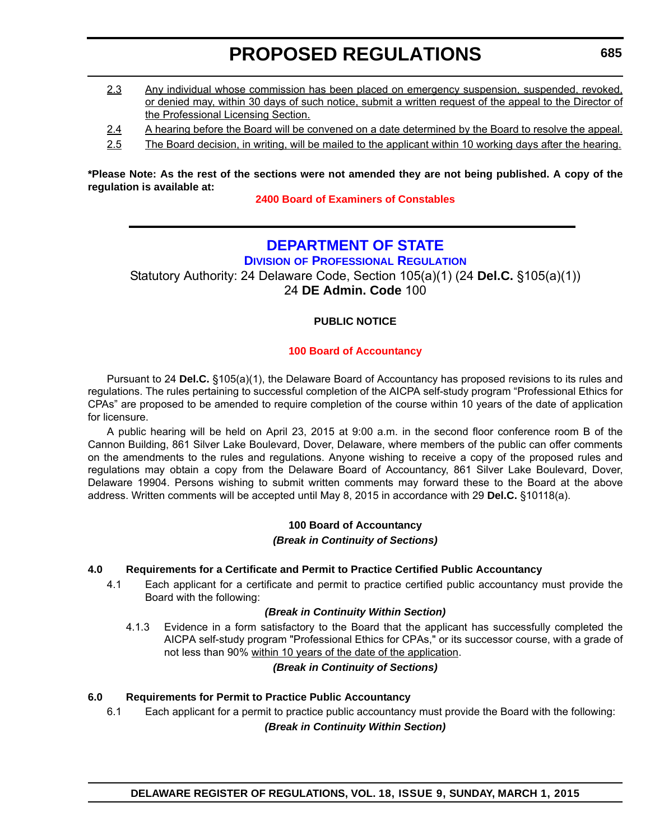# **PROPOSED REGULATIONS**

- <span id="page-22-0"></span>2.3 Any individual whose commission has been placed on emergency suspension, suspended, revoked, or denied may, within 30 days of such notice, submit a written request of the appeal to the Director of the Professional Licensing Section.
- 2.4 A hearing before the Board will be convened on a date determined by the Board to resolve the appeal.
- 2.5 The Board decision, in writing, will be mailed to the applicant within 10 working days after the hearing.

**\*Please Note: As the rest of the sections were not amended they are not being published. A copy of the regulation is available at:**

**[2400 Board of Examiners of Constables](http://regulations.delaware.gov/register/march2015/proposed/18 DE Reg 684 03-01-15.htm)**

### **[DEPARTMENT OF STATE](http://dpr.delaware.gov/)**

**DIVISION OF PROFESSIONAL REGULATION**

Statutory Authority: 24 Delaware Code, Section 105(a)(1) (24 **Del.C.** §105(a)(1))

24 **DE Admin. Code** 100

#### **PUBLIC NOTICE**

#### **[100 Board of Accountancy](#page-3-0)**

Pursuant to 24 **Del.C.** §105(a)(1), the Delaware Board of Accountancy has proposed revisions to its rules and regulations. The rules pertaining to successful completion of the AICPA self-study program "Professional Ethics for CPAs" are proposed to be amended to require completion of the course within 10 years of the date of application for licensure.

A public hearing will be held on April 23, 2015 at 9:00 a.m. in the second floor conference room B of the Cannon Building, 861 Silver Lake Boulevard, Dover, Delaware, where members of the public can offer comments on the amendments to the rules and regulations. Anyone wishing to receive a copy of the proposed rules and regulations may obtain a copy from the Delaware Board of Accountancy, 861 Silver Lake Boulevard, Dover, Delaware 19904. Persons wishing to submit written comments may forward these to the Board at the above address. Written comments will be accepted until May 8, 2015 in accordance with 29 **Del.C.** §10118(a).

#### **100 Board of Accountancy** *(Break in Continuity of Sections)*

#### **4.0 Requirements for a Certificate and Permit to Practice Certified Public Accountancy**

4.1 Each applicant for a certificate and permit to practice certified public accountancy must provide the Board with the following:

#### *(Break in Continuity Within Section)*

4.1.3 Evidence in a form satisfactory to the Board that the applicant has successfully completed the AICPA self-study program "Professional Ethics for CPAs," or its successor course, with a grade of not less than 90% within 10 years of the date of the application.

#### *(Break in Continuity of Sections)*

#### **6.0 Requirements for Permit to Practice Public Accountancy**

6.1 Each applicant for a permit to practice public accountancy must provide the Board with the following:

*(Break in Continuity Within Section)*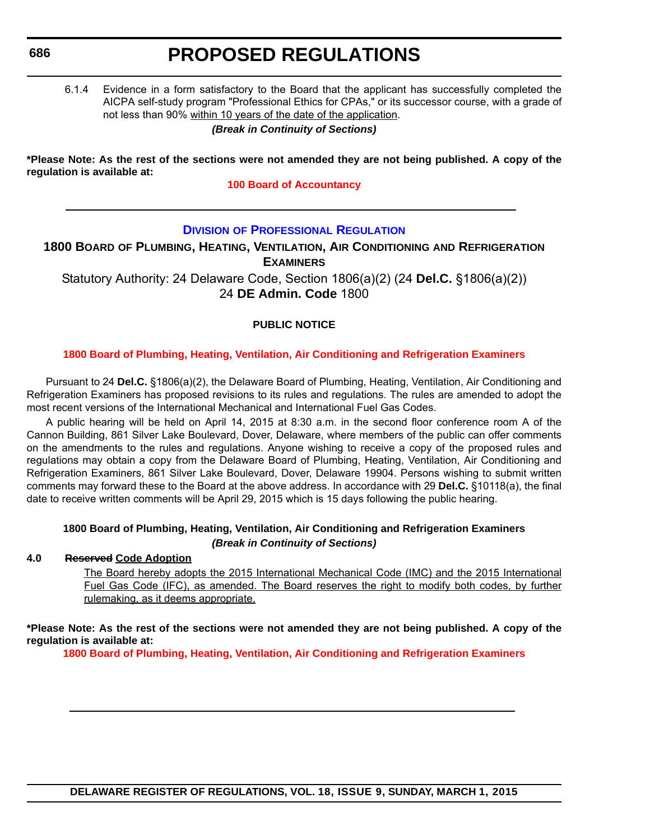# **PROPOSED REGULATIONS**

<span id="page-23-0"></span>6.1.4 Evidence in a form satisfactory to the Board that the applicant has successfully completed the AICPA self-study program "Professional Ethics for CPAs," or its successor course, with a grade of not less than 90% within 10 years of the date of the application.

#### *(Break in Continuity of Sections)*

**\*Please Note: As the rest of the sections were not amended they are not being published. A copy of the regulation is available at:**

**[100 Board of Accountancy](http://regulations.delaware.gov/register/march2015/proposed/18 DE Reg 685 03-01-15.htm)**

#### **DIVISION [OF PROFESSIONAL REGULATION](http://dpr.delaware.gov/)**

**1800 BOARD OF PLUMBING, HEATING, VENTILATION, AIR CONDITIONING AND REFRIGERATION EXAMINERS**

Statutory Authority: 24 Delaware Code, Section 1806(a)(2) (24 **Del.C.** §1806(a)(2)) 24 **DE Admin. Code** 1800

#### **PUBLIC NOTICE**

#### **[1800 Board of Plumbing, Heating, Ventilation, Air Conditioning and Refrigeration Examiners](#page-3-0)**

Pursuant to 24 **Del.C.** §1806(a)(2), the Delaware Board of Plumbing, Heating, Ventilation, Air Conditioning and Refrigeration Examiners has proposed revisions to its rules and regulations. The rules are amended to adopt the most recent versions of the International Mechanical and International Fuel Gas Codes.

A public hearing will be held on April 14, 2015 at 8:30 a.m. in the second floor conference room A of the Cannon Building, 861 Silver Lake Boulevard, Dover, Delaware, where members of the public can offer comments on the amendments to the rules and regulations. Anyone wishing to receive a copy of the proposed rules and regulations may obtain a copy from the Delaware Board of Plumbing, Heating, Ventilation, Air Conditioning and Refrigeration Examiners, 861 Silver Lake Boulevard, Dover, Delaware 19904. Persons wishing to submit written comments may forward these to the Board at the above address. In accordance with 29 **Del.C.** §10118(a), the final date to receive written comments will be April 29, 2015 which is 15 days following the public hearing.

#### **1800 Board of Plumbing, Heating, Ventilation, Air Conditioning and Refrigeration Examiners** *(Break in Continuity of Sections)*

#### **4.0 Reserved Code Adoption**

The Board hereby adopts the 2015 International Mechanical Code (IMC) and the 2015 International Fuel Gas Code (IFC), as amended. The Board reserves the right to modify both codes, by further rulemaking, as it deems appropriate.

**\*Please Note: As the rest of the sections were not amended they are not being published. A copy of the regulation is available at:**

**[1800 Board of Plumbing, Heating, Ventilation, Air Conditioning and Refrigeration Examiners](http://regulations.delaware.gov/register/march2015/proposed/18 DE Reg 686 03-01-15.htm)**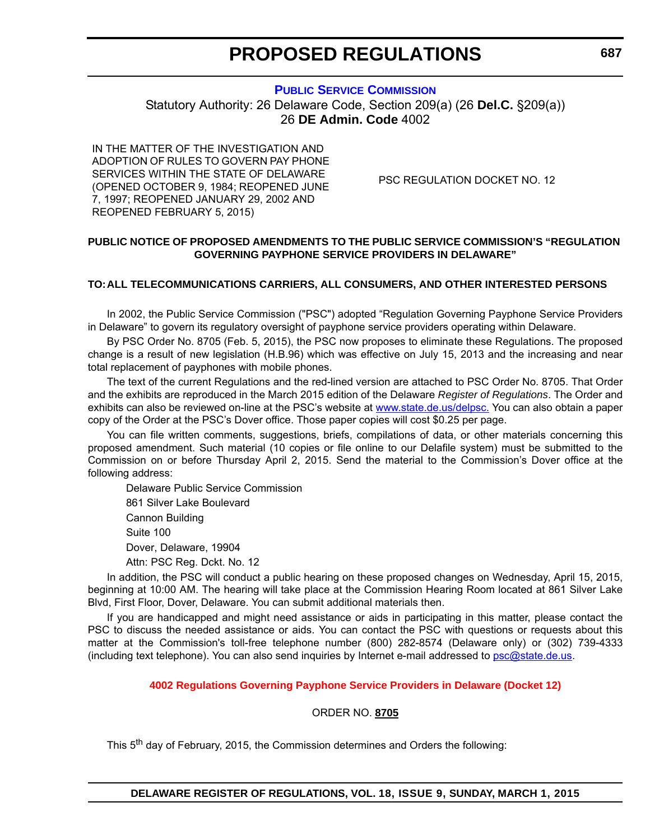# **PROPOSED REGULATIONS**

#### **[PUBLIC SERVICE COMMISSION](http://depsc.delaware.gov/)**

<span id="page-24-0"></span>Statutory Authority: 26 Delaware Code, Section 209(a) (26 **Del.C.** §209(a)) 26 **DE Admin. Code** 4002

IN THE MATTER OF THE INVESTIGATION AND ADOPTION OF RULES TO GOVERN PAY PHONE SERVICES WITHIN THE STATE OF DELAWARE (OPENED OCTOBER 9, 1984; REOPENED JUNE 7, 1997; REOPENED JANUARY 29, 2002 AND REOPENED FEBRUARY 5, 2015)

PSC REGULATION DOCKET NO. 12

#### **PUBLIC NOTICE OF PROPOSED AMENDMENTS TO THE PUBLIC SERVICE COMMISSION'S "REGULATION GOVERNING PAYPHONE SERVICE PROVIDERS IN DELAWARE"**

#### **TO:ALL TELECOMMUNICATIONS CARRIERS, ALL CONSUMERS, AND OTHER INTERESTED PERSONS**

In 2002, the Public Service Commission ("PSC") adopted "Regulation Governing Payphone Service Providers in Delaware" to govern its regulatory oversight of payphone service providers operating within Delaware.

By PSC Order No. 8705 (Feb. 5, 2015), the PSC now proposes to eliminate these Regulations. The proposed change is a result of new legislation (H.B.96) which was effective on July 15, 2013 and the increasing and near total replacement of payphones with mobile phones.

The text of the current Regulations and the red-lined version are attached to PSC Order No. 8705. That Order and the exhibits are reproduced in the March 2015 edition of the Delaware *Register of Regulations*. The Order and exhibits can also be reviewed on-line at the PSC's website at [www.state.de.us/delpsc.](http://www.state.de.us/delpsc,) You can also obtain a paper copy of the Order at the PSC's Dover office. Those paper copies will cost \$0.25 per page.

You can file written comments, suggestions, briefs, compilations of data, or other materials concerning this proposed amendment. Such material (10 copies or file online to our Delafile system) must be submitted to the Commission on or before Thursday April 2, 2015. Send the material to the Commission's Dover office at the following address:

Delaware Public Service Commission 861 Silver Lake Boulevard Cannon Building Suite 100 Dover, Delaware, 19904 Attn: PSC Reg. Dckt. No. 12

In addition, the PSC will conduct a public hearing on these proposed changes on Wednesday, April 15, 2015, beginning at 10:00 AM. The hearing will take place at the Commission Hearing Room located at 861 Silver Lake Blvd, First Floor, Dover, Delaware. You can submit additional materials then.

If you are handicapped and might need assistance or aids in participating in this matter, please contact the PSC to discuss the needed assistance or aids. You can contact the PSC with questions or requests about this matter at the Commission's toll-free telephone number (800) 282-8574 (Delaware only) or (302) 739-4333 (including text telephone). You can also send inquiries by Internet e-mail addressed to [psc@state.de.us](mailto:psc@state.de.us).

#### **[4002 Regulations Governing Payphone Service Providers in Delaware \(Docket 12\)](#page-3-0)**

#### ORDER NO. **8705**

This 5<sup>th</sup> day of February, 2015, the Commission determines and Orders the following: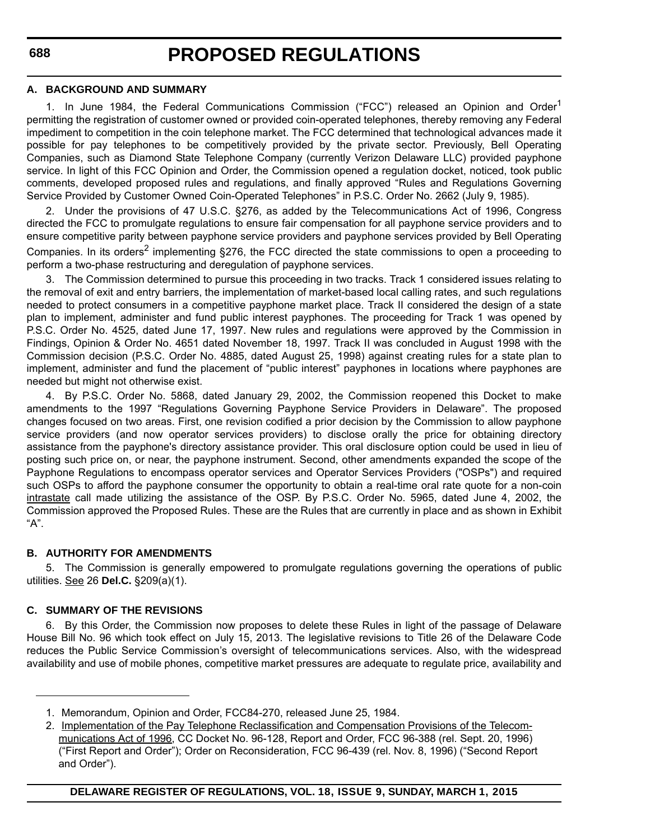#### **A. BACKGROUND AND SUMMARY**

1. In June 1984, the Federal Communications Commission ("FCC") released an Opinion and Order<sup>1</sup> permitting the registration of customer owned or provided coin-operated telephones, thereby removing any Federal impediment to competition in the coin telephone market. The FCC determined that technological advances made it possible for pay telephones to be competitively provided by the private sector. Previously, Bell Operating Companies, such as Diamond State Telephone Company (currently Verizon Delaware LLC) provided payphone service. In light of this FCC Opinion and Order, the Commission opened a regulation docket, noticed, took public comments, developed proposed rules and regulations, and finally approved "Rules and Regulations Governing Service Provided by Customer Owned Coin-Operated Telephones" in P.S.C. Order No. 2662 (July 9, 1985).

2. Under the provisions of 47 U.S.C. §276, as added by the Telecommunications Act of 1996, Congress directed the FCC to promulgate regulations to ensure fair compensation for all payphone service providers and to ensure competitive parity between payphone service providers and payphone services provided by Bell Operating Companies. In its orders<sup>2</sup> implementing §276, the FCC directed the state commissions to open a proceeding to perform a two-phase restructuring and deregulation of payphone services.

The Commission determined to pursue this proceeding in two tracks. Track 1 considered issues relating to the removal of exit and entry barriers, the implementation of market-based local calling rates, and such regulations needed to protect consumers in a competitive payphone market place. Track II considered the design of a state plan to implement, administer and fund public interest payphones. The proceeding for Track 1 was opened by P.S.C. Order No. 4525, dated June 17, 1997. New rules and regulations were approved by the Commission in Findings, Opinion & Order No. 4651 dated November 18, 1997. Track II was concluded in August 1998 with the Commission decision (P.S.C. Order No. 4885, dated August 25, 1998) against creating rules for a state plan to implement, administer and fund the placement of "public interest" payphones in locations where payphones are needed but might not otherwise exist.

4. By P.S.C. Order No. 5868, dated January 29, 2002, the Commission reopened this Docket to make amendments to the 1997 "Regulations Governing Payphone Service Providers in Delaware". The proposed changes focused on two areas. First, one revision codified a prior decision by the Commission to allow payphone service providers (and now operator services providers) to disclose orally the price for obtaining directory assistance from the payphone's directory assistance provider. This oral disclosure option could be used in lieu of posting such price on, or near, the payphone instrument. Second, other amendments expanded the scope of the Payphone Regulations to encompass operator services and Operator Services Providers ("OSPs") and required such OSPs to afford the payphone consumer the opportunity to obtain a real-time oral rate quote for a non-coin intrastate call made utilizing the assistance of the OSP. By P.S.C. Order No. 5965, dated June 4, 2002, the Commission approved the Proposed Rules. These are the Rules that are currently in place and as shown in Exhibit "A".

#### **B. AUTHORITY FOR AMENDMENTS**

5. The Commission is generally empowered to promulgate regulations governing the operations of public utilities. See 26 **Del.C.** §209(a)(1).

#### **C. SUMMARY OF THE REVISIONS**

6. By this Order, the Commission now proposes to delete these Rules in light of the passage of Delaware House Bill No. 96 which took effect on July 15, 2013. The legislative revisions to Title 26 of the Delaware Code reduces the Public Service Commission's oversight of telecommunications services. Also, with the widespread availability and use of mobile phones, competitive market pressures are adequate to regulate price, availability and

<sup>1.</sup> Memorandum, Opinion and Order, FCC84-270, released June 25, 1984.

<sup>2.</sup> Implementation of the Pay Telephone Reclassification and Compensation Provisions of the Telecommunications Act of 1996, CC Docket No. 96-128, Report and Order, FCC 96-388 (rel. Sept. 20, 1996) ("First Report and Order"); Order on Reconsideration, FCC 96-439 (rel. Nov. 8, 1996) ("Second Report and Order").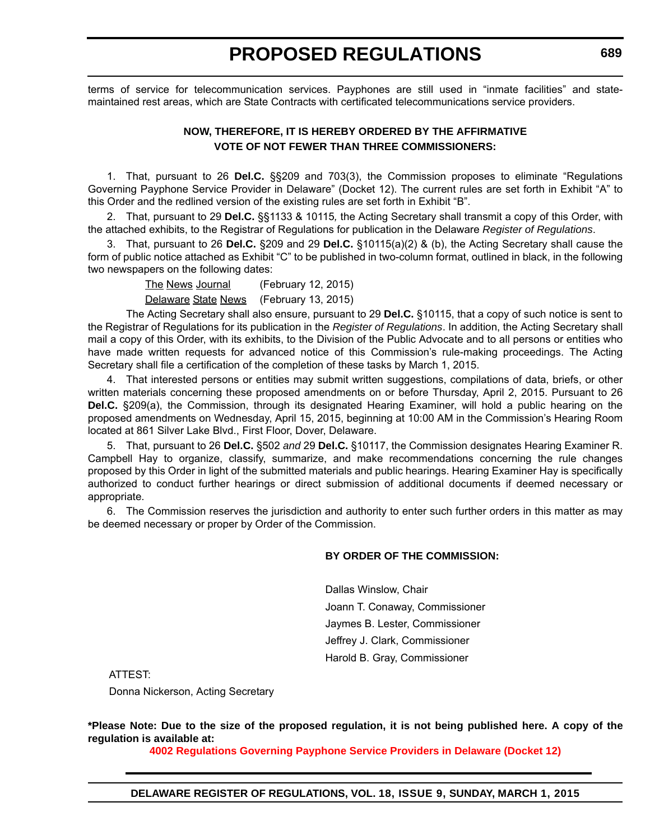# **PROPOSED REGULATIONS**

terms of service for telecommunication services. Payphones are still used in "inmate facilities" and statemaintained rest areas, which are State Contracts with certificated telecommunications service providers.

#### **NOW, THEREFORE, IT IS HEREBY ORDERED BY THE AFFIRMATIVE VOTE OF NOT FEWER THAN THREE COMMISSIONERS:**

1. That, pursuant to 26 **Del.C.** §§209 and 703(3), the Commission proposes to eliminate "Regulations Governing Payphone Service Provider in Delaware" (Docket 12). The current rules are set forth in Exhibit "A" to this Order and the redlined version of the existing rules are set forth in Exhibit "B".

2. That, pursuant to 29 **Del.C.** §§1133 & 10115*,* the Acting Secretary shall transmit a copy of this Order, with the attached exhibits, to the Registrar of Regulations for publication in the Delaware *Register of Regulations*.

3. That, pursuant to 26 **Del.C.** §209 and 29 **Del.C.** §10115(a)(2) & (b), the Acting Secretary shall cause the form of public notice attached as Exhibit "C" to be published in two-column format, outlined in black, in the following two newspapers on the following dates:

> The News Journal (February 12, 2015) Delaware State News (February 13, 2015)

The Acting Secretary shall also ensure, pursuant to 29 **Del.C.** §10115, that a copy of such notice is sent to the Registrar of Regulations for its publication in the *Register of Regulations*. In addition, the Acting Secretary shall mail a copy of this Order, with its exhibits, to the Division of the Public Advocate and to all persons or entities who have made written requests for advanced notice of this Commission's rule-making proceedings. The Acting Secretary shall file a certification of the completion of these tasks by March 1, 2015.

4. That interested persons or entities may submit written suggestions, compilations of data, briefs, or other written materials concerning these proposed amendments on or before Thursday, April 2, 2015. Pursuant to 26 **Del.C.** §209(a), the Commission, through its designated Hearing Examiner, will hold a public hearing on the proposed amendments on Wednesday, April 15, 2015, beginning at 10:00 AM in the Commission's Hearing Room located at 861 Silver Lake Blvd., First Floor, Dover, Delaware.

5. That, pursuant to 26 **Del.C.** §502 *and* 29 **Del.C.** §10117, the Commission designates Hearing Examiner R. Campbell Hay to organize, classify, summarize, and make recommendations concerning the rule changes proposed by this Order in light of the submitted materials and public hearings. Hearing Examiner Hay is specifically authorized to conduct further hearings or direct submission of additional documents if deemed necessary or appropriate.

6. The Commission reserves the jurisdiction and authority to enter such further orders in this matter as may be deemed necessary or proper by Order of the Commission.

#### **BY ORDER OF THE COMMISSION:**

Dallas Winslow, Chair Joann T. Conaway, Commissioner Jaymes B. Lester, Commissioner Jeffrey J. Clark, Commissioner Harold B. Gray, Commissioner

ATTEST:

Donna Nickerson, Acting Secretary

**\*Please Note: Due to the size of the proposed regulation, it is not being published here. A copy of the regulation is available at:**

**[4002 Regulations Governing Payphone Service Providers in Delaware \(Docket 12\)](http://regulations.delaware.gov/register/march2015/proposed/18 DE Reg 687 03-01-15.htm)**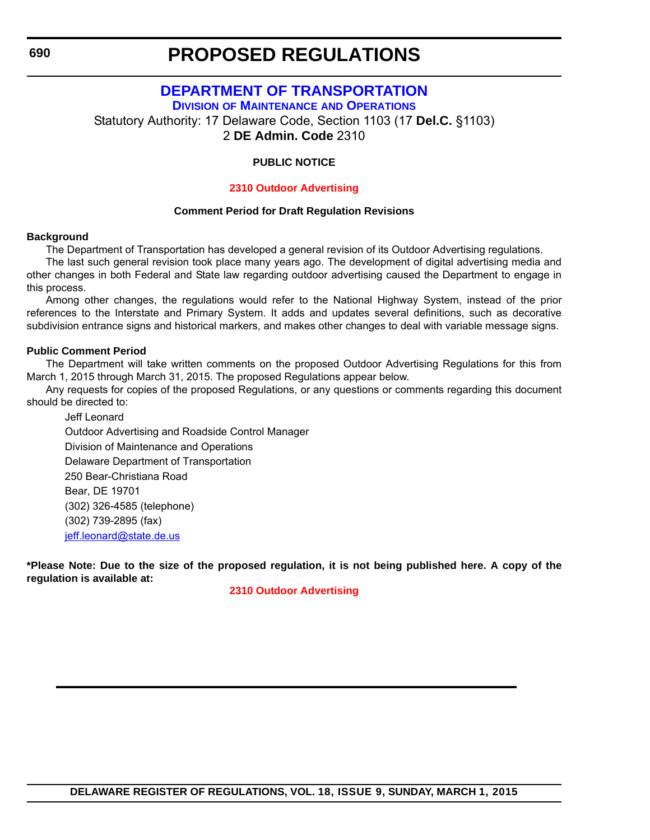### **PROPOSED REGULATIONS**

### **[DEPARTMENT OF TRANSPORTATION](http://www.deldot.gov/home/divisions/)**

**DIVISION OF MAINTENANCE AND OPERATIONS**

<span id="page-27-0"></span>Statutory Authority: 17 Delaware Code, Section 1103 (17 **Del.C.** §1103)

2 **DE Admin. Code** 2310

#### **PUBLIC NOTICE**

#### **[2310 Outdoor Advertising](#page-3-0)**

#### **Comment Period for Draft Regulation Revisions**

#### **Background**

The Department of Transportation has developed a general revision of its Outdoor Advertising regulations.

The last such general revision took place many years ago. The development of digital advertising media and other changes in both Federal and State law regarding outdoor advertising caused the Department to engage in this process.

Among other changes, the regulations would refer to the National Highway System, instead of the prior references to the Interstate and Primary System. It adds and updates several definitions, such as decorative subdivision entrance signs and historical markers, and makes other changes to deal with variable message signs.

#### **Public Comment Period**

The Department will take written comments on the proposed Outdoor Advertising Regulations for this from March 1, 2015 through March 31, 2015. The proposed Regulations appear below.

Any requests for copies of the proposed Regulations, or any questions or comments regarding this document should be directed to:

Jeff Leonard Outdoor Advertising and Roadside Control Manager Division of Maintenance and Operations Delaware Department of Transportation 250 Bear-Christiana Road Bear, DE 19701 (302) 326-4585 (telephone) (302) 739-2895 (fax) [jeff.leonard@state.de.us](mailto:jeff.leonard@state.de.us)

**\*Please Note: Due to the size of the proposed regulation, it is not being published here. A copy of the regulation is available at:**

#### **[2310 Outdoor Advertising](http://regulations.delaware.gov/register/march2015/proposed/18 DE Reg 690 03-01-15.htm)**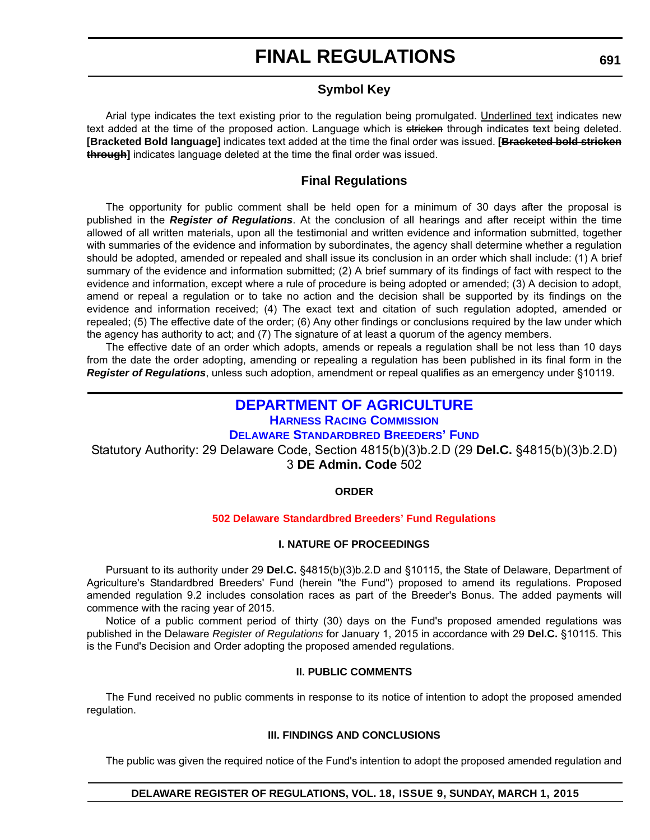# **FINAL REGULATIONS**

#### **Symbol Key**

<span id="page-28-0"></span>Arial type indicates the text existing prior to the regulation being promulgated. Underlined text indicates new text added at the time of the proposed action. Language which is stricken through indicates text being deleted. **[Bracketed Bold language]** indicates text added at the time the final order was issued. **[Bracketed bold stricken through]** indicates language deleted at the time the final order was issued.

#### **Final Regulations**

The opportunity for public comment shall be held open for a minimum of 30 days after the proposal is published in the *Register of Regulations*. At the conclusion of all hearings and after receipt within the time allowed of all written materials, upon all the testimonial and written evidence and information submitted, together with summaries of the evidence and information by subordinates, the agency shall determine whether a regulation should be adopted, amended or repealed and shall issue its conclusion in an order which shall include: (1) A brief summary of the evidence and information submitted; (2) A brief summary of its findings of fact with respect to the evidence and information, except where a rule of procedure is being adopted or amended; (3) A decision to adopt, amend or repeal a regulation or to take no action and the decision shall be supported by its findings on the evidence and information received; (4) The exact text and citation of such regulation adopted, amended or repealed; (5) The effective date of the order; (6) Any other findings or conclusions required by the law under which the agency has authority to act; and (7) The signature of at least a quorum of the agency members.

The effective date of an order which adopts, amends or repeals a regulation shall be not less than 10 days from the date the order adopting, amending or repealing a regulation has been published in its final form in the *Register of Regulations*, unless such adoption, amendment or repeal qualifies as an emergency under §10119.

#### **[DEPARTMENT OF AGRICULTURE](http://desbf.delaware.gov/) HARNESS RACING COMMISSION DELAWARE STANDARDBRED BREEDERS' FUND**

Statutory Authority: 29 Delaware Code, Section 4815(b)(3)b.2.D (29 **Del.C.** §4815(b)(3)b.2.D) 3 **DE Admin. Code** 502

#### **ORDER**

#### **502 Delaware [Standardbred Breeders' Fund Regulations](#page-3-0)**

#### **I. NATURE OF PROCEEDINGS**

Pursuant to its authority under 29 **Del.C.** §4815(b)(3)b.2.D and §10115, the State of Delaware, Department of Agriculture's Standardbred Breeders' Fund (herein "the Fund") proposed to amend its regulations. Proposed amended regulation 9.2 includes consolation races as part of the Breeder's Bonus. The added payments will commence with the racing year of 2015.

Notice of a public comment period of thirty (30) days on the Fund's proposed amended regulations was published in the Delaware *Register of Regulations* for January 1, 2015 in accordance with 29 **Del.C.** §10115. This is the Fund's Decision and Order adopting the proposed amended regulations.

#### **II. PUBLIC COMMENTS**

The Fund received no public comments in response to its notice of intention to adopt the proposed amended regulation.

#### **III. FINDINGS AND CONCLUSIONS**

The public was given the required notice of the Fund's intention to adopt the proposed amended regulation and

#### **DELAWARE REGISTER OF REGULATIONS, VOL. 18, ISSUE 9, SUNDAY, MARCH 1, 2015**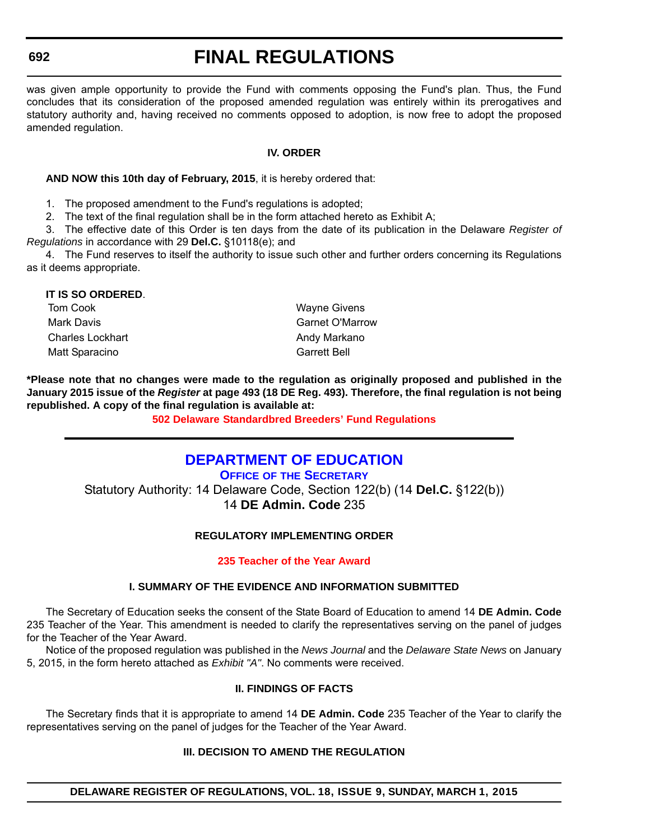# **FINAL REGULATIONS**

<span id="page-29-0"></span>was given ample opportunity to provide the Fund with comments opposing the Fund's plan. Thus, the Fund concludes that its consideration of the proposed amended regulation was entirely within its prerogatives and statutory authority and, having received no comments opposed to adoption, is now free to adopt the proposed amended regulation.

#### **IV. ORDER**

#### **AND NOW this 10th day of February, 2015**, it is hereby ordered that:

1. The proposed amendment to the Fund's regulations is adopted;

2. The text of the final regulation shall be in the form attached hereto as Exhibit A;

3. The effective date of this Order is ten days from the date of its publication in the Delaware *Register of Regulations* in accordance with 29 **Del.C.** §10118(e); and

4. The Fund reserves to itself the authority to issue such other and further orders concerning its Regulations as it deems appropriate.

| IT IS SO ORDERED.       |                        |
|-------------------------|------------------------|
| Tom Cook                | <b>Wayne Givens</b>    |
| Mark Davis              | <b>Garnet O'Marrow</b> |
| <b>Charles Lockhart</b> | Andy Markano           |
| Matt Sparacino          | <b>Garrett Bell</b>    |

**\*Please note that no changes were made to the regulation as originally proposed and published in the January 2015 issue of the** *Register* **at page 493 (18 DE Reg. 493). Therefore, the final regulation is not being republished. A copy of the final regulation is available at:**

**[502 Delaware](http://regulations.delaware.gov/register/march2015/final/18 DE Reg 691 03-01-15.htm) Standardbred Breeders' Fund Regulations**

### **[DEPARTMENT OF EDUCATION](http://www.doe.k12.de.us/site/default.aspx?PageID=1)**

**OFFICE OF THE SECRETARY** Statutory Authority: 14 Delaware Code, Section 122(b) (14 **Del.C.** §122(b)) 14 **DE Admin. Code** 235

#### **REGULATORY IMPLEMENTING ORDER**

#### **[235 Teacher of the Year Award](#page-3-0)**

#### **I. SUMMARY OF THE EVIDENCE AND INFORMATION SUBMITTED**

The Secretary of Education seeks the consent of the State Board of Education to amend 14 **DE Admin. Code** 235 Teacher of the Year. This amendment is needed to clarify the representatives serving on the panel of judges for the Teacher of the Year Award.

Notice of the proposed regulation was published in the *News Journal* and the *Delaware State News* on January 5, 2015, in the form hereto attached as *Exhibit "A"*. No comments were received.

#### **II. FINDINGS OF FACTS**

The Secretary finds that it is appropriate to amend 14 **DE Admin. Code** 235 Teacher of the Year to clarify the representatives serving on the panel of judges for the Teacher of the Year Award.

#### **III. DECISION TO AMEND THE REGULATION**

**DELAWARE REGISTER OF REGULATIONS, VOL. 18, ISSUE 9, SUNDAY, MARCH 1, 2015**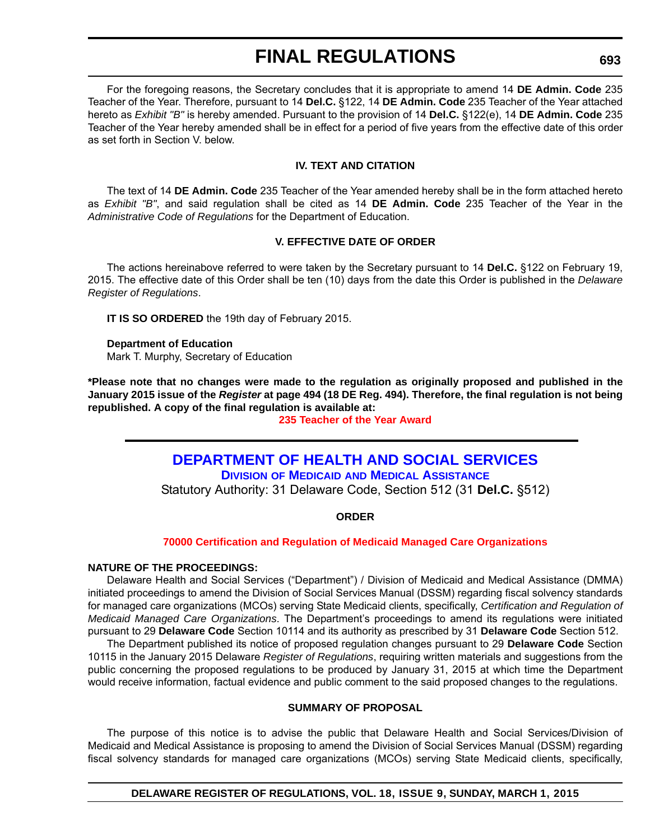# **FINAL REGULATIONS**

<span id="page-30-0"></span>For the foregoing reasons, the Secretary concludes that it is appropriate to amend 14 **DE Admin. Code** 235 Teacher of the Year. Therefore, pursuant to 14 **Del.C.** §122, 14 **DE Admin. Code** 235 Teacher of the Year attached hereto as *Exhibit "B"* is hereby amended. Pursuant to the provision of 14 **Del.C.** §122(e), 14 **DE Admin. Code** 235 Teacher of the Year hereby amended shall be in effect for a period of five years from the effective date of this order as set forth in Section V. below.

#### **IV. TEXT AND CITATION**

The text of 14 **DE Admin. Code** 235 Teacher of the Year amended hereby shall be in the form attached hereto as *Exhibit "B"*, and said regulation shall be cited as 14 **DE Admin. Code** 235 Teacher of the Year in the *Administrative Code of Regulations* for the Department of Education.

#### **V. EFFECTIVE DATE OF ORDER**

The actions hereinabove referred to were taken by the Secretary pursuant to 14 **Del.C.** §122 on February 19, 2015. The effective date of this Order shall be ten (10) days from the date this Order is published in the *Delaware Register of Regulations*.

**IT IS SO ORDERED** the 19th day of February 2015.

#### **Department of Education** Mark T. Murphy, Secretary of Education

**\*Please note that no changes were made to the regulation as originally proposed and published in the January 2015 issue of the** *Register* **at page 494 (18 DE Reg. 494). Therefore, the final regulation is not being republished. A copy of the final regulation is available at:**

#### **[235 Teacher of the Year Award](http://regulations.delaware.gov/register/march2015/final/18 DE Reg 692 03-01-15.htm)**

### **[DEPARTMENT OF HEALTH AND SOCIAL SERVICES](http://www.dhss.delaware.gov/dhss/dmma/)**

**DIVISION OF MEDICAID AND MEDICAL ASSISTANCE**

Statutory Authority: 31 Delaware Code, Section 512 (31 **Del.C.** §512)

#### **ORDER**

#### **[70000 Certification and Regulation of Medicaid Managed Care Organizations](#page-4-0)**

#### **NATURE OF THE PROCEEDINGS:**

Delaware Health and Social Services ("Department") / Division of Medicaid and Medical Assistance (DMMA) initiated proceedings to amend the Division of Social Services Manual (DSSM) regarding fiscal solvency standards for managed care organizations (MCOs) serving State Medicaid clients, specifically, *Certification and Regulation of Medicaid Managed Care Organizations*. The Department's proceedings to amend its regulations were initiated pursuant to 29 **Delaware Code** Section 10114 and its authority as prescribed by 31 **Delaware Code** Section 512.

The Department published its notice of proposed regulation changes pursuant to 29 **Delaware Code** Section 10115 in the January 2015 Delaware *Register of Regulations*, requiring written materials and suggestions from the public concerning the proposed regulations to be produced by January 31, 2015 at which time the Department would receive information, factual evidence and public comment to the said proposed changes to the regulations.

#### **SUMMARY OF PROPOSAL**

The purpose of this notice is to advise the public that Delaware Health and Social Services/Division of Medicaid and Medical Assistance is proposing to amend the Division of Social Services Manual (DSSM) regarding fiscal solvency standards for managed care organizations (MCOs) serving State Medicaid clients, specifically,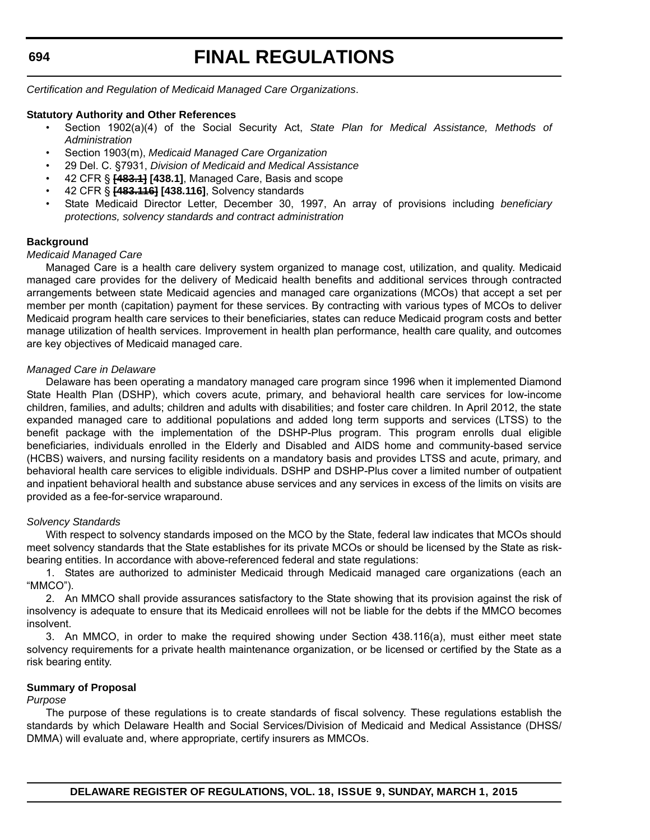# **FINAL REGULATIONS**

*Certification and Regulation of Medicaid Managed Care Organizations*.

#### **Statutory Authority and Other References**

- Section 1902(a)(4) of the Social Security Act, *State Plan for Medical Assistance, Methods of Administration*
- Section 1903(m), *Medicaid Managed Care Organization*
- 29 Del. C. §7931, *Division of Medicaid and Medical Assistance*
- 42 CFR § **[483.1] [438.1]**, Managed Care, Basis and scope
- 42 CFR § **[483.116] [438.116]**, Solvency standards
- State Medicaid Director Letter, December 30, 1997, An array of provisions including *beneficiary protections, solvency standards and contract administration*

#### **Background**

#### *Medicaid Managed Care*

Managed Care is a health care delivery system organized to manage cost, utilization, and quality. Medicaid managed care provides for the delivery of Medicaid health benefits and additional services through contracted arrangements between state Medicaid agencies and managed care organizations (MCOs) that accept a set per member per month (capitation) payment for these services. By contracting with various types of MCOs to deliver Medicaid program health care services to their beneficiaries, states can reduce Medicaid program costs and better manage utilization of health services. Improvement in health plan performance, health care quality, and outcomes are key objectives of Medicaid managed care.

#### *Managed Care in Delaware*

Delaware has been operating a mandatory managed care program since 1996 when it implemented Diamond State Health Plan (DSHP), which covers acute, primary, and behavioral health care services for low-income children, families, and adults; children and adults with disabilities; and foster care children. In April 2012, the state expanded managed care to additional populations and added long term supports and services (LTSS) to the benefit package with the implementation of the DSHP-Plus program. This program enrolls dual eligible beneficiaries, individuals enrolled in the Elderly and Disabled and AIDS home and community-based service (HCBS) waivers, and nursing facility residents on a mandatory basis and provides LTSS and acute, primary, and behavioral health care services to eligible individuals. DSHP and DSHP-Plus cover a limited number of outpatient and inpatient behavioral health and substance abuse services and any services in excess of the limits on visits are provided as a fee-for-service wraparound.

#### *Solvency Standards*

With respect to solvency standards imposed on the MCO by the State, federal law indicates that MCOs should meet solvency standards that the State establishes for its private MCOs or should be licensed by the State as riskbearing entities. In accordance with above-referenced federal and state regulations:

1. States are authorized to administer Medicaid through Medicaid managed care organizations (each an "MMCO").

2. An MMCO shall provide assurances satisfactory to the State showing that its provision against the risk of insolvency is adequate to ensure that its Medicaid enrollees will not be liable for the debts if the MMCO becomes insolvent.

3. An MMCO, in order to make the required showing under Section 438.116(a), must either meet state solvency requirements for a private health maintenance organization, or be licensed or certified by the State as a risk bearing entity.

#### **Summary of Proposal**

#### *Purpose*

The purpose of these regulations is to create standards of fiscal solvency. These regulations establish the standards by which Delaware Health and Social Services/Division of Medicaid and Medical Assistance (DHSS/ DMMA) will evaluate and, where appropriate, certify insurers as MMCOs.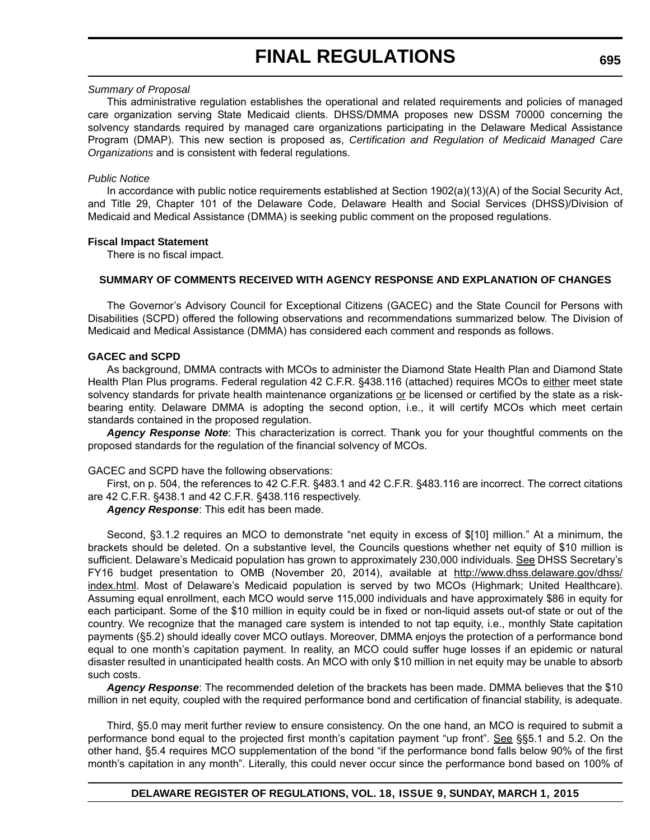# **FINAL REGULATIONS**

#### *Summary of Proposal*

This administrative regulation establishes the operational and related requirements and policies of managed care organization serving State Medicaid clients. DHSS/DMMA proposes new DSSM 70000 concerning the solvency standards required by managed care organizations participating in the Delaware Medical Assistance Program (DMAP). This new section is proposed as, *Certification and Regulation of Medicaid Managed Care Organizations* and is consistent with federal regulations.

#### *Public Notice*

In accordance with public notice requirements established at Section 1902(a)(13)(A) of the Social Security Act, and Title 29, Chapter 101 of the Delaware Code, Delaware Health and Social Services (DHSS)/Division of Medicaid and Medical Assistance (DMMA) is seeking public comment on the proposed regulations.

#### **Fiscal Impact Statement**

There is no fiscal impact.

#### **SUMMARY OF COMMENTS RECEIVED WITH AGENCY RESPONSE AND EXPLANATION OF CHANGES**

The Governor's Advisory Council for Exceptional Citizens (GACEC) and the State Council for Persons with Disabilities (SCPD) offered the following observations and recommendations summarized below. The Division of Medicaid and Medical Assistance (DMMA) has considered each comment and responds as follows.

#### **GACEC and SCPD**

As background, DMMA contracts with MCOs to administer the Diamond State Health Plan and Diamond State Health Plan Plus programs. Federal regulation 42 C.F.R. §438.116 (attached) requires MCOs to either meet state solvency standards for private health maintenance organizations or be licensed or certified by the state as a riskbearing entity. Delaware DMMA is adopting the second option, i.e., it will certify MCOs which meet certain standards contained in the proposed regulation.

*Agency Response Note*: This characterization is correct. Thank you for your thoughtful comments on the proposed standards for the regulation of the financial solvency of MCOs.

GACEC and SCPD have the following observations:

First, on p. 504, the references to 42 C.F.R. §483.1 and 42 C.F.R. §483.116 are incorrect. The correct citations are 42 C.F.R. §438.1 and 42 C.F.R. §438.116 respectively.

*Agency Response*: This edit has been made.

Second, §3.1.2 requires an MCO to demonstrate "net equity in excess of \$[10] million." At a minimum, the brackets should be deleted. On a substantive level, the Councils questions whether net equity of \$10 million is sufficient. Delaware's Medicaid population has grown to approximately 230,000 individuals. See DHSS Secretary's FY16 budget presentation to OMB (November 20, 2014), available at [http://www.dhss.delaware.gov/dhss/](http://www.dhss.delaware.gov/dhss/index.html) [index.html](http://www.dhss.delaware.gov/dhss/index.html). Most of Delaware's Medicaid population is served by two MCOs (Highmark; United Healthcare). Assuming equal enrollment, each MCO would serve 115,000 individuals and have approximately \$86 in equity for each participant. Some of the \$10 million in equity could be in fixed or non-liquid assets out-of state or out of the country. We recognize that the managed care system is intended to not tap equity, i.e., monthly State capitation payments (§5.2) should ideally cover MCO outlays. Moreover, DMMA enjoys the protection of a performance bond equal to one month's capitation payment. In reality, an MCO could suffer huge losses if an epidemic or natural disaster resulted in unanticipated health costs. An MCO with only \$10 million in net equity may be unable to absorb such costs.

*Agency Response*: The recommended deletion of the brackets has been made. DMMA believes that the \$10 million in net equity, coupled with the required performance bond and certification of financial stability, is adequate.

Third, §5.0 may merit further review to ensure consistency. On the one hand, an MCO is required to submit a performance bond equal to the projected first month's capitation payment "up front". See §§5.1 and 5.2. On the other hand, §5.4 requires MCO supplementation of the bond "if the performance bond falls below 90% of the first month's capitation in any month". Literally, this could never occur since the performance bond based on 100% of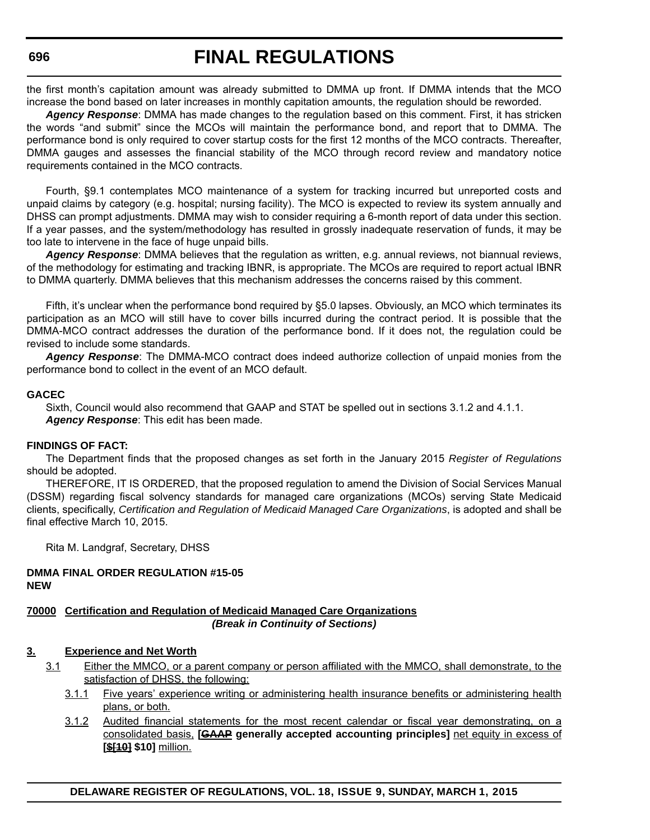# **FINAL REGULATIONS**

the first month's capitation amount was already submitted to DMMA up front. If DMMA intends that the MCO increase the bond based on later increases in monthly capitation amounts, the regulation should be reworded.

*Agency Response*: DMMA has made changes to the regulation based on this comment. First, it has stricken the words "and submit" since the MCOs will maintain the performance bond, and report that to DMMA. The performance bond is only required to cover startup costs for the first 12 months of the MCO contracts. Thereafter, DMMA gauges and assesses the financial stability of the MCO through record review and mandatory notice requirements contained in the MCO contracts.

Fourth, §9.1 contemplates MCO maintenance of a system for tracking incurred but unreported costs and unpaid claims by category (e.g. hospital; nursing facility). The MCO is expected to review its system annually and DHSS can prompt adjustments. DMMA may wish to consider requiring a 6-month report of data under this section. If a year passes, and the system/methodology has resulted in grossly inadequate reservation of funds, it may be too late to intervene in the face of huge unpaid bills.

*Agency Response*: DMMA believes that the regulation as written, e.g. annual reviews, not biannual reviews, of the methodology for estimating and tracking IBNR, is appropriate. The MCOs are required to report actual IBNR to DMMA quarterly. DMMA believes that this mechanism addresses the concerns raised by this comment.

Fifth, it's unclear when the performance bond required by §5.0 lapses. Obviously, an MCO which terminates its participation as an MCO will still have to cover bills incurred during the contract period. It is possible that the DMMA-MCO contract addresses the duration of the performance bond. If it does not, the regulation could be revised to include some standards.

*Agency Response*: The DMMA-MCO contract does indeed authorize collection of unpaid monies from the performance bond to collect in the event of an MCO default.

#### **GACEC**

Sixth, Council would also recommend that GAAP and STAT be spelled out in sections 3.1.2 and 4.1.1. *Agency Response*: This edit has been made.

#### **FINDINGS OF FACT:**

The Department finds that the proposed changes as set forth in the January 2015 *Register of Regulations* should be adopted.

THEREFORE, IT IS ORDERED, that the proposed regulation to amend the Division of Social Services Manual (DSSM) regarding fiscal solvency standards for managed care organizations (MCOs) serving State Medicaid clients, specifically, *Certification and Regulation of Medicaid Managed Care Organizations*, is adopted and shall be final effective March 10, 2015.

Rita M. Landgraf, Secretary, DHSS

#### **DMMA FINAL ORDER REGULATION #15-05 NEW**

#### **70000 Certification and Regulation of Medicaid Managed Care Organizations** *(Break in Continuity of Sections)*

#### **3. Experience and Net Worth**

- 3.1 Either the MMCO, or a parent company or person affiliated with the MMCO, shall demonstrate, to the satisfaction of DHSS, the following:
	- 3.1.1 Five years' experience writing or administering health insurance benefits or administering health plans, or both.
	- 3.1.2 Audited financial statements for the most recent calendar or fiscal year demonstrating, on a consolidated basis, **[GAAP generally accepted accounting principles]** net equity in excess of **[\$[10] \$10]** million.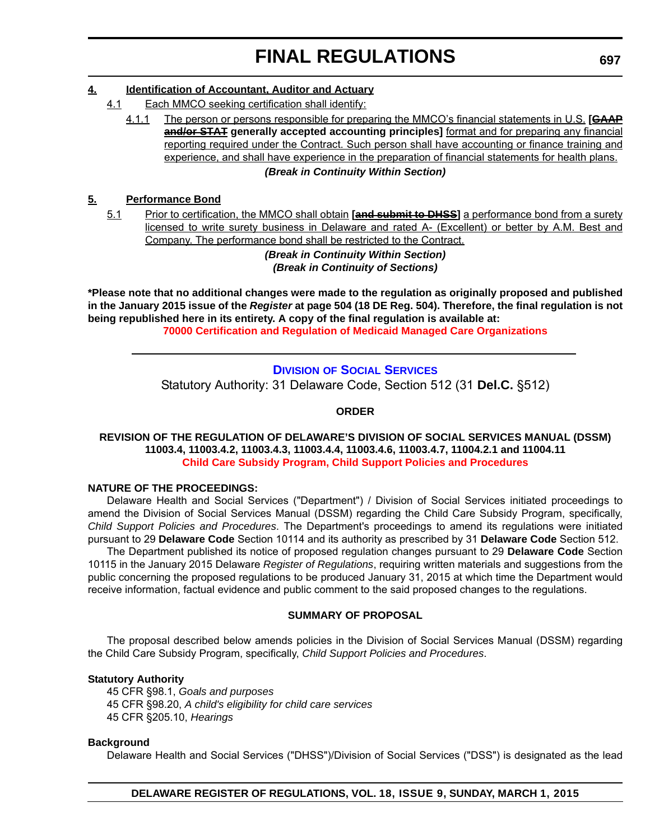#### <span id="page-34-0"></span>**4. Identification of Accountant, Auditor and Actuary**

- 4.1 Each MMCO seeking certification shall identify:
	- 4.1.1 The person or persons responsible for preparing the MMCO's financial statements in U.S. **[GAAP and/or STAT generally accepted accounting principles]** format and for preparing any financial reporting required under the Contract. Such person shall have accounting or finance training and experience, and shall have experience in the preparation of financial statements for health plans.

#### *(Break in Continuity Within Section)*

#### **5. Performance Bond**

5.1 Prior to certification, the MMCO shall obtain **[and submit to DHSS]** a performance bond from a surety licensed to write surety business in Delaware and rated A- (Excellent) or better by A.M. Best and Company. The performance bond shall be restricted to the Contract.

*(Break in Continuity Within Section) (Break in Continuity of Sections)*

**\*Please note that no additional changes were made to the regulation as originally proposed and published in the January 2015 issue of the** *Register* **at page 504 (18 DE Reg. 504). Therefore, the final regulation is not being republished here in its entirety. A copy of the final regulation is available at: [70000 Certification and Regulation of Medicaid Managed Care Organizations](http://regulations.delaware.gov/register/march2015/final/18 DE Reg 693 03-01-15.htm)**

### **DIVISION [OF SOCIAL SERVICES](http://www.dhss.delaware.gov/dhss/dss/)** Statutory Authority: 31 Delaware Code, Section 512 (31 **Del.C.** §512)

#### **ORDER**

#### **REVISION OF THE REGULATION OF DELAWARE'S DIVISION OF SOCIAL SERVICES MANUAL (DSSM) 11003.4, 11003.4.2, 11003.4.3, 11003.4.4, 11003.4.6, 11003.4.7, 11004.2.1 and 11004.11 [Child Care Subsidy Program, Child Support Policies and Procedures](#page-4-0)**

#### **NATURE OF THE PROCEEDINGS:**

Delaware Health and Social Services ("Department") / Division of Social Services initiated proceedings to amend the Division of Social Services Manual (DSSM) regarding the Child Care Subsidy Program, specifically, *Child Support Policies and Procedures*. The Department's proceedings to amend its regulations were initiated pursuant to 29 **Delaware Code** Section 10114 and its authority as prescribed by 31 **Delaware Code** Section 512.

The Department published its notice of proposed regulation changes pursuant to 29 **Delaware Code** Section 10115 in the January 2015 Delaware *Register of Regulations*, requiring written materials and suggestions from the public concerning the proposed regulations to be produced January 31, 2015 at which time the Department would receive information, factual evidence and public comment to the said proposed changes to the regulations.

#### **SUMMARY OF PROPOSAL**

The proposal described below amends policies in the Division of Social Services Manual (DSSM) regarding the Child Care Subsidy Program, specifically, *Child Support Policies and Procedures*.

#### **Statutory Authority**

45 CFR §98.1, *Goals and purposes* 45 CFR §98.20, *A child's eligibility for child care services* 45 CFR §205.10, *Hearings*

#### **Background**

Delaware Health and Social Services ("DHSS")/Division of Social Services ("DSS") is designated as the lead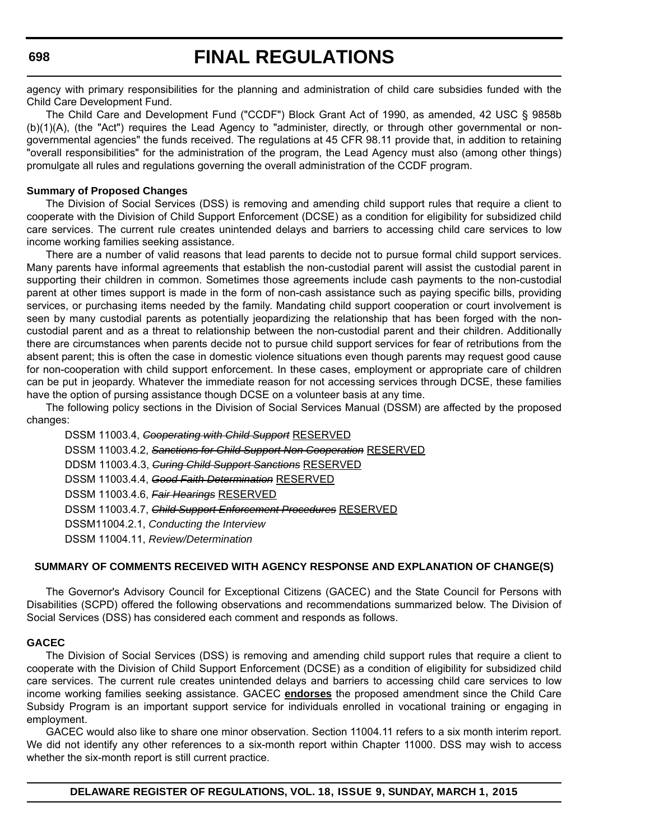### **FINAL REGULATIONS**

agency with primary responsibilities for the planning and administration of child care subsidies funded with the Child Care Development Fund.

The Child Care and Development Fund ("CCDF") Block Grant Act of 1990, as amended, 42 USC § 9858b (b)(1)(A), (the "Act") requires the Lead Agency to "administer, directly, or through other governmental or nongovernmental agencies" the funds received. The regulations at 45 CFR 98.11 provide that, in addition to retaining "overall responsibilities" for the administration of the program, the Lead Agency must also (among other things) promulgate all rules and regulations governing the overall administration of the CCDF program.

#### **Summary of Proposed Changes**

The Division of Social Services (DSS) is removing and amending child support rules that require a client to cooperate with the Division of Child Support Enforcement (DCSE) as a condition for eligibility for subsidized child care services. The current rule creates unintended delays and barriers to accessing child care services to low income working families seeking assistance.

There are a number of valid reasons that lead parents to decide not to pursue formal child support services. Many parents have informal agreements that establish the non-custodial parent will assist the custodial parent in supporting their children in common. Sometimes those agreements include cash payments to the non-custodial parent at other times support is made in the form of non-cash assistance such as paying specific bills, providing services, or purchasing items needed by the family. Mandating child support cooperation or court involvement is seen by many custodial parents as potentially jeopardizing the relationship that has been forged with the noncustodial parent and as a threat to relationship between the non-custodial parent and their children. Additionally there are circumstances when parents decide not to pursue child support services for fear of retributions from the absent parent; this is often the case in domestic violence situations even though parents may request good cause for non-cooperation with child support enforcement. In these cases, employment or appropriate care of children can be put in jeopardy. Whatever the immediate reason for not accessing services through DCSE, these families have the option of pursing assistance though DCSE on a volunteer basis at any time.

The following policy sections in the Division of Social Services Manual (DSSM) are affected by the proposed changes:

| DSSM 11003.4, Cooperating with Child Support RESERVED                |
|----------------------------------------------------------------------|
| DSSM 11003.4.2, Sanctions for Child Support Non Cooperation RESERVED |
| DDSM 11003.4.3, Guring Child Support Sanctions RESERVED              |
| DSSM 11003.4.4, Good Faith Determination RESERVED                    |
| DSSM 11003.4.6, Fair Hearings RESERVED                               |
| DSSM 11003.4.7, Child Support Enforcement Procedures RESERVED        |
| DSSM11004.2.1, Conducting the Interview                              |
| DSSM 11004.11, Review/Determination                                  |
|                                                                      |

#### **SUMMARY OF COMMENTS RECEIVED WITH AGENCY RESPONSE AND EXPLANATION OF CHANGE(S)**

The Governor's Advisory Council for Exceptional Citizens (GACEC) and the State Council for Persons with Disabilities (SCPD) offered the following observations and recommendations summarized below. The Division of Social Services (DSS) has considered each comment and responds as follows.

#### **GACEC**

The Division of Social Services (DSS) is removing and amending child support rules that require a client to cooperate with the Division of Child Support Enforcement (DCSE) as a condition of eligibility for subsidized child care services. The current rule creates unintended delays and barriers to accessing child care services to low income working families seeking assistance. GACEC **endorses** the proposed amendment since the Child Care Subsidy Program is an important support service for individuals enrolled in vocational training or engaging in employment.

GACEC would also like to share one minor observation. Section 11004.11 refers to a six month interim report. We did not identify any other references to a six-month report within Chapter 11000. DSS may wish to access whether the six-month report is still current practice.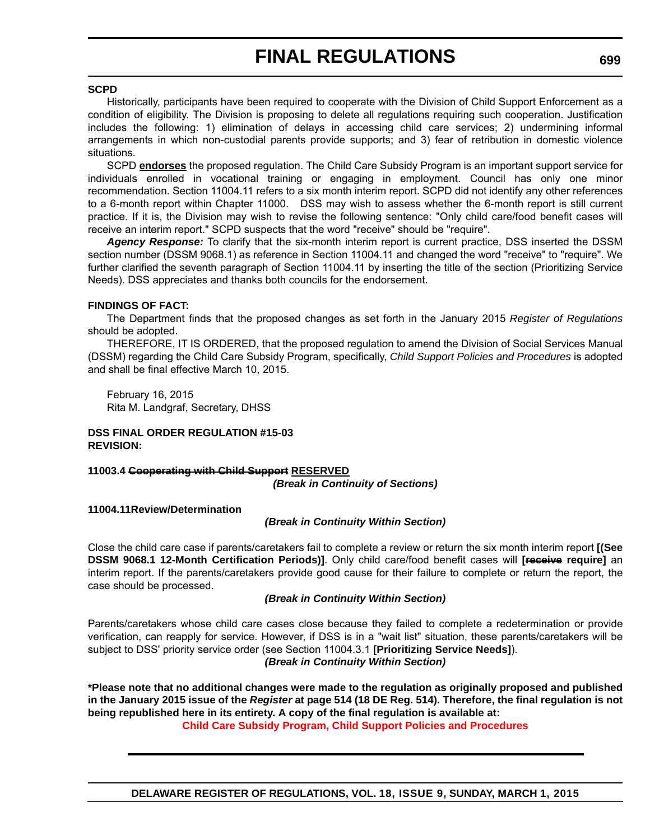#### **SCPD**

Historically, participants have been required to cooperate with the Division of Child Support Enforcement as a condition of eligibility. The Division is proposing to delete all regulations requiring such cooperation. Justification includes the following: 1) elimination of delays in accessing child care services; 2) undermining informal arrangements in which non-custodial parents provide supports; and 3) fear of retribution in domestic violence situations.

SCPD **endorses** the proposed regulation. The Child Care Subsidy Program is an important support service for individuals enrolled in vocational training or engaging in employment. Council has only one minor recommendation. Section 11004.11 refers to a six month interim report. SCPD did not identify any other references to a 6-month report within Chapter 11000. DSS may wish to assess whether the 6-month report is still current practice. If it is, the Division may wish to revise the following sentence: "Only child care/food benefit cases will receive an interim report." SCPD suspects that the word "receive" should be "require".

*Agency Response:* To clarify that the six-month interim report is current practice, DSS inserted the DSSM section number (DSSM 9068.1) as reference in Section 11004.11 and changed the word "receive" to "require". We further clarified the seventh paragraph of Section 11004.11 by inserting the title of the section (Prioritizing Service Needs). DSS appreciates and thanks both councils for the endorsement.

#### **FINDINGS OF FACT:**

The Department finds that the proposed changes as set forth in the January 2015 *Register of Regulations* should be adopted.

THEREFORE, IT IS ORDERED, that the proposed regulation to amend the Division of Social Services Manual (DSSM) regarding the Child Care Subsidy Program, specifically, *Child Support Policies and Procedures* is adopted and shall be final effective March 10, 2015.

February 16, 2015 Rita M. Landgraf, Secretary, DHSS

### **DSS FINAL ORDER REGULATION #15-03 REVISION:**

# **11003.4 Cooperating with Child Support RESERVED**

*(Break in Continuity of Sections)*

**11004.11Review/Determination**

### *(Break in Continuity Within Section)*

Close the child care case if parents/caretakers fail to complete a review or return the six month interim report **[(See DSSM 9068.1 12-Month Certification Periods)]**. Only child care/food benefit cases will **[receive require]** an interim report. If the parents/caretakers provide good cause for their failure to complete or return the report, the case should be processed.

### *(Break in Continuity Within Section)*

Parents/caretakers whose child care cases close because they failed to complete a redetermination or provide verification, can reapply for service. However, if DSS is in a "wait list" situation, these parents/caretakers will be subject to DSS' priority service order (see Section 11004.3.1 **[Prioritizing Service Needs]**). *(Break in Continuity Within Section)*

**\*Please note that no additional changes were made to the regulation as originally proposed and published in the January 2015 issue of the** *Register* **at page 514 (18 DE Reg. 514). Therefore, the final regulation is not being republished here in its entirety. A copy of the final regulation is available at:**

**[Child Care Subsidy Program, Child Support Policies and Procedures](http://regulations.delaware.gov/register/march2015/final/18 DE Reg 697 03-01-15.htm)**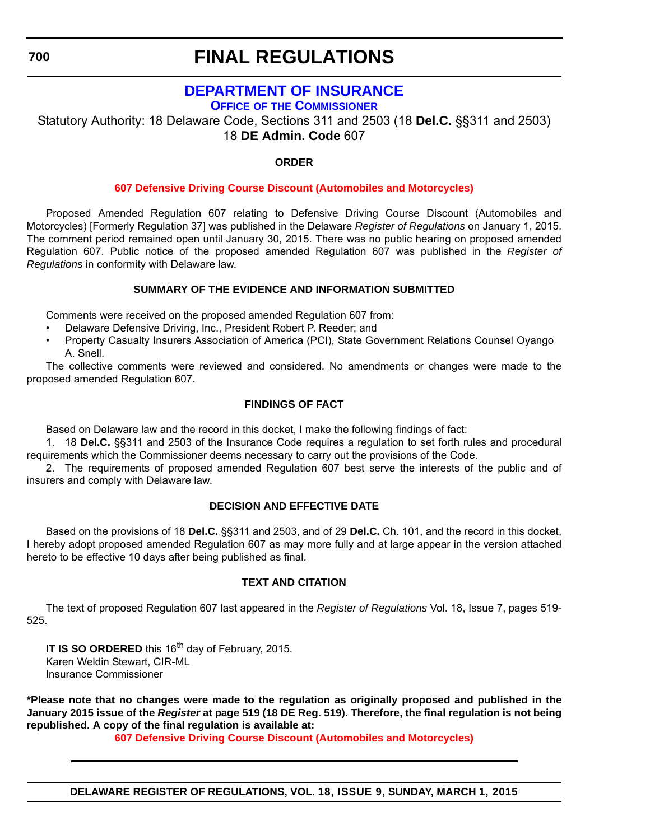# **[DEPARTMENT OF INSURANCE](http://www.delawareinsurance.gov/)**

**OFFICE OF THE COMMISSIONER**

Statutory Authority: 18 Delaware Code, Sections 311 and 2503 (18 **Del.C.** §§311 and 2503) 18 **DE Admin. Code** 607

### **ORDER**

### **[607 Defensive Driving Course Discount \(Automobiles and Motorcycles\)](#page-4-0)**

Proposed Amended Regulation 607 relating to Defensive Driving Course Discount (Automobiles and Motorcycles) [Formerly Regulation 37] was published in the Delaware *Register of Regulations* on January 1, 2015. The comment period remained open until January 30, 2015. There was no public hearing on proposed amended Regulation 607. Public notice of the proposed amended Regulation 607 was published in the *Register of Regulations* in conformity with Delaware law.

### **SUMMARY OF THE EVIDENCE AND INFORMATION SUBMITTED**

Comments were received on the proposed amended Regulation 607 from:

- Delaware Defensive Driving, Inc., President Robert P. Reeder; and
- Property Casualty Insurers Association of America (PCI), State Government Relations Counsel Oyango A. Snell.

The collective comments were reviewed and considered. No amendments or changes were made to the proposed amended Regulation 607.

### **FINDINGS OF FACT**

Based on Delaware law and the record in this docket, I make the following findings of fact:

1. 18 **Del.C.** §§311 and 2503 of the Insurance Code requires a regulation to set forth rules and procedural requirements which the Commissioner deems necessary to carry out the provisions of the Code.

2. The requirements of proposed amended Regulation 607 best serve the interests of the public and of insurers and comply with Delaware law.

### **DECISION AND EFFECTIVE DATE**

Based on the provisions of 18 **Del.C.** §§311 and 2503, and of 29 **Del.C.** Ch. 101, and the record in this docket, I hereby adopt proposed amended Regulation 607 as may more fully and at large appear in the version attached hereto to be effective 10 days after being published as final.

### **TEXT AND CITATION**

The text of proposed Regulation 607 last appeared in the *Register of Regulations* Vol. 18, Issue 7, pages 519- 525.

**IT IS SO ORDERED** this 16<sup>th</sup> day of February, 2015. Karen Weldin Stewart, CIR-ML Insurance Commissioner

**\*Please note that no changes were made to the regulation as originally proposed and published in the January 2015 issue of the** *Register* **at page 519 (18 DE Reg. 519). Therefore, the final regulation is not being republished. A copy of the final regulation is available at:**

**[607 Defensive Driving Course Discount \(Automobiles and Motorcycles\)](http://regulations.delaware.gov/register/march2015/final/18 DE Reg 700 03-01-15.htm)**

**DELAWARE REGISTER OF REGULATIONS, VOL. 18, ISSUE 9, SUNDAY, MARCH 1, 2015**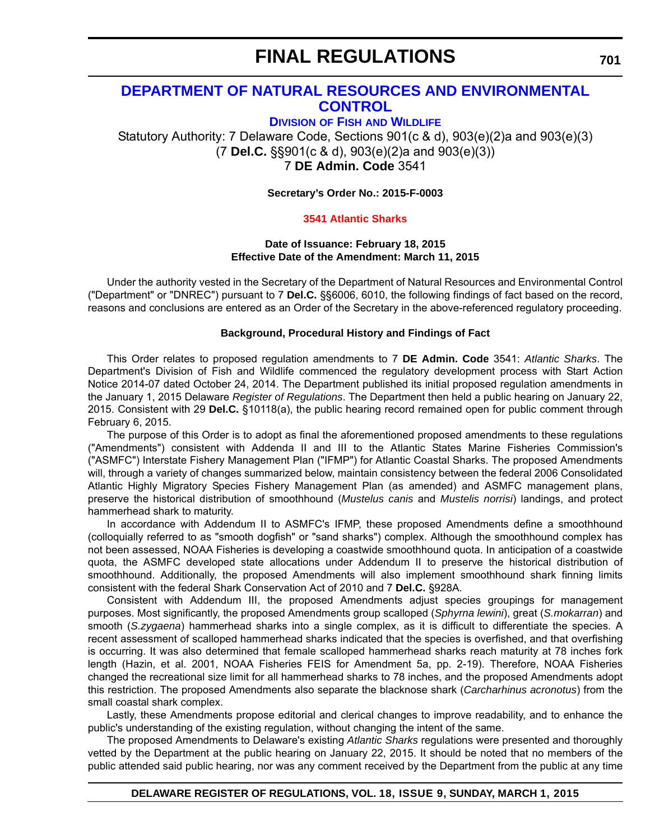# **[DEPARTMENT OF NATURAL RESOURCES AND ENVIRONMENTAL](http://www.dnrec.delaware.gov/fw/Pages/FWPortal.aspx)  CONTROL**

**DIVISION OF FISH AND WILDLIFE**

Statutory Authority: 7 Delaware Code, Sections 901(c & d), 903(e)(2)a and 903(e)(3) (7 **Del.C.** §§901(c & d), 903(e)(2)a and 903(e)(3)) 7 **DE Admin. Code** 3541

**Secretary's Order No.: 2015-F-0003**

### **[3541 Atlantic Sharks](#page-4-0)**

#### **Date of Issuance: February 18, 2015 Effective Date of the Amendment: March 11, 2015**

Under the authority vested in the Secretary of the Department of Natural Resources and Environmental Control ("Department" or "DNREC") pursuant to 7 **Del.C.** §§6006, 6010, the following findings of fact based on the record, reasons and conclusions are entered as an Order of the Secretary in the above-referenced regulatory proceeding.

#### **Background, Procedural History and Findings of Fact**

This Order relates to proposed regulation amendments to 7 **DE Admin. Code** 3541: *Atlantic Sharks*. The Department's Division of Fish and Wildlife commenced the regulatory development process with Start Action Notice 2014-07 dated October 24, 2014. The Department published its initial proposed regulation amendments in the January 1, 2015 Delaware *Register of Regulations*. The Department then held a public hearing on January 22, 2015. Consistent with 29 **Del.C.** §10118(a), the public hearing record remained open for public comment through February 6, 2015.

The purpose of this Order is to adopt as final the aforementioned proposed amendments to these regulations ("Amendments") consistent with Addenda II and III to the Atlantic States Marine Fisheries Commission's ("ASMFC") Interstate Fishery Management Plan ("IFMP") for Atlantic Coastal Sharks. The proposed Amendments will, through a variety of changes summarized below, maintain consistency between the federal 2006 Consolidated Atlantic Highly Migratory Species Fishery Management Plan (as amended) and ASMFC management plans, preserve the historical distribution of smoothhound (*Mustelus canis* and *Mustelis norrisi*) landings, and protect hammerhead shark to maturity.

In accordance with Addendum II to ASMFC's IFMP, these proposed Amendments define a smoothhound (colloquially referred to as "smooth dogfish" or "sand sharks") complex. Although the smoothhound complex has not been assessed, NOAA Fisheries is developing a coastwide smoothhound quota. In anticipation of a coastwide quota, the ASMFC developed state allocations under Addendum II to preserve the historical distribution of smoothhound. Additionally, the proposed Amendments will also implement smoothhound shark finning limits consistent with the federal Shark Conservation Act of 2010 and 7 **Del.C.** §928A.

Consistent with Addendum III, the proposed Amendments adjust species groupings for management purposes. Most significantly, the proposed Amendments group scalloped (*Sphyrna lewini*), great (*S.mokarran*) and smooth (*S.zygaena*) hammerhead sharks into a single complex, as it is difficult to differentiate the species. A recent assessment of scalloped hammerhead sharks indicated that the species is overfished, and that overfishing is occurring. It was also determined that female scalloped hammerhead sharks reach maturity at 78 inches fork length (Hazin, et al. 2001, NOAA Fisheries FEIS for Amendment 5a, pp. 2-19). Therefore, NOAA Fisheries changed the recreational size limit for all hammerhead sharks to 78 inches, and the proposed Amendments adopt this restriction. The proposed Amendments also separate the blacknose shark (*Carcharhinus acronotus*) from the small coastal shark complex.

Lastly, these Amendments propose editorial and clerical changes to improve readability, and to enhance the public's understanding of the existing regulation, without changing the intent of the same.

The proposed Amendments to Delaware's existing *Atlantic Sharks* regulations were presented and thoroughly vetted by the Department at the public hearing on January 22, 2015. It should be noted that no members of the public attended said public hearing, nor was any comment received by the Department from the public at any time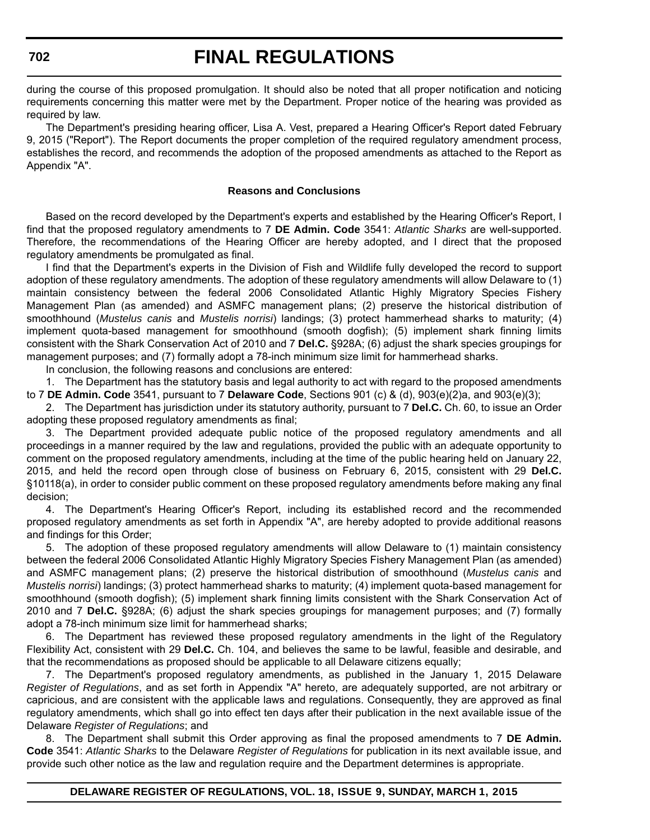during the course of this proposed promulgation. It should also be noted that all proper notification and noticing requirements concerning this matter were met by the Department. Proper notice of the hearing was provided as required by law.

The Department's presiding hearing officer, Lisa A. Vest, prepared a Hearing Officer's Report dated February 9, 2015 ("Report"). The Report documents the proper completion of the required regulatory amendment process, establishes the record, and recommends the adoption of the proposed amendments as attached to the Report as Appendix "A".

#### **Reasons and Conclusions**

Based on the record developed by the Department's experts and established by the Hearing Officer's Report, I find that the proposed regulatory amendments to 7 **DE Admin. Code** 3541: *Atlantic Sharks* are well-supported. Therefore, the recommendations of the Hearing Officer are hereby adopted, and I direct that the proposed regulatory amendments be promulgated as final.

I find that the Department's experts in the Division of Fish and Wildlife fully developed the record to support adoption of these regulatory amendments. The adoption of these regulatory amendments will allow Delaware to (1) maintain consistency between the federal 2006 Consolidated Atlantic Highly Migratory Species Fishery Management Plan (as amended) and ASMFC management plans; (2) preserve the historical distribution of smoothhound (*Mustelus canis* and *Mustelis norrisi*) landings; (3) protect hammerhead sharks to maturity; (4) implement quota-based management for smoothhound (smooth dogfish); (5) implement shark finning limits consistent with the Shark Conservation Act of 2010 and 7 **Del.C.** §928A; (6) adjust the shark species groupings for management purposes; and (7) formally adopt a 78-inch minimum size limit for hammerhead sharks.

In conclusion, the following reasons and conclusions are entered:

1. The Department has the statutory basis and legal authority to act with regard to the proposed amendments to 7 **DE Admin. Code** 3541, pursuant to 7 **Delaware Code**, Sections 901 (c) & (d), 903(e)(2)a, and 903(e)(3);

2. The Department has jurisdiction under its statutory authority, pursuant to 7 **Del.C.** Ch. 60, to issue an Order adopting these proposed regulatory amendments as final;

3. The Department provided adequate public notice of the proposed regulatory amendments and all proceedings in a manner required by the law and regulations, provided the public with an adequate opportunity to comment on the proposed regulatory amendments, including at the time of the public hearing held on January 22, 2015, and held the record open through close of business on February 6, 2015, consistent with 29 **Del.C.** §10118(a), in order to consider public comment on these proposed regulatory amendments before making any final decision;

4. The Department's Hearing Officer's Report, including its established record and the recommended proposed regulatory amendments as set forth in Appendix "A", are hereby adopted to provide additional reasons and findings for this Order;

5. The adoption of these proposed regulatory amendments will allow Delaware to (1) maintain consistency between the federal 2006 Consolidated Atlantic Highly Migratory Species Fishery Management Plan (as amended) and ASMFC management plans; (2) preserve the historical distribution of smoothhound (*Mustelus canis* and *Mustelis norrisi*) landings; (3) protect hammerhead sharks to maturity; (4) implement quota-based management for smoothhound (smooth dogfish); (5) implement shark finning limits consistent with the Shark Conservation Act of 2010 and 7 **Del.C.** §928A; (6) adjust the shark species groupings for management purposes; and (7) formally adopt a 78-inch minimum size limit for hammerhead sharks;

6. The Department has reviewed these proposed regulatory amendments in the light of the Regulatory Flexibility Act, consistent with 29 **Del.C.** Ch. 104, and believes the same to be lawful, feasible and desirable, and that the recommendations as proposed should be applicable to all Delaware citizens equally;

7. The Department's proposed regulatory amendments, as published in the January 1, 2015 Delaware *Register of Regulations*, and as set forth in Appendix "A" hereto, are adequately supported, are not arbitrary or capricious, and are consistent with the applicable laws and regulations. Consequently, they are approved as final regulatory amendments, which shall go into effect ten days after their publication in the next available issue of the Delaware *Register of Regulations*; and

8. The Department shall submit this Order approving as final the proposed amendments to 7 **DE Admin. Code** 3541: *Atlantic Sharks* to the Delaware *Register of Regulations* for publication in its next available issue, and provide such other notice as the law and regulation require and the Department determines is appropriate.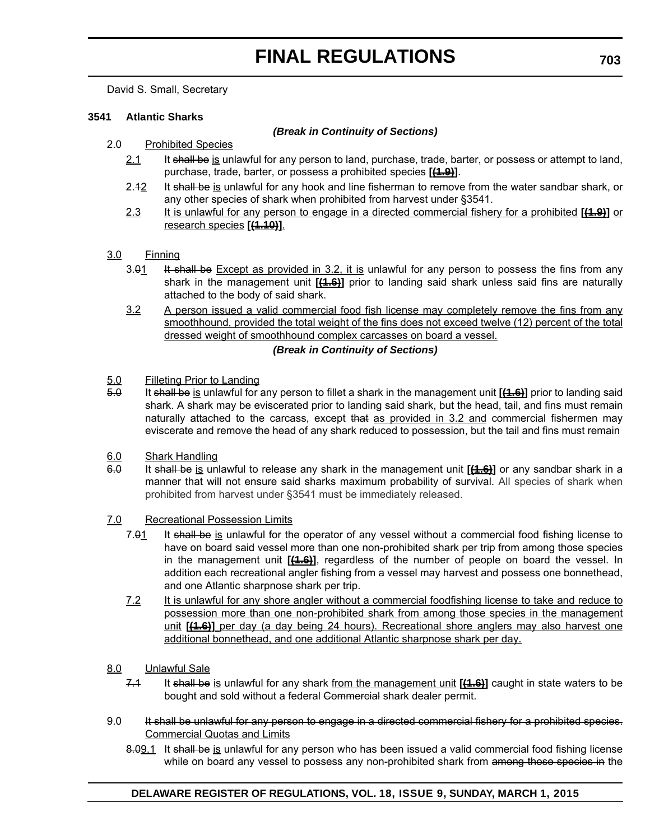David S. Small, Secretary

#### **3541 Atlantic Sharks**

#### *(Break in Continuity of Sections)*

- 2.0 Prohibited Species
	- 2.1 It shall be is unlawful for any person to land, purchase, trade, barter, or possess or attempt to land, purchase, trade, barter, or possess a prohibited species [(1.9)].
	- 2.42 It shall be is unlawful for any hook and line fisherman to remove from the water sandbar shark, or any other species of shark when prohibited from harvest under §3541.
	- 2.3 It is unlawful for any person to engage in a directed commercial fishery for a prohibited **[(1.9)]** or research species **[(1.10)]**.

#### 3.0 Finning

- 3.91 It shall be Except as provided in 3.2, it is unlawful for any person to possess the fins from any shark in the management unit **[(1.6)]** prior to landing said shark unless said fins are naturally attached to the body of said shark.
- 3.2 A person issued a valid commercial food fish license may completely remove the fins from any smoothhound, provided the total weight of the fins does not exceed twelve (12) percent of the total dressed weight of smoothhound complex carcasses on board a vessel.

#### *(Break in Continuity of Sections)*

#### 5.0 Filleting Prior to Landing

- 5.0 It shall be is unlawful for any person to fillet a shark in the management unit [(1.6)] prior to landing said shark. A shark may be eviscerated prior to landing said shark, but the head, tail, and fins must remain naturally attached to the carcass, except that as provided in 3.2 and commercial fishermen may eviscerate and remove the head of any shark reduced to possession, but the tail and fins must remain
- 6.0 Shark Handling
- 6.0 It shall be is unlawful to release any shark in the management unit **[(1.6)]** or any sandbar shark in a manner that will not ensure said sharks maximum probability of survival. All species of shark when prohibited from harvest under §3541 must be immediately released.

#### 7.0 Recreational Possession Limits

- 7.91 It shall be is unlawful for the operator of any vessel without a commercial food fishing license to have on board said vessel more than one non-prohibited shark per trip from among those species in the management unit **[(1.6)]**, regardless of the number of people on board the vessel. In addition each recreational angler fishing from a vessel may harvest and possess one bonnethead, and one Atlantic sharpnose shark per trip.
- 7.2 It is unlawful for any shore angler without a commercial foodfishing license to take and reduce to possession more than one non-prohibited shark from among those species in the management unit **[(1.6)]** per day (a day being 24 hours). Recreational shore anglers may also harvest one additional bonnethead, and one additional Atlantic sharpnose shark per day.

#### 8.0 Unlawful Sale

- 7.1 It shall be is unlawful for any shark from the management unit [(4.6)] caught in state waters to be bought and sold without a federal Commercial shark dealer permit.
- 9.0 It shall be unlawful for any person to engage in a directed commercial fishery for a prohibited species. Commercial Quotas and Limits
	- 8.09.1 It shall be is unlawful for any person who has been issued a valid commercial food fishing license while on board any vessel to possess any non-prohibited shark from among those species in the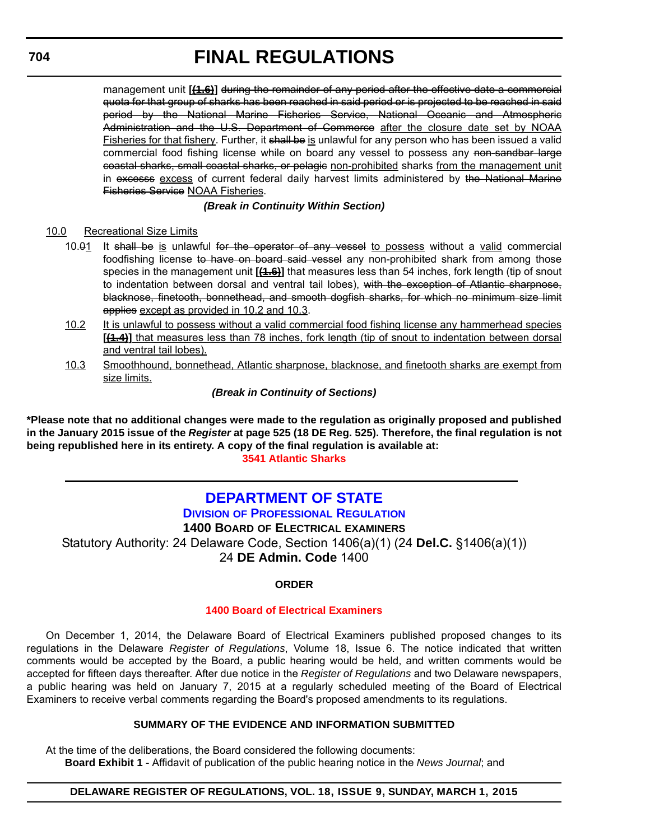management unit **[<del>(1.6)</del>]** during the remainder of any period after the effective date a commercial quota for that group of sharks has been reached in said period or is projected to be reached in said period by the National Marine Fisheries Service, National Oceanic and Atmospheric Administration and the U.S. Department of Commerce after the closure date set by NOAA Fisheries for that fishery. Further, it shall be is unlawful for any person who has been issued a valid commercial food fishing license while on board any vessel to possess any non-sandbar large coastal sharks, small coastal sharks, or pelagic non-prohibited sharks from the management unit in excesss excess of current federal daily harvest limits administered by the National Marine Fisheries Service NOAA Fisheries.

### *(Break in Continuity Within Section)*

### 10.0 Recreational Size Limits

- 10.01 It shall be is unlawful for the operator of any vessel to possess without a valid commercial foodfishing license to have on board said vessel any non-prohibited shark from among those species in the management unit **[(1.6)]** that measures less than 54 inches, fork length (tip of snout to indentation between dorsal and ventral tail lobes), with the exception of Atlantic sharpnose, blacknose, finetooth, bonnethead, and smooth dogfish sharks, for which no minimum size limit applies except as provided in 10.2 and 10.3.
- 10.2 It is unlawful to possess without a valid commercial food fishing license any hammerhead species [(1.4)] that measures less than 78 inches, fork length (tip of snout to indentation between dorsal and ventral tail lobes).
- 10.3 Smoothhound, bonnethead, Atlantic sharpnose, blacknose, and finetooth sharks are exempt from size limits.

### *(Break in Continuity of Sections)*

**\*Please note that no additional changes were made to the regulation as originally proposed and published in the January 2015 issue of the** *Register* **at page 525 (18 DE Reg. 525). Therefore, the final regulation is not being republished here in its entirety. A copy of the final regulation is available at: [3541 Atlantic Sharks](http://regulations.delaware.gov/register/march2015/final/18 DE Reg 701 03-01-15.htm)**

# **[DEPARTMENT OF STATE](http://dpr.delaware.gov/)**

### **DIVISION OF PROFESSIONAL REGULATION**

**1400 BOARD OF ELECTRICAL EXAMINERS** Statutory Authority: 24 Delaware Code, Section 1406(a)(1) (24 **Del.C.** §1406(a)(1)) 24 **DE Admin. Code** 1400

### **ORDER**

### **[1400 Board of Electrical Examiners](#page-4-0)**

On December 1, 2014, the Delaware Board of Electrical Examiners published proposed changes to its regulations in the Delaware *Register of Regulations*, Volume 18, Issue 6. The notice indicated that written comments would be accepted by the Board, a public hearing would be held, and written comments would be accepted for fifteen days thereafter. After due notice in the *Register of Regulations* and two Delaware newspapers, a public hearing was held on January 7, 2015 at a regularly scheduled meeting of the Board of Electrical Examiners to receive verbal comments regarding the Board's proposed amendments to its regulations.

### **SUMMARY OF THE EVIDENCE AND INFORMATION SUBMITTED**

At the time of the deliberations, the Board considered the following documents:

**Board Exhibit 1** - Affidavit of publication of the public hearing notice in the *News Journal*; and

### **DELAWARE REGISTER OF REGULATIONS, VOL. 18, ISSUE 9, SUNDAY, MARCH 1, 2015**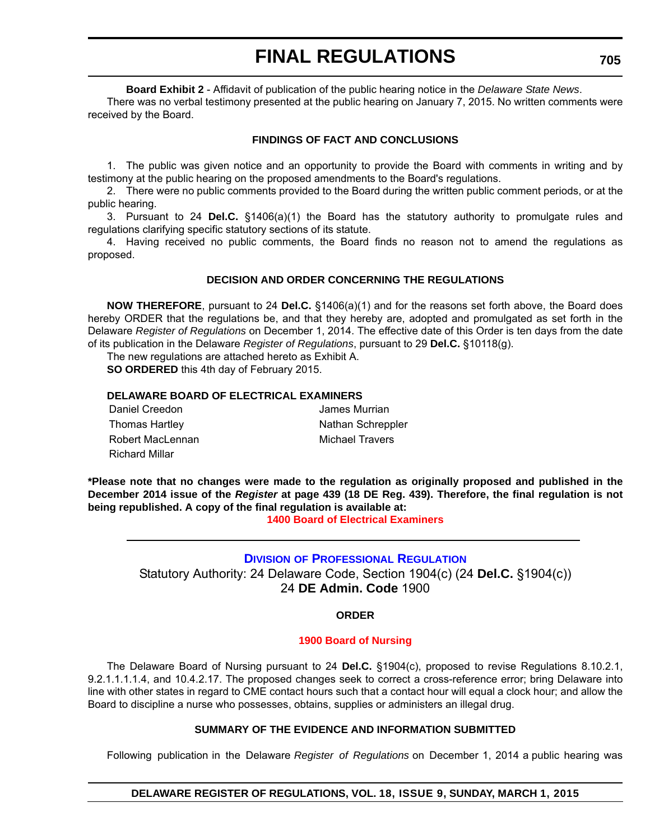**Board Exhibit 2** - Affidavit of publication of the public hearing notice in the *Delaware State News*.

There was no verbal testimony presented at the public hearing on January 7, 2015. No written comments were received by the Board.

### **FINDINGS OF FACT AND CONCLUSIONS**

1. The public was given notice and an opportunity to provide the Board with comments in writing and by testimony at the public hearing on the proposed amendments to the Board's regulations.

2. There were no public comments provided to the Board during the written public comment periods, or at the public hearing.

3. Pursuant to 24 **Del.C.** §1406(a)(1) the Board has the statutory authority to promulgate rules and regulations clarifying specific statutory sections of its statute.

4. Having received no public comments, the Board finds no reason not to amend the regulations as proposed.

### **DECISION AND ORDER CONCERNING THE REGULATIONS**

**NOW THEREFORE**, pursuant to 24 **Del.C.** §1406(a)(1) and for the reasons set forth above, the Board does hereby ORDER that the regulations be, and that they hereby are, adopted and promulgated as set forth in the Delaware *Register of Regulations* on December 1, 2014. The effective date of this Order is ten days from the date of its publication in the Delaware *Register of Regulations*, pursuant to 29 **Del.C.** §10118(g).

The new regulations are attached hereto as Exhibit A.

**SO ORDERED** this 4th day of February 2015.

### **DELAWARE BOARD OF ELECTRICAL EXAMINERS**

Daniel Creedon James Murrian Thomas Hartley Nathan Schreppler Robert MacLennan Michael Travers Richard Millar

**\*Please note that no changes were made to the regulation as originally proposed and published in the December 2014 issue of the** *Register* **at page 439 (18 DE Reg. 439). Therefore, the final regulation is not being republished. A copy of the final regulation is available at:**

**[1400 Board of Electrical Examiners](http://regulations.delaware.gov/register/march2015/final/18 DE Reg 704 03-01-15.htm)**

### **DIVISION [OF PROFESSIONAL REGULATION](http://dpr.delaware.gov/)**

Statutory Authority: 24 Delaware Code, Section 1904(c) (24 **Del.C.** §1904(c)) 24 **DE Admin. Code** 1900

**ORDER**

#### **[1900 Board of Nursing](#page-4-0)**

The Delaware Board of Nursing pursuant to 24 **Del.C.** §1904(c), proposed to revise Regulations 8.10.2.1, 9.2.1.1.1.1.4, and 10.4.2.17. The proposed changes seek to correct a cross-reference error; bring Delaware into line with other states in regard to CME contact hours such that a contact hour will equal a clock hour; and allow the Board to discipline a nurse who possesses, obtains, supplies or administers an illegal drug.

### **SUMMARY OF THE EVIDENCE AND INFORMATION SUBMITTED**

Following publication in the Delaware *Register of Regulations* on December 1, 2014 a public hearing was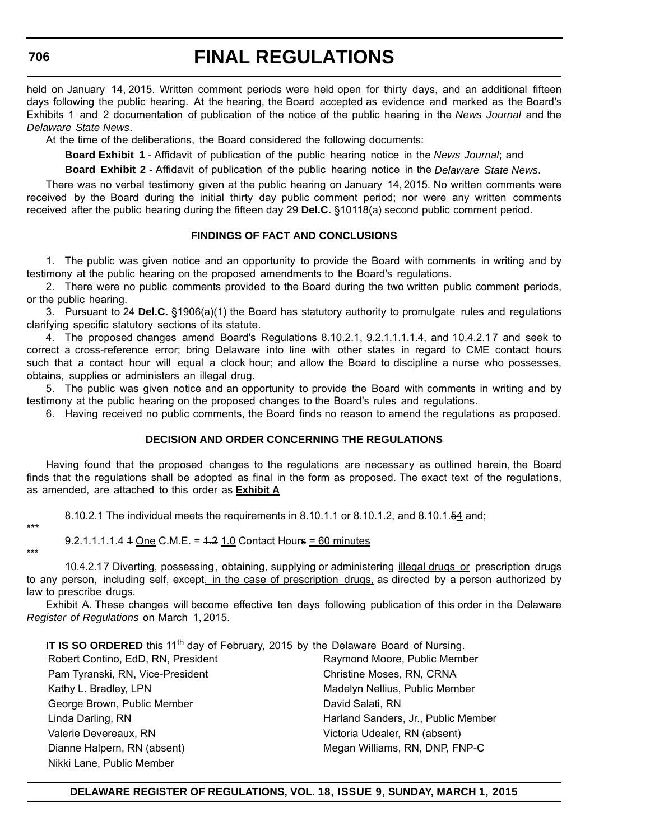held on January 14, 2015. Written comment periods were held open for thirty days, and an additional fifteen days following the public hearing. At the hearing, the Board accepted as evidence and marked as the Board's Exhibits 1 and 2 documentation of publication of the notice of the public hearing in the *News Journal* and the *Delaware State News*.

At the time of the deliberations, the Board considered the following documents:

**Board Exhibit 1** - Affidavit of publication of the public hearing notice in the *News Journal*; and

**Board Exhibit 2** - Affidavit of publication of the public hearing notice in the *Delaware State News*.

There was no verbal testimony given at the public hearing on January 14, 2015. No written comments were received by the Board during the initial thirty day public comment period; nor were any written comments received after the public hearing during the fifteen day 29 **Del.C.** §10118(a) second public comment period.

#### **FINDINGS OF FACT AND CONCLUSIONS**

1. The public was given notice and an opportunity to provide the Board with comments in writing and by testimony at the public hearing on the proposed amendments to the Board's regulations.

2. There were no public comments provided to the Board during the two written public comment periods, or the public hearing.

3. Pursuant to 24 **Del.C.** §1906(a)(1) the Board has statutory authority to promulgate rules and regulations clarifying specific statutory sections of its statute.

4. The proposed changes amend Board's Regulations 8.10.2.1, 9.2.1.1.1.1.4, and 10.4.2.17 and seek to correct a cross-reference error; bring Delaware into line with other states in regard to CME contact hours such that a contact hour will equal a clock hour; and allow the Board to discipline a nurse who possesses, obtains, supplies or administers an illegal drug.

5. The public was given notice and an opportunity to provide the Board with comments in writing and by testimony at the public hearing on the proposed changes to the Board's rules and regulations.

6. Having received no public comments, the Board finds no reason to amend the regulations as proposed.

#### **DECISION AND ORDER CONCERNING THE REGULATIONS**

Having found that the proposed changes to the regulations are necessary as outlined herein, the Board finds that the regulations shall be adopted as final in the form as proposed. The exact text of the regulations, as amended, are attached to this order as **Exhibit A**

8.10.2.1 The individual meets the requirements in 8.10.1.1 or 8.10.1.2, and 8.10.1.54 and;

\*\*\*

9.2.1.1.1.1.4 4 One C.M.E. = 4.2 1.0 Contact Hours = 60 minutes

\*\*\* 10.4.2.1 7 Diverting, possessing, obtaining, supplying or administering illegal drugs or prescription drugs to any person, including self, except, in the case of prescription drugs, as directed by a person authorized by law to prescribe drugs.

Exhibit A. These changes will become effective ten days following publication of this order in the Delaware *Register of Regulations* on March 1, 2015.

**IT IS SO ORDERED** this 11<sup>th</sup> day of February, 2015 by the Delaware Board of Nursing. Robert Contino, EdD, RN, President Raymond Moore, Public Member Pam Tyranski, RN, Vice-President Christine Moses, RN, CRNA Kathy L. Bradley, LPN Madelyn Nellius, Public Member George Brown, Public Member **David Salati, RN** Linda Darling, RN Harland Sanders, Jr., Public Member Valerie Devereaux, RN Victoria Udealer, RN (absent) Dianne Halpern, RN (absent) Megan Williams, RN, DNP, FNP-C Nikki Lane, Public Member

#### **DELAWARE REGISTER OF REGULATIONS, VOL. 18, ISSUE 9, SUNDAY, MARCH 1, 2015**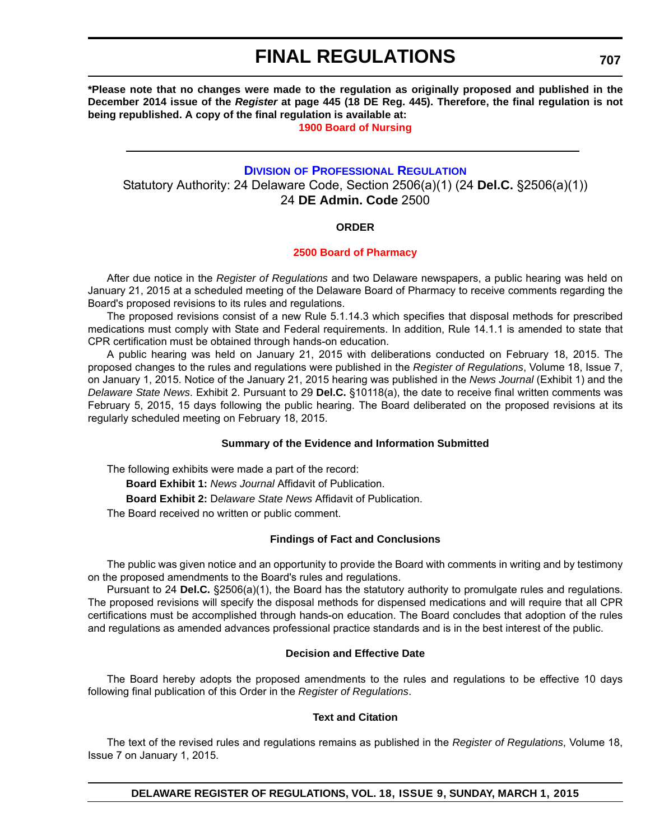**\*Please note that no changes were made to the regulation as originally proposed and published in the December 2014 issue of the** *Register* **at page 445 (18 DE Reg. 445). Therefore, the final regulation is not being republished. A copy of the final regulation is available at:**

**[1900 Board of Nursing](http://regulations.delaware.gov/register/march2015/final/18 DE Reg 705 03-01-15.htm)**

### **DIVISION [OF PROFESSIONAL REGULATION](http://dpr.delaware.gov/)**

Statutory Authority: 24 Delaware Code, Section 2506(a)(1) (24 **Del.C.** §2506(a)(1)) 24 **DE Admin. Code** 2500

#### **ORDER**

#### **[2500 Board of Pharmacy](#page-4-0)**

After due notice in the *Register of Regulations* and two Delaware newspapers, a public hearing was held on January 21, 2015 at a scheduled meeting of the Delaware Board of Pharmacy to receive comments regarding the Board's proposed revisions to its rules and regulations.

The proposed revisions consist of a new Rule 5.1.14.3 which specifies that disposal methods for prescribed medications must comply with State and Federal requirements. In addition, Rule 14.1.1 is amended to state that CPR certification must be obtained through hands-on education.

A public hearing was held on January 21, 2015 with deliberations conducted on February 18, 2015. The proposed changes to the rules and regulations were published in the *Register of Regulations*, Volume 18, Issue 7, on January 1, 2015. Notice of the January 21, 2015 hearing was published in the *News Journal* (Exhibit 1) and the *Delaware State News*. Exhibit 2. Pursuant to 29 **Del.C.** §10118(a), the date to receive final written comments was February 5, 2015, 15 days following the public hearing. The Board deliberated on the proposed revisions at its regularly scheduled meeting on February 18, 2015.

### **Summary of the Evidence and Information Submitted**

The following exhibits were made a part of the record:

**Board Exhibit 1:** *News Journal* Affidavit of Publication.

**Board Exhibit 2:** D*elaware State News* Affidavit of Publication.

The Board received no written or public comment.

### **Findings of Fact and Conclusions**

The public was given notice and an opportunity to provide the Board with comments in writing and by testimony on the proposed amendments to the Board's rules and regulations.

Pursuant to 24 **Del.C.** §2506(a)(1), the Board has the statutory authority to promulgate rules and regulations. The proposed revisions will specify the disposal methods for dispensed medications and will require that all CPR certifications must be accomplished through hands-on education. The Board concludes that adoption of the rules and regulations as amended advances professional practice standards and is in the best interest of the public.

#### **Decision and Effective Date**

The Board hereby adopts the proposed amendments to the rules and regulations to be effective 10 days following final publication of this Order in the *Register of Regulations*.

#### **Text and Citation**

The text of the revised rules and regulations remains as published in the *Register of Regulations*, Volume 18, Issue 7 on January 1, 2015.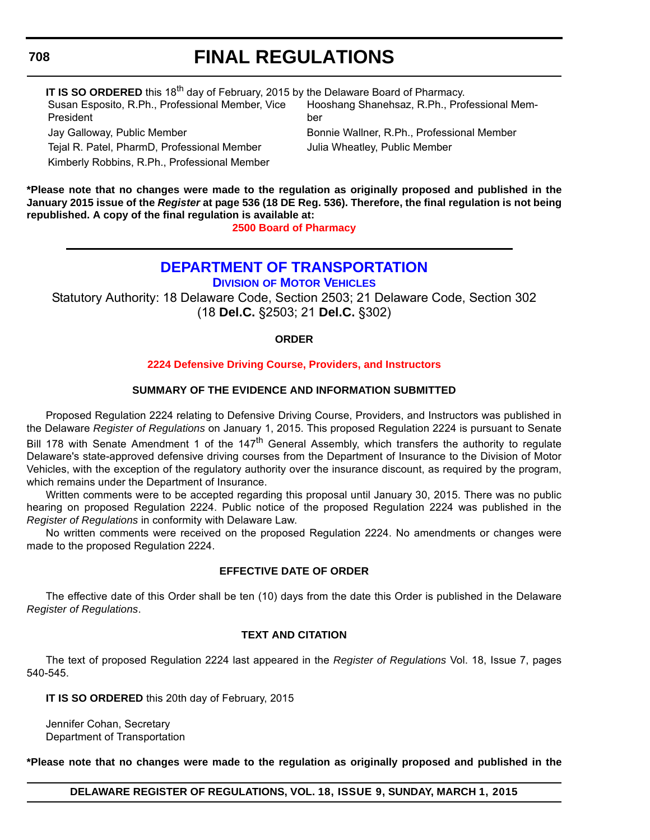## **708**

# **FINAL REGULATIONS**

| IT IS SO ORDERED this 18 <sup>th</sup> day of February, 2015 by the Delaware Board of Pharmacy. |                                              |  |  |  |  |
|-------------------------------------------------------------------------------------------------|----------------------------------------------|--|--|--|--|
| Susan Esposito, R.Ph., Professional Member, Vice                                                | Hooshang Shanehsaz, R.Ph., Professional Mem- |  |  |  |  |
| President                                                                                       | ber                                          |  |  |  |  |
| Jay Galloway, Public Member                                                                     | Bonnie Wallner, R.Ph., Professional Member   |  |  |  |  |

Tejal R. Patel, PharmD, Professional Member Julia Wheatley, Public Member Kimberly Robbins, R.Ph., Professional Member

**\*Please note that no changes were made to the regulation as originally proposed and published in the January 2015 issue of the** *Register* **at page 536 (18 DE Reg. 536). Therefore, the final regulation is not being republished. A copy of the final regulation is available at:**

**[2500 Board of Pharmacy](http://regulations.delaware.gov/register/march2015/final/18 DE Reg 707 03-01-15.htm)**

# **[DEPARTMENT OF TRANSPORTATION](http://dmv.de.gov/)**

**DIVISION OF MOTOR VEHICLES**

Statutory Authority: 18 Delaware Code, Section 2503; 21 Delaware Code, Section 302 (18 **Del.C.** §2503; 21 **Del.C.** §302)

### **ORDER**

### **[2224 Defensive Driving Course, Providers, and Instructors](#page-4-0)**

### **SUMMARY OF THE EVIDENCE AND INFORMATION SUBMITTED**

Proposed Regulation 2224 relating to Defensive Driving Course, Providers, and Instructors was published in the Delaware *Register of Regulations* on January 1, 2015. This proposed Regulation 2224 is pursuant to Senate Bill 178 with Senate Amendment 1 of the 147<sup>th</sup> General Assembly, which transfers the authority to regulate Delaware's state-approved defensive driving courses from the Department of Insurance to the Division of Motor Vehicles, with the exception of the regulatory authority over the insurance discount, as required by the program, which remains under the Department of Insurance.

Written comments were to be accepted regarding this proposal until January 30, 2015. There was no public hearing on proposed Regulation 2224. Public notice of the proposed Regulation 2224 was published in the *Register of Regulations* in conformity with Delaware Law.

No written comments were received on the proposed Regulation 2224. No amendments or changes were made to the proposed Regulation 2224.

### **EFFECTIVE DATE OF ORDER**

The effective date of this Order shall be ten (10) days from the date this Order is published in the Delaware *Register of Regulations*.

### **TEXT AND CITATION**

The text of proposed Regulation 2224 last appeared in the *Register of Regulations* Vol. 18, Issue 7, pages 540-545.

**IT IS SO ORDERED** this 20th day of February, 2015

Jennifer Cohan, Secretary Department of Transportation

**\*Please note that no changes were made to the regulation as originally proposed and published in the**

**DELAWARE REGISTER OF REGULATIONS, VOL. 18, ISSUE 9, SUNDAY, MARCH 1, 2015**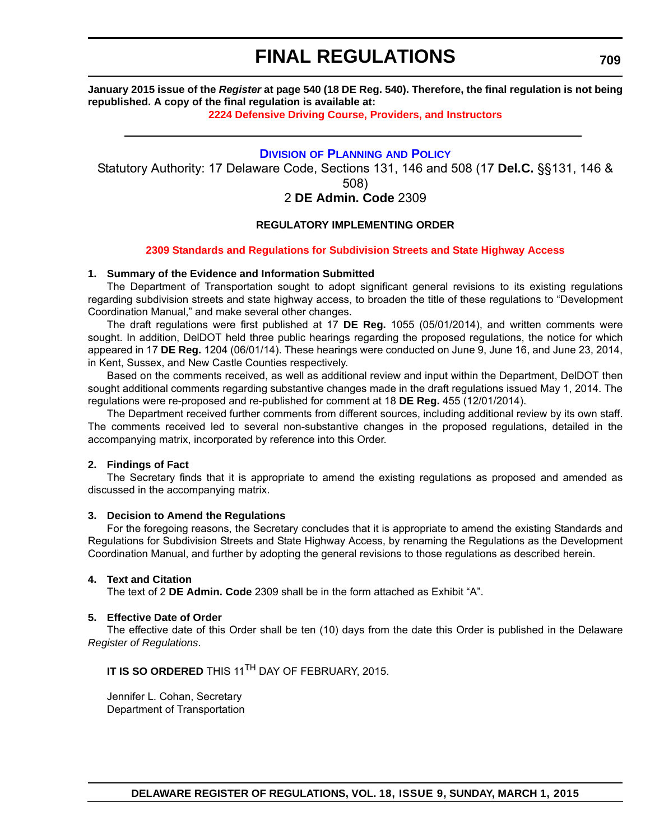**January 2015 issue of the** *Register* **at page 540 (18 DE Reg. 540). Therefore, the final regulation is not being republished. A copy of the final regulation is available at:**

**[2224 Defensive Driving Course, Providers, and Instructors](http://regulations.delaware.gov/register/march2015/final/18 DE Reg 708 03-01-15.htm)**

### **DIVISION [OF PLANNING](http://www.deldot.gov/home/divisions/) AND POLICY**

Statutory Authority: 17 Delaware Code, Sections 131, 146 and 508 (17 **Del.C.** §§131, 146 &

508)

## 2 **DE Admin. Code** 2309

### **REGULATORY IMPLEMENTING ORDER**

#### **[2309 Standards and Regulations for Subdivision Streets and State Highway Access](#page-4-0)**

#### **1. Summary of the Evidence and Information Submitted**

The Department of Transportation sought to adopt significant general revisions to its existing regulations regarding subdivision streets and state highway access, to broaden the title of these regulations to "Development Coordination Manual," and make several other changes.

The draft regulations were first published at 17 **DE Reg.** 1055 (05/01/2014), and written comments were sought. In addition, DelDOT held three public hearings regarding the proposed regulations, the notice for which appeared in 17 **DE Reg.** 1204 (06/01/14). These hearings were conducted on June 9, June 16, and June 23, 2014, in Kent, Sussex, and New Castle Counties respectively.

Based on the comments received, as well as additional review and input within the Department, DelDOT then sought additional comments regarding substantive changes made in the draft regulations issued May 1, 2014. The regulations were re-proposed and re-published for comment at 18 **DE Reg.** 455 (12/01/2014).

The Department received further comments from different sources, including additional review by its own staff. The comments received led to several non-substantive changes in the proposed regulations, detailed in the accompanying matrix, incorporated by reference into this Order.

#### **2. Findings of Fact**

The Secretary finds that it is appropriate to amend the existing regulations as proposed and amended as discussed in the accompanying matrix.

#### **3. Decision to Amend the Regulations**

For the foregoing reasons, the Secretary concludes that it is appropriate to amend the existing Standards and Regulations for Subdivision Streets and State Highway Access, by renaming the Regulations as the Development Coordination Manual, and further by adopting the general revisions to those regulations as described herein.

#### **4. Text and Citation**

The text of 2 **DE Admin. Code** 2309 shall be in the form attached as Exhibit "A".

#### **5. Effective Date of Order**

The effective date of this Order shall be ten (10) days from the date this Order is published in the Delaware *Register of Regulations*.

**IT IS SO ORDERED** THIS 11<sup>TH</sup> DAY OF FEBRUARY, 2015.

Jennifer L. Cohan, Secretary Department of Transportation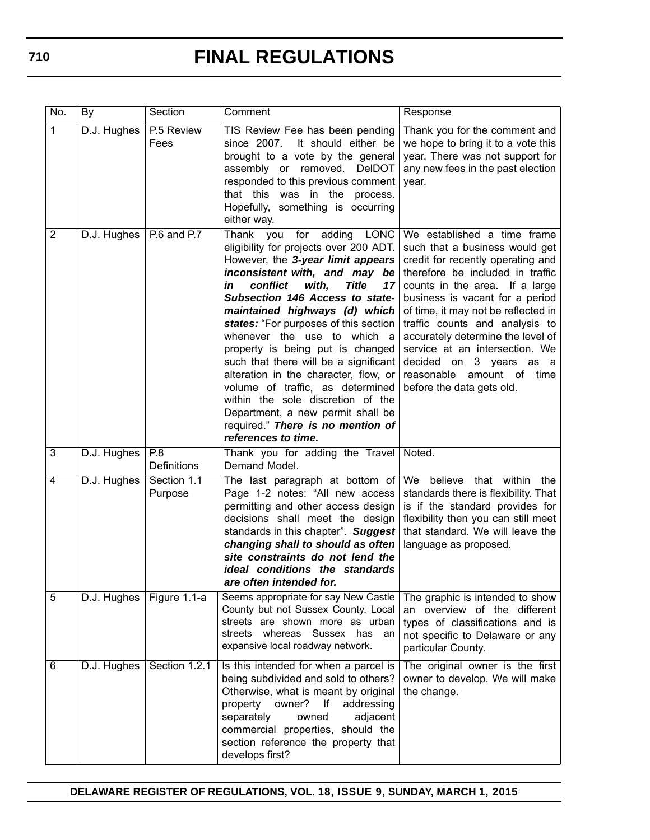| No.            | By                        | Section                   | Comment                                                                                                                                                                                                                                                                                                                                                                                                                                                                                                                                                                                                                                         | Response                                                                                                                                                                                                                                                                                                                                                                                                                                         |
|----------------|---------------------------|---------------------------|-------------------------------------------------------------------------------------------------------------------------------------------------------------------------------------------------------------------------------------------------------------------------------------------------------------------------------------------------------------------------------------------------------------------------------------------------------------------------------------------------------------------------------------------------------------------------------------------------------------------------------------------------|--------------------------------------------------------------------------------------------------------------------------------------------------------------------------------------------------------------------------------------------------------------------------------------------------------------------------------------------------------------------------------------------------------------------------------------------------|
| $\overline{1}$ | D.J. Hughes               | P.5 Review<br>Fees        | TIS Review Fee has been pending<br>since 2007.<br>It should either be<br>brought to a vote by the general<br>assembly or removed.<br><b>DeIDOT</b><br>responded to this previous comment<br>that this was in the<br>process.<br>Hopefully, something is occurring<br>either way.                                                                                                                                                                                                                                                                                                                                                                | Thank you for the comment and<br>we hope to bring it to a vote this<br>year. There was not support for<br>any new fees in the past election<br>year.                                                                                                                                                                                                                                                                                             |
| 2              | D.J. Hughes   P.6 and P.7 |                           | Thank you<br>for<br>adding<br>LONC<br>eligibility for projects over 200 ADT.<br>However, the 3-year limit appears<br>inconsistent with, and may be<br>conflict<br>with,<br><b>Title</b><br>in<br>17<br>Subsection 146 Access to state-<br>maintained highways (d) which<br>states: "For purposes of this section<br>whenever the use to which a<br>property is being put is changed<br>such that there will be a significant<br>alteration in the character, flow, or<br>volume of traffic, as determined<br>within the sole discretion of the<br>Department, a new permit shall be<br>required." There is no mention of<br>references to time. | We established a time frame<br>such that a business would get<br>credit for recently operating and<br>therefore be included in traffic<br>counts in the area. If a large<br>business is vacant for a period<br>of time, it may not be reflected in<br>traffic counts and analysis to<br>accurately determine the level of<br>service at an intersection. We<br>decided on 3 years as a<br>reasonable amount of time<br>before the data gets old. |
| 3              | D.J. Hughes               | P.8<br><b>Definitions</b> | Thank you for adding the Travel<br>Demand Model.                                                                                                                                                                                                                                                                                                                                                                                                                                                                                                                                                                                                | Noted.                                                                                                                                                                                                                                                                                                                                                                                                                                           |
| 4              | D.J. Hughes               | Section 1.1<br>Purpose    | The last paragraph at bottom of<br>Page 1-2 notes: "All new access<br>permitting and other access design<br>decisions shall meet the design<br>standards in this chapter". Suggest<br>changing shall to should as often<br>site constraints do not lend the<br>ideal conditions the standards<br>are often intended for.                                                                                                                                                                                                                                                                                                                        | We believe that within<br>the<br>standards there is flexibility. That<br>is if the standard provides for<br>flexibility then you can still meet<br>that standard. We will leave the<br>language as proposed.                                                                                                                                                                                                                                     |
| $\overline{5}$ | D.J. Hughes               | Figure 1.1-a              | Seems appropriate for say New Castle<br>County but not Sussex County. Local<br>streets are shown more as urban<br>streets whereas Sussex has<br>an<br>expansive local roadway network.                                                                                                                                                                                                                                                                                                                                                                                                                                                          | The graphic is intended to show<br>an overview of the different<br>types of classifications and is<br>not specific to Delaware or any<br>particular County.                                                                                                                                                                                                                                                                                      |
| 6              | D.J. Hughes               | Section 1.2.1             | Is this intended for when a parcel is<br>being subdivided and sold to others?<br>Otherwise, what is meant by original<br>owner?<br> <br>addressing<br>property<br>separately<br>adjacent<br>owned<br>commercial properties, should the<br>section reference the property that<br>develops first?                                                                                                                                                                                                                                                                                                                                                | The original owner is the first<br>owner to develop. We will make<br>the change.                                                                                                                                                                                                                                                                                                                                                                 |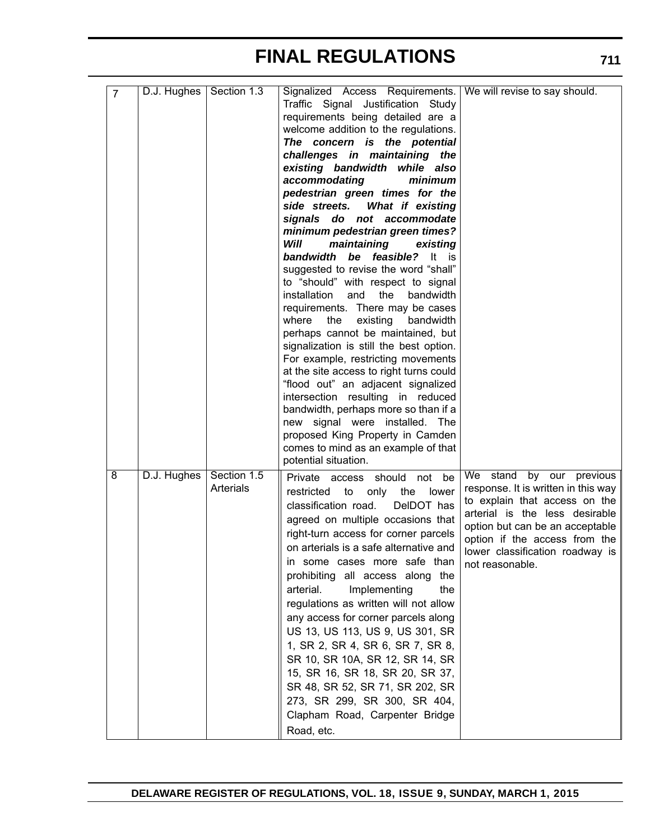| $\overline{7}$ | D.J. Hughes   Section 1.3 |                          | Signalized Access Requirements.   We will revise to say should.<br>Traffic Signal Justification Study<br>requirements being detailed are a<br>welcome addition to the regulations.<br>The concern is the potential<br>challenges in maintaining the<br>existing bandwidth while also<br>accommodating<br>minimum<br>pedestrian green times for the<br>What if existing<br>side streets.<br>signals do not accommodate<br>minimum pedestrian green times?<br>Will<br>maintaining<br>existing<br>bandwidth be feasible?<br>It<br>is.<br>suggested to revise the word "shall"<br>to "should" with respect to signal<br>installation<br>and<br>the<br>bandwidth<br>requirements. There may be cases<br>the<br>existing<br>where<br>bandwidth<br>perhaps cannot be maintained, but<br>signalization is still the best option.<br>For example, restricting movements<br>at the site access to right turns could<br>"flood out" an adjacent signalized<br>intersection resulting in reduced<br>bandwidth, perhaps more so than if a<br>new signal were installed. The<br>proposed King Property in Camden<br>comes to mind as an example of that<br>potential situation. |                                                                                                                                                                                                                                                                          |
|----------------|---------------------------|--------------------------|-------------------------------------------------------------------------------------------------------------------------------------------------------------------------------------------------------------------------------------------------------------------------------------------------------------------------------------------------------------------------------------------------------------------------------------------------------------------------------------------------------------------------------------------------------------------------------------------------------------------------------------------------------------------------------------------------------------------------------------------------------------------------------------------------------------------------------------------------------------------------------------------------------------------------------------------------------------------------------------------------------------------------------------------------------------------------------------------------------------------------------------------------------------------|--------------------------------------------------------------------------------------------------------------------------------------------------------------------------------------------------------------------------------------------------------------------------|
| 8              | D.J. Hughes               | Section 1.5<br>Arterials | Private access should<br>not be<br>restricted<br>to<br>only<br>the<br>lower<br>classification road.<br>DelDOT has<br>agreed on multiple occasions that<br>right-turn access for corner parcels<br>on arterials is a safe alternative and<br>in some cases more safe than<br>prohibiting all access along the<br>arterial.<br>Implementing<br>the<br>regulations as written will not allow<br>any access for corner parcels along<br>US 13, US 113, US 9, US 301, SR<br>1, SR 2, SR 4, SR 6, SR 7, SR 8,<br>SR 10, SR 10A, SR 12, SR 14, SR<br>15, SR 16, SR 18, SR 20, SR 37,<br>SR 48, SR 52, SR 71, SR 202, SR<br>273, SR 299, SR 300, SR 404,<br>Clapham Road, Carpenter Bridge<br>Road, etc.                                                                                                                                                                                                                                                                                                                                                                                                                                                                  | We<br>stand<br>by<br>our<br>previous<br>response. It is written in this way<br>to explain that access on the<br>arterial is the less desirable<br>option but can be an acceptable<br>option if the access from the<br>lower classification roadway is<br>not reasonable. |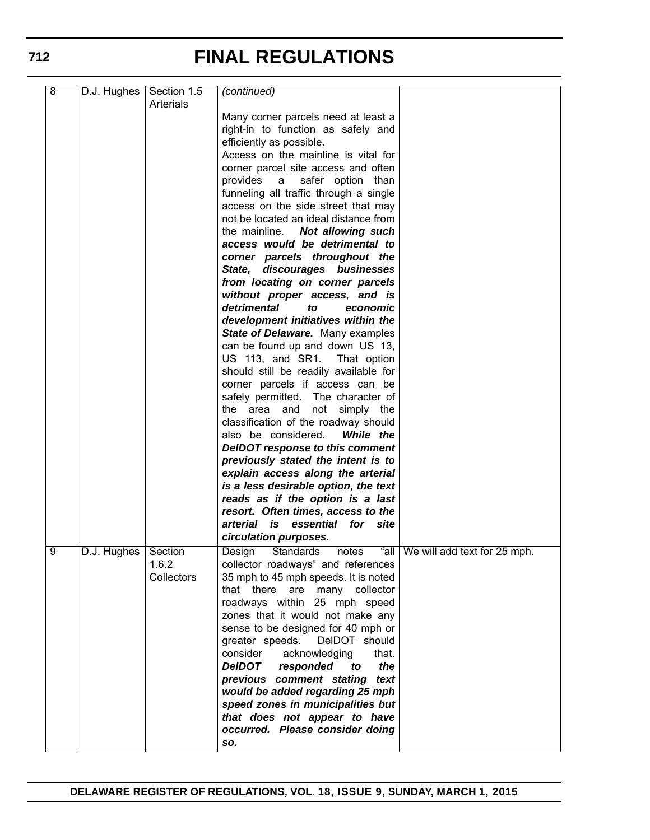| 8 | D.J. Hughes | Section 1.5<br>Arterials | (continued)                             |                                   |
|---|-------------|--------------------------|-----------------------------------------|-----------------------------------|
|   |             |                          |                                         |                                   |
|   |             |                          | Many corner parcels need at least a     |                                   |
|   |             |                          | right-in to function as safely and      |                                   |
|   |             |                          | efficiently as possible.                |                                   |
|   |             |                          | Access on the mainline is vital for     |                                   |
|   |             |                          | corner parcel site access and often     |                                   |
|   |             |                          | provides a<br>safer option than         |                                   |
|   |             |                          | funneling all traffic through a single  |                                   |
|   |             |                          | access on the side street that may      |                                   |
|   |             |                          | not be located an ideal distance from   |                                   |
|   |             |                          | the mainline. Not allowing such         |                                   |
|   |             |                          | access would be detrimental to          |                                   |
|   |             |                          | corner parcels throughout the           |                                   |
|   |             |                          | State, discourages businesses           |                                   |
|   |             |                          | from locating on corner parcels         |                                   |
|   |             |                          | without proper access, and is           |                                   |
|   |             |                          | detrimental<br>to                       |                                   |
|   |             |                          | economic                                |                                   |
|   |             |                          | development initiatives within the      |                                   |
|   |             |                          | State of Delaware. Many examples        |                                   |
|   |             |                          | can be found up and down US 13,         |                                   |
|   |             |                          | US 113, and SR1.<br>That option         |                                   |
|   |             |                          | should still be readily available for   |                                   |
|   |             |                          | corner parcels if access can be         |                                   |
|   |             |                          | safely permitted. The character of      |                                   |
|   |             |                          | the area and not simply the             |                                   |
|   |             |                          | classification of the roadway should    |                                   |
|   |             |                          | also be considered.<br>While the        |                                   |
|   |             |                          | <b>DeIDOT response to this comment</b>  |                                   |
|   |             |                          | previously stated the intent is to      |                                   |
|   |             |                          | explain access along the arterial       |                                   |
|   |             |                          | is a less desirable option, the text    |                                   |
|   |             |                          | reads as if the option is a last        |                                   |
|   |             |                          | resort. Often times, access to the      |                                   |
|   |             |                          | arterial is essential for site          |                                   |
|   |             |                          |                                         |                                   |
|   |             |                          | circulation purposes.                   |                                   |
| 9 | D.J. Hughes | Section                  | Standards<br>Design<br>notes            | "all We will add text for 25 mph. |
|   |             | 1.6.2                    | collector roadways" and references      |                                   |
|   |             | Collectors               | 35 mph to 45 mph speeds. It is noted    |                                   |
|   |             |                          | that there<br>are<br>many collector     |                                   |
|   |             |                          | roadways within 25 mph speed            |                                   |
|   |             |                          | zones that it would not make any        |                                   |
|   |             |                          | sense to be designed for 40 mph or      |                                   |
|   |             |                          | greater speeds. DelDOT should           |                                   |
|   |             |                          | consider<br>acknowledging<br>that.      |                                   |
|   |             |                          | the<br><b>DeIDOT</b><br>responded<br>to |                                   |
|   |             |                          | previous comment stating<br>text        |                                   |
|   |             |                          | would be added regarding 25 mph         |                                   |
|   |             |                          | speed zones in municipalities but       |                                   |
|   |             |                          | that does not appear to have            |                                   |
|   |             |                          | occurred. Please consider doing         |                                   |
|   |             |                          |                                         |                                   |
|   |             |                          | SO.                                     |                                   |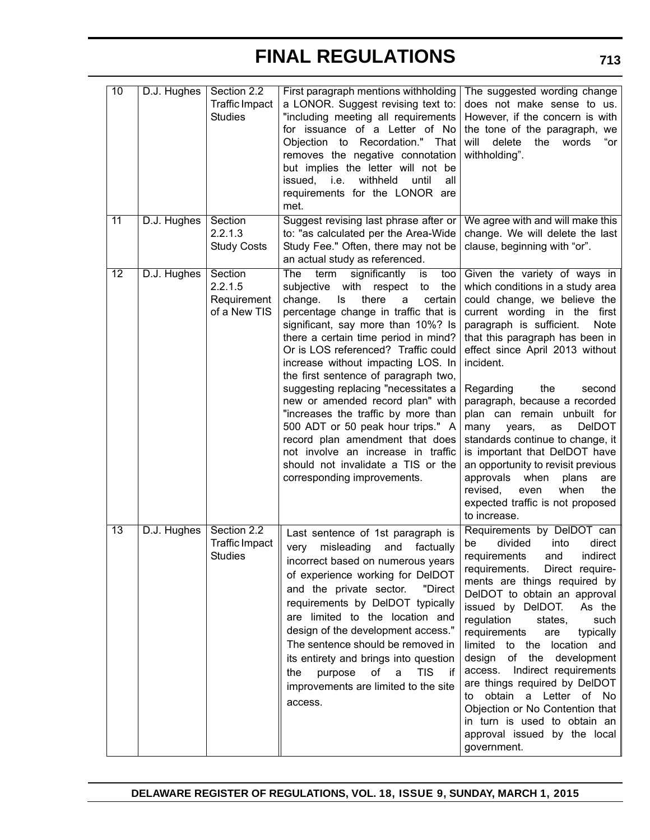| 10              | D.J. Hughes | Section 2.2<br><b>Traffic Impact</b><br><b>Studies</b> | First paragraph mentions withholding   The suggested wording change<br>a LONOR. Suggest revising text to:<br>"including meeting all requirements<br>for issuance of a Letter of No<br>Objection to Recordation." That<br>removes the negative connotation<br>but implies the letter will not be<br>issued, i.e.<br>withheld<br>until<br>all<br>requirements for the LONOR are<br>met.                                                                                                                                                                                                                                                                                              | does not make sense to us.<br>However, if the concern is with<br>the tone of the paragraph, we<br>will<br>delete<br>the<br>words<br>"or<br>withholding".                                                                                                                                                                                                                                                                                                                                                                                                                                                                       |
|-----------------|-------------|--------------------------------------------------------|------------------------------------------------------------------------------------------------------------------------------------------------------------------------------------------------------------------------------------------------------------------------------------------------------------------------------------------------------------------------------------------------------------------------------------------------------------------------------------------------------------------------------------------------------------------------------------------------------------------------------------------------------------------------------------|--------------------------------------------------------------------------------------------------------------------------------------------------------------------------------------------------------------------------------------------------------------------------------------------------------------------------------------------------------------------------------------------------------------------------------------------------------------------------------------------------------------------------------------------------------------------------------------------------------------------------------|
| 11              | D.J. Hughes | Section<br>2.2.1.3<br><b>Study Costs</b>               | Suggest revising last phrase after or<br>to: "as calculated per the Area-Wide<br>Study Fee." Often, there may not be<br>an actual study as referenced.                                                                                                                                                                                                                                                                                                                                                                                                                                                                                                                             | We agree with and will make this<br>change. We will delete the last<br>clause, beginning with "or".                                                                                                                                                                                                                                                                                                                                                                                                                                                                                                                            |
| $\overline{12}$ | D.J. Hughes | Section<br>2.2.1.5<br>Requirement<br>of a New TIS      | The<br>term<br>significantly<br>too<br>is<br>with<br>the<br>subjective<br>respect<br>to<br>change.<br>there<br>certain<br>ls<br>a<br>percentage change in traffic that is<br>significant, say more than 10%? Is<br>there a certain time period in mind?<br>Or is LOS referenced? Traffic could<br>increase without impacting LOS. In<br>the first sentence of paragraph two,<br>suggesting replacing "necessitates a<br>new or amended record plan" with<br>"increases the traffic by more than<br>500 ADT or 50 peak hour trips." A<br>record plan amendment that does<br>not involve an increase in traffic<br>should not invalidate a TIS or the<br>corresponding improvements. | Given the variety of ways in<br>which conditions in a study area<br>could change, we believe the<br>current wording in the first<br>paragraph is sufficient.<br>Note<br>that this paragraph has been in<br>effect since April 2013 without<br>incident.<br>the<br>Regarding<br>second<br>paragraph, because a recorded<br>plan can remain unbuilt for<br>DeIDOT<br>many<br>years,<br>as<br>standards continue to change, it<br>is important that DelDOT have<br>an opportunity to revisit previous<br>approvals<br>when<br>plans<br>are<br>when<br>the<br>revised,<br>even<br>expected traffic is not proposed<br>to increase. |
| $\overline{13}$ | D.J. Hughes | Section 2.2<br><b>Traffic Impact</b><br>Studies        | Last sentence of 1st paragraph is<br>very<br>misleading<br>and<br>factually<br>incorrect based on numerous years<br>of experience working for DelDOT<br>and the private sector.<br>"Direct<br>requirements by DelDOT typically<br>are limited to the location and<br>design of the development access."<br>The sentence should be removed in<br>its entirety and brings into question<br>οf<br><b>TIS</b><br>a<br>if<br>the<br>purpose<br>improvements are limited to the site<br>access.                                                                                                                                                                                          | Requirements by DelDOT can<br>divided<br>into<br>direct<br>be<br>requirements and<br>indirect<br>Direct require-<br>requirements.<br>ments are things required by<br>DelDOT to obtain an approval<br>issued by DelDOT.<br>As the<br>regulation<br>states,<br>such<br>requirements<br>are<br>typically<br>limited to the location and<br>design of the development<br>access. Indirect requirements<br>are things required by DelDOT<br>to obtain a Letter of No<br>Objection or No Contention that<br>in turn is used to obtain an<br>approval issued by the local<br>government.                                              |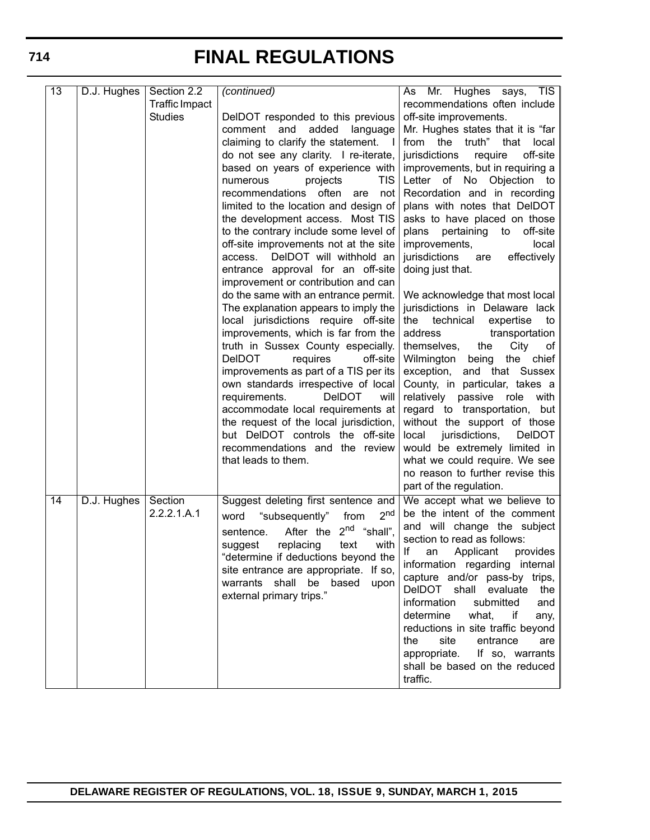| 13              | D.J. Hughes | Section 2.2    | (continued)                                                                  | Mr. Hughes says, TIS<br>As                                       |
|-----------------|-------------|----------------|------------------------------------------------------------------------------|------------------------------------------------------------------|
|                 |             | Traffic Impact |                                                                              | recommendations often include                                    |
|                 |             | <b>Studies</b> | DelDOT responded to this previous                                            | off-site improvements.                                           |
|                 |             |                | added<br>comment and<br>language                                             | Mr. Hughes states that it is "far                                |
|                 |             |                | claiming to clarify the statement. I                                         | from the truth" that<br>local                                    |
|                 |             |                | do not see any clarity. I re-iterate,                                        | off-site<br>jurisdictions<br>require                             |
|                 |             |                | based on years of experience with                                            | improvements, but in requiring a                                 |
|                 |             |                | <b>TIS</b><br>projects<br>numerous                                           | Letter of<br>No Objection to                                     |
|                 |             |                | often<br>recommendations<br>not<br>are                                       | Recordation and in recording                                     |
|                 |             |                | limited to the location and design of                                        | plans with notes that DelDOT                                     |
|                 |             |                | the development access. Most TIS                                             | asks to have placed on those                                     |
|                 |             |                | to the contrary include some level of                                        | pertaining<br>off-site<br>plans<br>to                            |
|                 |             |                | off-site improvements not at the site                                        | improvements,<br>local                                           |
|                 |             |                | DelDOT will withhold an<br>access.                                           | effectively<br>jurisdictions<br>are                              |
|                 |             |                | entrance approval for an off-site                                            | doing just that.                                                 |
|                 |             |                | improvement or contribution and can                                          |                                                                  |
|                 |             |                | do the same with an entrance permit.<br>The explanation appears to imply the | We acknowledge that most local<br>jurisdictions in Delaware lack |
|                 |             |                | local jurisdictions require off-site                                         | the technical<br>expertise<br>to                                 |
|                 |             |                | improvements, which is far from the                                          | address<br>transportation                                        |
|                 |             |                | truth in Sussex County especially.                                           | themselves,<br>the<br>City<br>οf                                 |
|                 |             |                | <b>DeIDOT</b><br>requires<br>off-site                                        | Wilmington<br>being<br>the chief                                 |
|                 |             |                | improvements as part of a TIS per its                                        | and that Sussex<br>exception,                                    |
|                 |             |                | own standards irrespective of local                                          | County, in particular, takes a                                   |
|                 |             |                | <b>DeIDOT</b><br>requirements.<br>will                                       | relatively passive role with                                     |
|                 |             |                | accommodate local requirements at                                            | regard to transportation, but                                    |
|                 |             |                | the request of the local jurisdiction,                                       | without the support of those                                     |
|                 |             |                | but DeIDOT controls the off-site                                             | jurisdictions,<br>local<br><b>DeIDOT</b>                         |
|                 |             |                | recommendations and the review                                               | would be extremely limited in                                    |
|                 |             |                | that leads to them.                                                          | what we could require. We see                                    |
|                 |             |                |                                                                              | no reason to further revise this                                 |
|                 |             |                |                                                                              | part of the regulation.                                          |
| $\overline{14}$ | D.J. Hughes | Section        | Suggest deleting first sentence and                                          | We accept what we believe to                                     |
|                 |             | 2.2.2.1.A.1    | 2 <sub>nd</sub><br>"subsequently"<br>from<br>word                            | be the intent of the comment                                     |
|                 |             |                | $2^{nd}$ "shall",<br>After the<br>sentence.                                  | and will change the subject                                      |
|                 |             |                | replacing<br>text<br>with                                                    | section to read as follows:                                      |
|                 |             |                | suggest<br>"determine if deductions beyond the                               | lf<br>Applicant<br>provides  <br>an                              |
|                 |             |                | site entrance are appropriate. If so,                                        | information regarding internal                                   |
|                 |             |                | warrants shall be based<br>upon                                              | capture and/or pass-by trips,                                    |
|                 |             |                | external primary trips."                                                     | DelDOT shall evaluate<br>the                                     |
|                 |             |                |                                                                              | information<br>submitted<br>and                                  |
|                 |             |                |                                                                              | determine<br>what,<br>if<br>any,                                 |
|                 |             |                |                                                                              | reductions in site traffic beyond                                |
|                 |             |                |                                                                              | the<br>site<br>entrance<br>are                                   |
|                 |             |                |                                                                              | appropriate. If so, warrants                                     |
|                 |             |                |                                                                              | shall be based on the reduced                                    |
|                 |             |                |                                                                              | traffic.                                                         |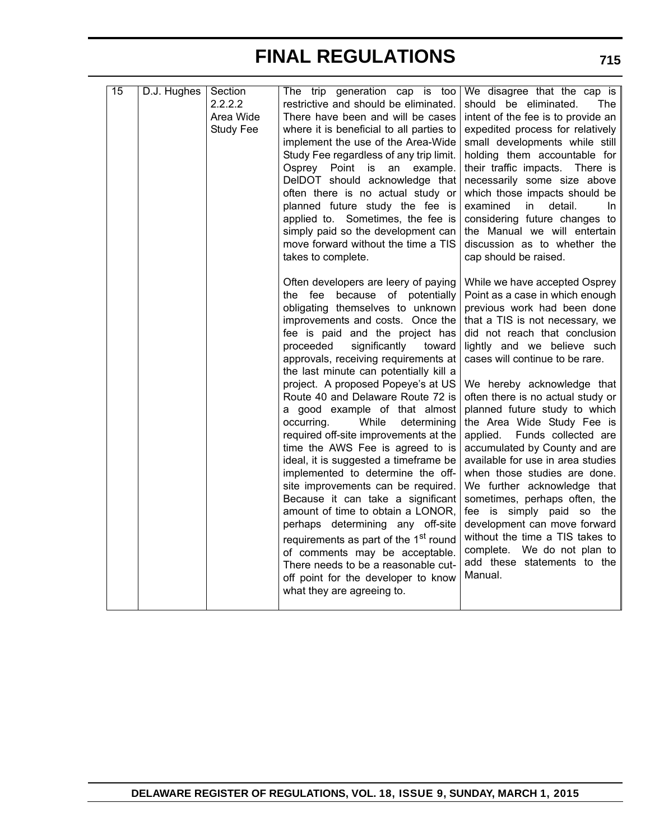| 15 | D.J. Hughes | Section<br>2.2.2.2<br>Area Wide<br><b>Study Fee</b> | The trip generation cap is too<br>restrictive and should be eliminated.<br>There have been and will be cases<br>where it is beneficial to all parties to<br>implement the use of the Area-Wide<br>Study Fee regardless of any trip limit.<br>Osprey Point is an example.<br>DeIDOT should acknowledge that<br>often there is no actual study or<br>planned future study the fee is<br>applied to. Sometimes, the fee is<br>simply paid so the development can<br>move forward without the time a TIS<br>takes to complete.                                                                                                                                                                                                                                                                                                                                                                                                                                             | We disagree that the cap is<br>should be eliminated.<br>The<br>intent of the fee is to provide an<br>expedited process for relatively<br>small developments while still<br>holding them accountable for<br>their traffic impacts. There is<br>necessarily some size above<br>which those impacts should be<br>examined<br>in.<br>detail.<br>In.<br>considering future changes to<br>the Manual we will entertain<br>discussion as to whether the<br>cap should be raised.                                                                                                                                                                                                                                                                                 |
|----|-------------|-----------------------------------------------------|------------------------------------------------------------------------------------------------------------------------------------------------------------------------------------------------------------------------------------------------------------------------------------------------------------------------------------------------------------------------------------------------------------------------------------------------------------------------------------------------------------------------------------------------------------------------------------------------------------------------------------------------------------------------------------------------------------------------------------------------------------------------------------------------------------------------------------------------------------------------------------------------------------------------------------------------------------------------|-----------------------------------------------------------------------------------------------------------------------------------------------------------------------------------------------------------------------------------------------------------------------------------------------------------------------------------------------------------------------------------------------------------------------------------------------------------------------------------------------------------------------------------------------------------------------------------------------------------------------------------------------------------------------------------------------------------------------------------------------------------|
|    |             |                                                     | Often developers are leery of paying<br>because of potentially<br>the fee<br>obligating themselves to unknown<br>improvements and costs. Once the<br>fee is paid and the project has<br>significantly<br>proceeded<br>toward<br>approvals, receiving requirements at<br>the last minute can potentially kill a<br>project. A proposed Popeye's at US<br>Route 40 and Delaware Route 72 is<br>a good example of that almost<br>occurring.<br>While<br>determining<br>required off-site improvements at the<br>time the AWS Fee is agreed to is<br>ideal, it is suggested a timeframe be<br>implemented to determine the off-<br>site improvements can be required.<br>Because it can take a significant<br>amount of time to obtain a LONOR,<br>perhaps determining any off-site<br>requirements as part of the 1st round<br>of comments may be acceptable.<br>There needs to be a reasonable cut-<br>off point for the developer to know<br>what they are agreeing to. | While we have accepted Osprey<br>Point as a case in which enough<br>previous work had been done<br>that a TIS is not necessary, we<br>did not reach that conclusion<br>lightly and we believe such<br>cases will continue to be rare.<br>We hereby acknowledge that<br>often there is no actual study or<br>planned future study to which<br>the Area Wide Study Fee is<br>applied.<br>Funds collected are<br>accumulated by County and are<br>available for use in area studies<br>when those studies are done.<br>We further acknowledge that<br>sometimes, perhaps often, the<br>fee is simply paid so the<br>development can move forward<br>without the time a TIS takes to<br>complete. We do not plan to<br>add these statements to the<br>Manual. |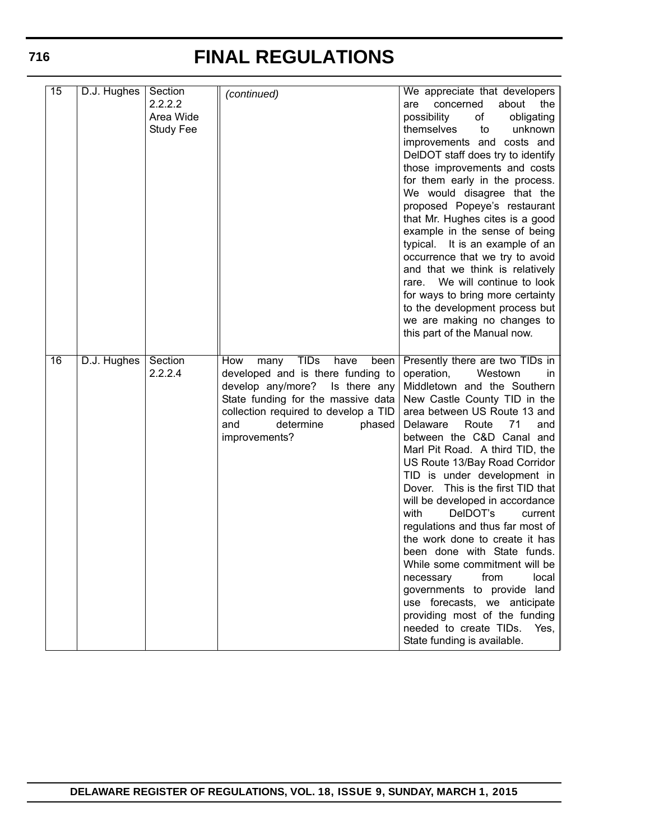| 15              | D.J. Hughes | Section<br>2.2.2.2<br>Area Wide<br><b>Study Fee</b> | (continued)                                                                                                                                                                                                                                       | We appreciate that developers<br>about<br>concerned<br>the<br>are<br>possibility<br>obligating<br>of<br>unknown<br>themselves<br>to<br>improvements and costs and<br>DelDOT staff does try to identify<br>those improvements and costs<br>for them early in the process.<br>We would disagree that the<br>proposed Popeye's restaurant<br>that Mr. Hughes cites is a good<br>example in the sense of being<br>typical. It is an example of an<br>occurrence that we try to avoid<br>and that we think is relatively<br>We will continue to look<br>rare.<br>for ways to bring more certainty<br>to the development process but<br>we are making no changes to<br>this part of the Manual now.                                                                                  |
|-----------------|-------------|-----------------------------------------------------|---------------------------------------------------------------------------------------------------------------------------------------------------------------------------------------------------------------------------------------------------|--------------------------------------------------------------------------------------------------------------------------------------------------------------------------------------------------------------------------------------------------------------------------------------------------------------------------------------------------------------------------------------------------------------------------------------------------------------------------------------------------------------------------------------------------------------------------------------------------------------------------------------------------------------------------------------------------------------------------------------------------------------------------------|
| $\overline{16}$ | D.J. Hughes | Section<br>2.2.2.4                                  | <b>TIDs</b><br>have<br>How<br>many<br>been<br>developed and is there funding to<br>develop any/more?<br>Is there any<br>State funding for the massive data<br>collection required to develop a TID<br>determine<br>and<br>phased<br>improvements? | Presently there are two TIDs in<br>operation,<br>Westown<br>in<br>Middletown and the Southern<br>New Castle County TID in the<br>area between US Route 13 and<br>Route<br>Delaware<br>71<br>and<br>between the C&D Canal and<br>Marl Pit Road. A third TID, the<br>US Route 13/Bay Road Corridor<br>TID is under development in<br>This is the first TID that<br>Dover.<br>will be developed in accordance<br>with<br>DelDOT's<br>current<br>regulations and thus far most of<br>the work done to create it has<br>been done with State funds.<br>While some commitment will be<br>from<br>local<br>necessary<br>governments to provide land<br>use forecasts, we anticipate<br>providing most of the funding<br>needed to create TIDs.<br>Yes,<br>State funding is available. |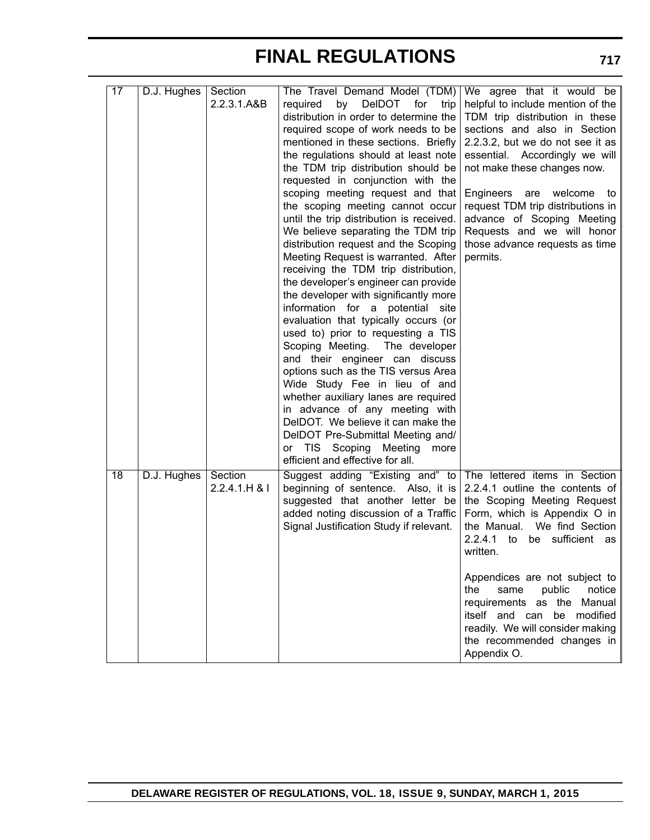| 17 | D.J. Hughes | Section<br>2.2.3.1.A&B   | The Travel Demand Model (TDM)<br><b>DeIDOT</b><br>required<br>by<br>for<br>trip<br>distribution in order to determine the<br>required scope of work needs to be<br>mentioned in these sections. Briefly<br>the regulations should at least note<br>the TDM trip distribution should be<br>requested in conjunction with the<br>scoping meeting request and that<br>the scoping meeting cannot occur<br>until the trip distribution is received.<br>We believe separating the TDM trip<br>distribution request and the Scoping<br>Meeting Request is warranted. After<br>receiving the TDM trip distribution,<br>the developer's engineer can provide<br>the developer with significantly more<br>information for a potential site<br>evaluation that typically occurs (or<br>used to) prior to requesting a TIS<br>Scoping Meeting. The developer<br>and their engineer can discuss<br>options such as the TIS versus Area<br>Wide Study Fee in lieu of and<br>whether auxiliary lanes are required<br>in advance of any meeting with<br>DelDOT. We believe it can make the<br>DelDOT Pre-Submittal Meeting and/<br>or TIS Scoping Meeting<br>more<br>efficient and effective for all. | We agree that it would be<br>helpful to include mention of the<br>TDM trip distribution in these<br>sections and also in Section<br>2.2.3.2, but we do not see it as<br>essential. Accordingly we will<br>not make these changes now.<br>Engineers<br>are<br>welcome<br>to<br>request TDM trip distributions in<br>advance of Scoping Meeting<br>Requests and we will honor<br>those advance requests as time<br>permits.                          |
|----|-------------|--------------------------|----------------------------------------------------------------------------------------------------------------------------------------------------------------------------------------------------------------------------------------------------------------------------------------------------------------------------------------------------------------------------------------------------------------------------------------------------------------------------------------------------------------------------------------------------------------------------------------------------------------------------------------------------------------------------------------------------------------------------------------------------------------------------------------------------------------------------------------------------------------------------------------------------------------------------------------------------------------------------------------------------------------------------------------------------------------------------------------------------------------------------------------------------------------------------------------|----------------------------------------------------------------------------------------------------------------------------------------------------------------------------------------------------------------------------------------------------------------------------------------------------------------------------------------------------------------------------------------------------------------------------------------------------|
| 18 | D.J. Hughes | Section<br>2.2.4.1.H & l | Suggest adding "Existing and" to<br>beginning of sentence. Also, it is<br>suggested that another letter be<br>added noting discussion of a Traffic<br>Signal Justification Study if relevant.                                                                                                                                                                                                                                                                                                                                                                                                                                                                                                                                                                                                                                                                                                                                                                                                                                                                                                                                                                                          | The lettered items in Section<br>2.2.4.1 outline the contents of<br>the Scoping Meeting Request<br>Form, which is Appendix O in<br>We find Section<br>the Manual.<br>2.2.4.1<br>sufficient<br>to<br>be<br>as<br>written.<br>Appendices are not subject to<br>public<br>notice<br>the<br>same<br>the<br>Manual<br>requirements as<br>be modified<br>itself and can<br>readily. We will consider making<br>the recommended changes in<br>Appendix O. |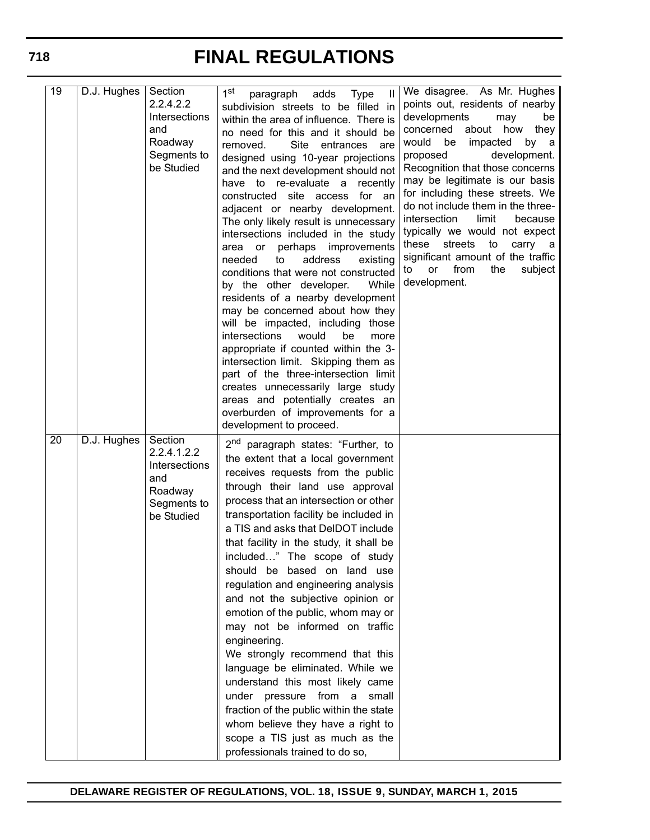| $\overline{19}$ | D.J. Hughes | Section<br>2.2.4.2.2<br>Intersections<br>and<br>Roadway<br>Segments to<br>be Studied   | 1 <sup>st</sup><br>paragraph<br>adds<br><b>Type</b><br>$\mathbf{H}$<br>subdivision streets to be filled in<br>within the area of influence. There is<br>no need for this and it should be<br>Site<br>removed.<br>entrances<br>are<br>designed using 10-year projections<br>and the next development should not<br>have to re-evaluate a<br>recently<br>constructed site access<br>for an<br>adjacent or nearby development.<br>The only likely result is unnecessary<br>intersections included in the study<br>perhaps improvements<br>area or<br>address<br>needed<br>to<br>existing<br>conditions that were not constructed<br>by the other developer.<br>While<br>residents of a nearby development<br>may be concerned about how they<br>will be impacted, including those<br>intersections<br>would<br>be<br>more<br>appropriate if counted within the 3-<br>intersection limit. Skipping them as<br>part of the three-intersection limit<br>creates unnecessarily large study<br>areas and potentially creates an<br>overburden of improvements for a<br>development to proceed. | We disagree. As Mr. Hughes<br>points out, residents of nearby<br>developments<br>may<br>be<br>concerned about how<br>they<br>would be<br>impacted<br>by a<br>development.<br>proposed<br>Recognition that those concerns<br>may be legitimate is our basis<br>for including these streets. We<br>do not include them in the three-<br>intersection<br>limit<br>because<br>typically we would not expect<br>these<br>streets<br>to<br>carry a<br>significant amount of the traffic<br>from<br>the<br><b>or</b><br>subject<br>to<br>development. |
|-----------------|-------------|----------------------------------------------------------------------------------------|----------------------------------------------------------------------------------------------------------------------------------------------------------------------------------------------------------------------------------------------------------------------------------------------------------------------------------------------------------------------------------------------------------------------------------------------------------------------------------------------------------------------------------------------------------------------------------------------------------------------------------------------------------------------------------------------------------------------------------------------------------------------------------------------------------------------------------------------------------------------------------------------------------------------------------------------------------------------------------------------------------------------------------------------------------------------------------------|------------------------------------------------------------------------------------------------------------------------------------------------------------------------------------------------------------------------------------------------------------------------------------------------------------------------------------------------------------------------------------------------------------------------------------------------------------------------------------------------------------------------------------------------|
| $\overline{20}$ | D.J. Hughes | Section<br>2.2.4.1.2.2<br>Intersections<br>and<br>Roadway<br>Segments to<br>be Studied | 2 <sup>nd</sup><br>paragraph states: "Further, to<br>the extent that a local government<br>receives requests from the public<br>through their land use approval<br>process that an intersection or other<br>transportation facility be included in<br>a TIS and asks that DelDOT include<br>that facility in the study, it shall be<br>included" The scope of study<br>should be based on land use<br>regulation and engineering analysis<br>and not the subjective opinion or<br>emotion of the public, whom may or<br>may not be informed on traffic<br>engineering.<br>We strongly recommend that this<br>language be eliminated. While we<br>understand this most likely came<br>under pressure from a small<br>fraction of the public within the state<br>whom believe they have a right to<br>scope a TIS just as much as the<br>professionals trained to do so,                                                                                                                                                                                                                 |                                                                                                                                                                                                                                                                                                                                                                                                                                                                                                                                                |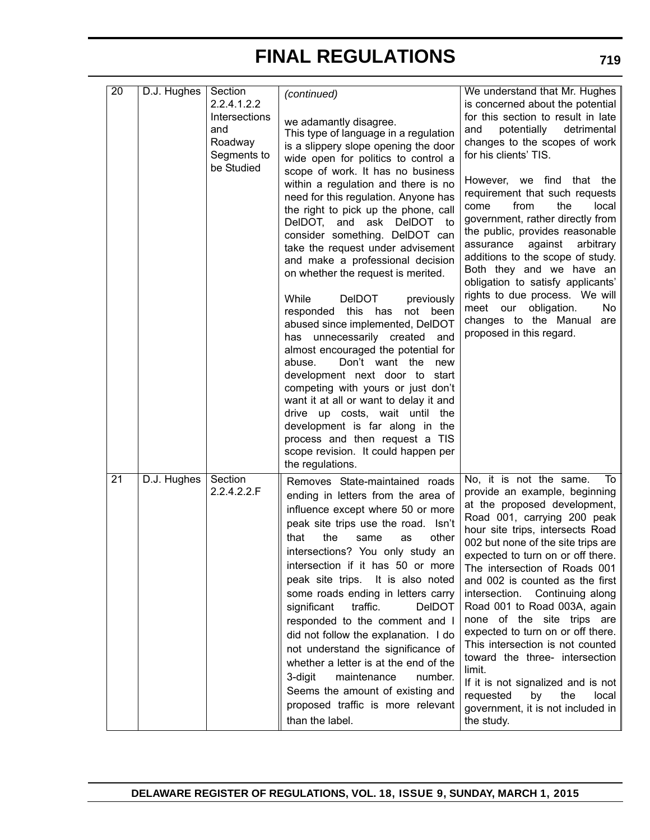| 20 | D.J. Hughes | Section<br>2.2.4.1.2.2<br>Intersections<br>and<br>Roadway<br>Segments to<br>be Studied | (continued)<br>we adamantly disagree.<br>This type of language in a regulation<br>is a slippery slope opening the door<br>wide open for politics to control a<br>scope of work. It has no business<br>within a regulation and there is no<br>need for this regulation. Anyone has<br>the right to pick up the phone, call<br>DeIDOT, and<br>ask<br>DelDOT<br>to<br>consider something. DelDOT can<br>take the request under advisement<br>and make a professional decision<br>on whether the request is merited.<br>While<br><b>DeIDOT</b><br>previously<br>responded this<br>has<br>not<br>been<br>abused since implemented, DelDOT<br>has unnecessarily created and<br>almost encouraged the potential for<br>abuse.<br>Don't want the<br>new<br>development next door to start<br>competing with yours or just don't<br>want it at all or want to delay it and<br>drive up costs, wait until<br>the<br>development is far along in the<br>process and then request a TIS<br>scope revision. It could happen per<br>the regulations. | We understand that Mr. Hughes<br>is concerned about the potential<br>for this section to result in late<br>potentially<br>detrimental<br>and<br>changes to the scopes of work<br>for his clients' TIS.<br>However, we find that the<br>requirement that such requests<br>from<br>the<br>local l<br>come<br>government, rather directly from<br>the public, provides reasonable<br>against<br>arbitrary<br>assurance<br>additions to the scope of study.<br>Both they and we have an<br>obligation to satisfy applicants'<br>rights to due process. We will<br>obligation.<br>meet our<br>No.<br>changes to the Manual<br>are<br>proposed in this regard.          |
|----|-------------|----------------------------------------------------------------------------------------|----------------------------------------------------------------------------------------------------------------------------------------------------------------------------------------------------------------------------------------------------------------------------------------------------------------------------------------------------------------------------------------------------------------------------------------------------------------------------------------------------------------------------------------------------------------------------------------------------------------------------------------------------------------------------------------------------------------------------------------------------------------------------------------------------------------------------------------------------------------------------------------------------------------------------------------------------------------------------------------------------------------------------------------|-------------------------------------------------------------------------------------------------------------------------------------------------------------------------------------------------------------------------------------------------------------------------------------------------------------------------------------------------------------------------------------------------------------------------------------------------------------------------------------------------------------------------------------------------------------------------------------------------------------------------------------------------------------------|
| 21 | D.J. Hughes | Section<br>2.2.4.2.2.F                                                                 | Removes State-maintained roads<br>ending in letters from the area of<br>influence except where 50 or more<br>peak site trips use the road. Isn't<br>the<br>that<br>other<br>same<br>as<br>intersections? You only study an<br>intersection if it has 50 or more<br>peak site trips. It is also noted<br>some roads ending in letters carry<br>traffic.<br><b>DeIDOT</b><br>significant<br>responded to the comment and I<br>did not follow the explanation. I do<br>not understand the significance of<br>whether a letter is at the end of the<br>maintenance<br>3-digit<br>number.<br>Seems the amount of existing and<br>proposed traffic is more relevant<br>than the label.                                                                                                                                                                                                                                                                                                                                                       | No, it is not the same.<br>To<br>provide an example, beginning<br>at the proposed development,<br>Road 001, carrying 200 peak<br>hour site trips, intersects Road<br>002 but none of the site trips are<br>expected to turn on or off there.<br>The intersection of Roads 001<br>and 002 is counted as the first<br>intersection. Continuing along<br>Road 001 to Road 003A, again<br>none of the site trips are<br>expected to turn on or off there.<br>This intersection is not counted<br>toward the three- intersection<br>limit.<br>If it is not signalized and is not<br>by<br>requested<br>the<br>local<br>government, it is not included in<br>the study. |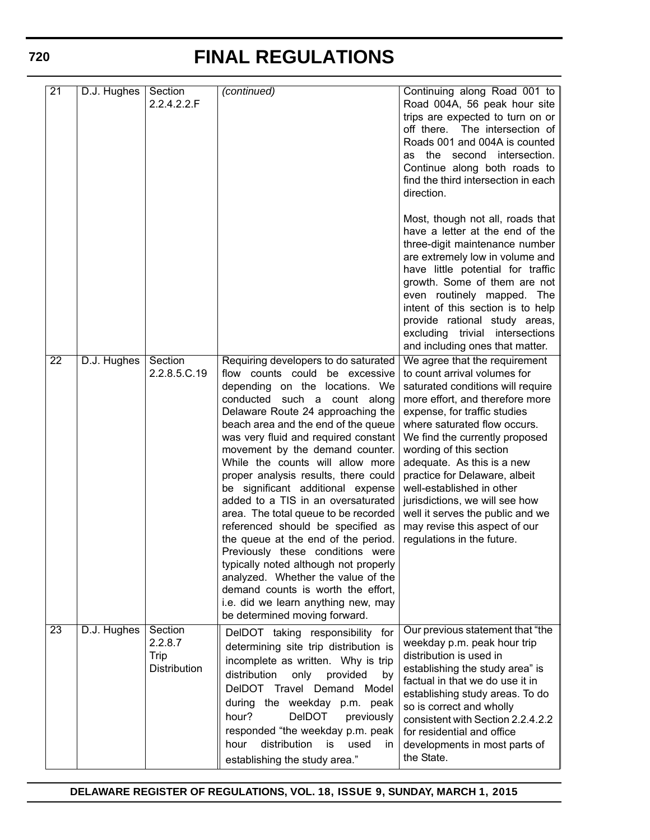| $\overline{21}$ | D.J. Hughes | Section<br>2.2.4.2.2.F                     | (continued)                                                                                                                                                                                                                                                                                                                                                                                                                                                                                                                                                                                                                                                                                                                                                                                                 | Continuing along Road 001 to<br>Road 004A, 56 peak hour site<br>trips are expected to turn on or<br>off there. The intersection of<br>Roads 001 and 004A is counted<br>as the second intersection.<br>Continue along both roads to<br>find the third intersection in each<br>direction.<br>Most, though not all, roads that<br>have a letter at the end of the<br>three-digit maintenance number<br>are extremely low in volume and                                                                 |
|-----------------|-------------|--------------------------------------------|-------------------------------------------------------------------------------------------------------------------------------------------------------------------------------------------------------------------------------------------------------------------------------------------------------------------------------------------------------------------------------------------------------------------------------------------------------------------------------------------------------------------------------------------------------------------------------------------------------------------------------------------------------------------------------------------------------------------------------------------------------------------------------------------------------------|-----------------------------------------------------------------------------------------------------------------------------------------------------------------------------------------------------------------------------------------------------------------------------------------------------------------------------------------------------------------------------------------------------------------------------------------------------------------------------------------------------|
|                 |             |                                            |                                                                                                                                                                                                                                                                                                                                                                                                                                                                                                                                                                                                                                                                                                                                                                                                             | have little potential for traffic<br>growth. Some of them are not<br>even routinely mapped. The<br>intent of this section is to help<br>provide rational study areas,<br>excluding trivial intersections<br>and including ones that matter.                                                                                                                                                                                                                                                         |
| $\overline{22}$ | D.J. Hughes | Section<br>2.2.8.5.C.19                    | Requiring developers to do saturated<br>flow counts could be excessive<br>depending on the locations. We<br>conducted such a count along<br>Delaware Route 24 approaching the<br>beach area and the end of the queue<br>was very fluid and required constant<br>movement by the demand counter.<br>While the counts will allow more<br>proper analysis results, there could<br>be significant additional expense<br>added to a TIS in an oversaturated<br>area. The total queue to be recorded<br>referenced should be specified as<br>the queue at the end of the period.<br>Previously these conditions were<br>typically noted although not properly<br>analyzed. Whether the value of the<br>demand counts is worth the effort,<br>i.e. did we learn anything new, may<br>be determined moving forward. | We agree that the requirement<br>to count arrival volumes for<br>saturated conditions will require<br>more effort, and therefore more<br>expense, for traffic studies<br>where saturated flow occurs.<br>We find the currently proposed<br>wording of this section<br>adequate. As this is a new<br>practice for Delaware, albeit<br>well-established in other<br>jurisdictions, we will see how<br>well it serves the public and we<br>may revise this aspect of our<br>regulations in the future. |
| $\overline{23}$ | D.J. Hughes | Section<br>2.2.8.7<br>Trip<br>Distribution | DeIDOT taking responsibility for<br>determining site trip distribution is<br>incomplete as written. Why is trip<br>distribution<br>only<br>provided<br>by<br>DelDOT Travel Demand<br>Model<br>during the weekday p.m. peak<br><b>DeIDOT</b><br>hour?<br>previously<br>responded "the weekday p.m. peak<br>distribution<br>hour<br>is<br>used<br>in.<br>establishing the study area."                                                                                                                                                                                                                                                                                                                                                                                                                        | Our previous statement that "the<br>weekday p.m. peak hour trip<br>distribution is used in<br>establishing the study area" is<br>factual in that we do use it in<br>establishing study areas. To do<br>so is correct and wholly<br>consistent with Section 2.2.4.2.2<br>for residential and office<br>developments in most parts of<br>the State.                                                                                                                                                   |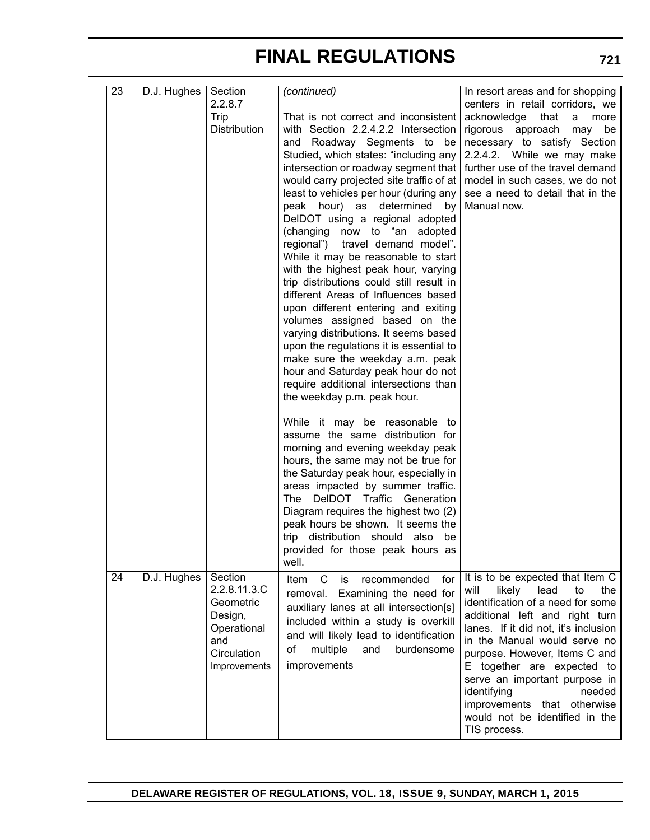| 23 | $\overline{D}$ .J. Hughes | Section<br>2.2.8.7<br>Trip<br>Distribution                                                           | (continued)<br>That is not correct and inconsistent<br>with Section 2.2.4.2.2 Intersection<br>and Roadway Segments to be<br>Studied, which states: "including any<br>intersection or roadway segment that   further use of the travel demand<br>would carry projected site traffic of at<br>least to vehicles per hour (during any<br>peak hour) as determined by<br>DelDOT using a regional adopted<br>(changing now to "an adopted<br>regional") travel demand model".<br>While it may be reasonable to start<br>with the highest peak hour, varying<br>trip distributions could still result in<br>different Areas of Influences based<br>upon different entering and exiting<br>volumes assigned based on the<br>varying distributions. It seems based<br>upon the regulations it is essential to<br>make sure the weekday a.m. peak<br>hour and Saturday peak hour do not<br>require additional intersections than | In resort areas and for shopping<br>centers in retail corridors, we<br>acknowledge<br>that<br>a<br>more<br>rigorous approach may be<br>necessary to satisfy Section<br>2.2.4.2. While we may make<br>model in such cases, we do not<br>see a need to detail that in the<br>Manual now.                                                                                                                                           |
|----|---------------------------|------------------------------------------------------------------------------------------------------|-------------------------------------------------------------------------------------------------------------------------------------------------------------------------------------------------------------------------------------------------------------------------------------------------------------------------------------------------------------------------------------------------------------------------------------------------------------------------------------------------------------------------------------------------------------------------------------------------------------------------------------------------------------------------------------------------------------------------------------------------------------------------------------------------------------------------------------------------------------------------------------------------------------------------|----------------------------------------------------------------------------------------------------------------------------------------------------------------------------------------------------------------------------------------------------------------------------------------------------------------------------------------------------------------------------------------------------------------------------------|
|    |                           |                                                                                                      | the weekday p.m. peak hour.<br>While it may be reasonable to<br>assume the same distribution for<br>morning and evening weekday peak<br>hours, the same may not be true for<br>the Saturday peak hour, especially in<br>areas impacted by summer traffic.<br>The DelDOT Traffic Generation<br>Diagram requires the highest two (2)<br>peak hours be shown. It seems the<br>trip distribution should also be<br>provided for those peak hours as<br>well.                                                                                                                                                                                                                                                                                                                                                                                                                                                                |                                                                                                                                                                                                                                                                                                                                                                                                                                  |
| 24 | D.J. Hughes               | Section<br>2.2.8.11.3.C<br>Geometric<br>Design,<br>Operational<br>and<br>Circulation<br>Improvements | C<br>recommended<br>Item<br>is<br>for<br>removal.<br>Examining the need for<br>auxiliary lanes at all intersection[s]<br>included within a study is overkill<br>and will likely lead to identification<br>of<br>multiple<br>and<br>burdensome<br>improvements                                                                                                                                                                                                                                                                                                                                                                                                                                                                                                                                                                                                                                                           | It is to be expected that Item C<br>likely<br>lead<br>will<br>to<br>the<br>identification of a need for some<br>additional left and right turn<br>lanes. If it did not, it's inclusion<br>in the Manual would serve no<br>purpose. However, Items C and<br>E together are expected to<br>serve an important purpose in<br>identifying<br>needed<br>improvements that otherwise<br>would not be identified in the<br>TIS process. |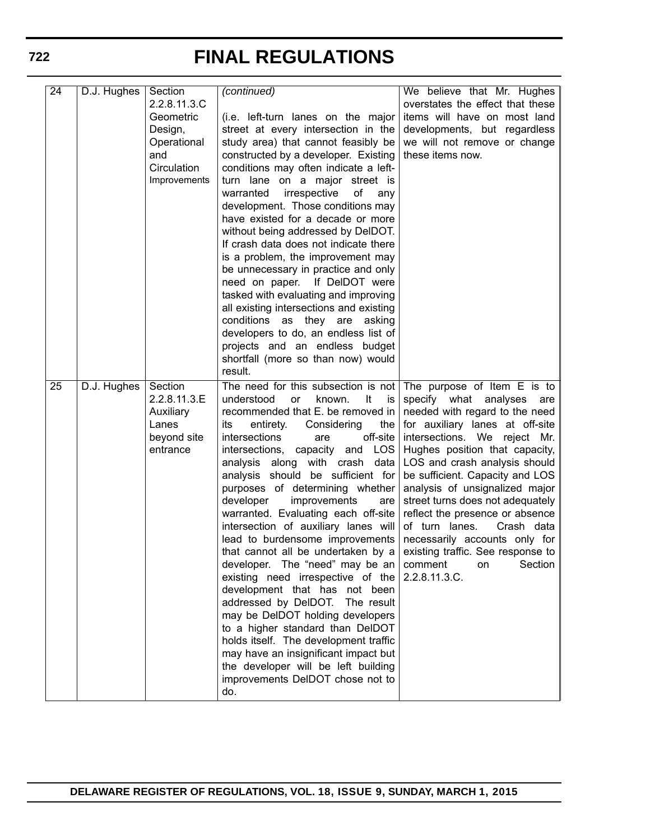| $\overline{24}$ | D.J. Hughes | Section<br>2.2.8.11.3.C<br>Geometric<br>Design,<br>Operational<br>and<br>Circulation<br>Improvements | (continued)<br>(i.e. left-turn lanes on the major<br>street at every intersection in the<br>study area) that cannot feasibly be<br>constructed by a developer. Existing<br>conditions may often indicate a left-<br>turn lane on a major street is<br>οf<br>warranted<br>irrespective<br>any<br>development. Those conditions may<br>have existed for a decade or more<br>without being addressed by DeIDOT.<br>If crash data does not indicate there<br>is a problem, the improvement may<br>be unnecessary in practice and only<br>need on paper. If DelDOT were<br>tasked with evaluating and improving<br>all existing intersections and existing<br>conditions as they are asking<br>developers to do, an endless list of<br>projects and an endless budget<br>shortfall (more so than now) would<br>result.                                                                                                                                                                     | We believe that Mr. Hughes<br>overstates the effect that these<br>items will have on most land<br>developments, but regardless<br>we will not remove or change<br>these items now.                                                                                                                                                                                                                                                                                                          |
|-----------------|-------------|------------------------------------------------------------------------------------------------------|---------------------------------------------------------------------------------------------------------------------------------------------------------------------------------------------------------------------------------------------------------------------------------------------------------------------------------------------------------------------------------------------------------------------------------------------------------------------------------------------------------------------------------------------------------------------------------------------------------------------------------------------------------------------------------------------------------------------------------------------------------------------------------------------------------------------------------------------------------------------------------------------------------------------------------------------------------------------------------------|---------------------------------------------------------------------------------------------------------------------------------------------------------------------------------------------------------------------------------------------------------------------------------------------------------------------------------------------------------------------------------------------------------------------------------------------------------------------------------------------|
| 25              | D.J. Hughes | Section<br>2.2.8.11.3.E<br>Auxiliary<br>Lanes<br>beyond site<br>entrance                             | The need for this subsection is not The purpose of Item E is to<br>understood<br>or<br>known.<br>It<br>is<br>recommended that E. be removed in<br>entirety.<br>Considering<br>the<br>its<br>intersections<br>off-site<br>are<br>intersections, capacity and LOS<br>along<br>with crash<br>analysis<br>data<br>analysis should be sufficient for<br>purposes of determining whether<br>developer<br>improvements<br>are<br>warranted. Evaluating each off-site<br>intersection of auxiliary lanes will<br>lead to burdensome improvements<br>that cannot all be undertaken by a<br>developer. The "need" may be an $\vert$ comment<br>existing need irrespective of the<br>development that has not been<br>addressed by DelDOT. The result<br>may be DelDOT holding developers<br>to a higher standard than DelDOT<br>holds itself. The development traffic<br>may have an insignificant impact but<br>the developer will be left building<br>improvements DeIDOT chose not to<br>do. | specify what<br>analyses<br>are<br>needed with regard to the need<br>for auxiliary lanes at off-site<br>intersections. We reject Mr.<br>Hughes position that capacity,<br>LOS and crash analysis should<br>be sufficient. Capacity and LOS<br>analysis of unsignalized major<br>street turns does not adequately<br>reflect the presence or absence<br>of turn lanes.<br>Crash data<br>necessarily accounts only for<br>existing traffic. See response to<br>Section<br>on<br>2.2.8.11.3.C. |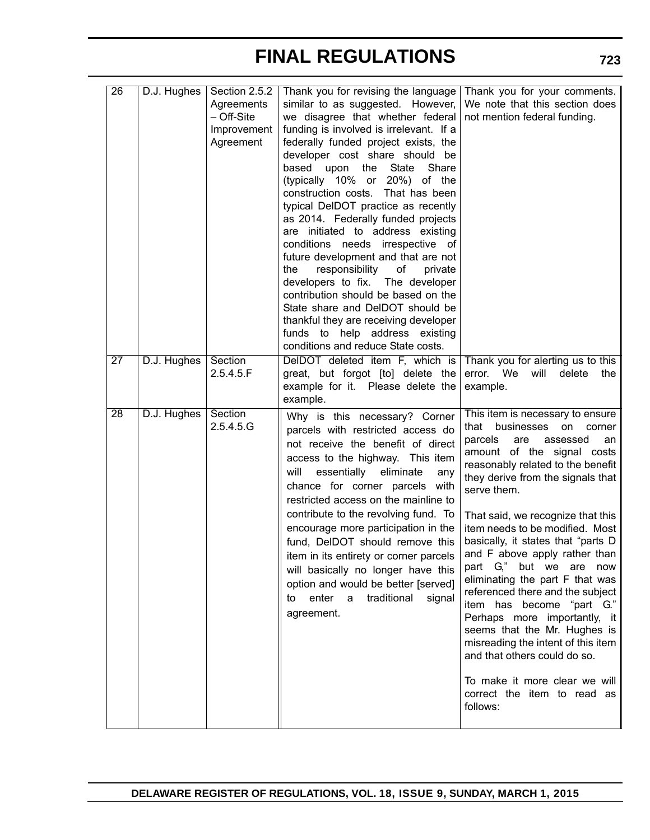| $\overline{26}$ | D.J. Hughes | Section 2.5.2<br>Agreements<br>- Off-Site<br>Improvement<br>Agreement | Thank you for revising the language Thank you for your comments.<br>similar to as suggested. However,<br>we disagree that whether federal<br>funding is involved is irrelevant. If a<br>federally funded project exists, the<br>developer cost share should be<br>based upon the State<br>Share<br>(typically 10% or 20%) of the<br>construction costs. That has been<br>typical DeIDOT practice as recently<br>as 2014. Federally funded projects<br>are initiated to address existing<br>conditions needs irrespective of<br>future development and that are not<br>responsibility of<br>the<br>private<br>developers to fix. The developer<br>contribution should be based on the<br>State share and DelDOT should be<br>thankful they are receiving developer<br>funds to help address existing<br>conditions and reduce State costs. | We note that this section does<br>not mention federal funding.                                                                                                                                                                                                                                                                                                                                                                                                                                                                                                                                                                                                                                                                    |
|-----------------|-------------|-----------------------------------------------------------------------|-------------------------------------------------------------------------------------------------------------------------------------------------------------------------------------------------------------------------------------------------------------------------------------------------------------------------------------------------------------------------------------------------------------------------------------------------------------------------------------------------------------------------------------------------------------------------------------------------------------------------------------------------------------------------------------------------------------------------------------------------------------------------------------------------------------------------------------------|-----------------------------------------------------------------------------------------------------------------------------------------------------------------------------------------------------------------------------------------------------------------------------------------------------------------------------------------------------------------------------------------------------------------------------------------------------------------------------------------------------------------------------------------------------------------------------------------------------------------------------------------------------------------------------------------------------------------------------------|
| $\overline{27}$ | D.J. Hughes | Section<br>2.5.4.5.F                                                  | DelDOT deleted item F, which is<br>great, but forgot [to] delete the<br>example for it. Please delete the<br>example.                                                                                                                                                                                                                                                                                                                                                                                                                                                                                                                                                                                                                                                                                                                     | Thank you for alerting us to this<br>error. We<br>will<br>delete<br>the<br>example.                                                                                                                                                                                                                                                                                                                                                                                                                                                                                                                                                                                                                                               |
| 28              | D.J. Hughes | Section<br>2.5.4.5.G                                                  | Why is this necessary? Corner<br>parcels with restricted access do<br>not receive the benefit of direct<br>access to the highway. This item<br>essentially<br>eliminate<br>will<br>any<br>chance for corner parcels with<br>restricted access on the mainline to<br>contribute to the revolving fund. To<br>encourage more participation in the<br>fund, DeIDOT should remove this<br>item in its entirety or corner parcels<br>will basically no longer have this<br>option and would be better [served]<br>enter<br>traditional<br>a<br>signal<br>to<br>agreement.                                                                                                                                                                                                                                                                      | This item is necessary to ensure<br>businesses<br>that<br>on<br>corner<br>parcels<br>are<br>assessed<br>an<br>amount of the signal costs<br>reasonably related to the benefit<br>they derive from the signals that<br>serve them.<br>That said, we recognize that this<br>item needs to be modified. Most<br>basically, it states that "parts D<br>and F above apply rather than<br>part G," but we are now<br>eliminating the part F that was<br>referenced there and the subject<br>item has become "part G."<br>Perhaps more importantly, it<br>seems that the Mr. Hughes is<br>misreading the intent of this item<br>and that others could do so.<br>To make it more clear we will<br>correct the item to read as<br>follows: |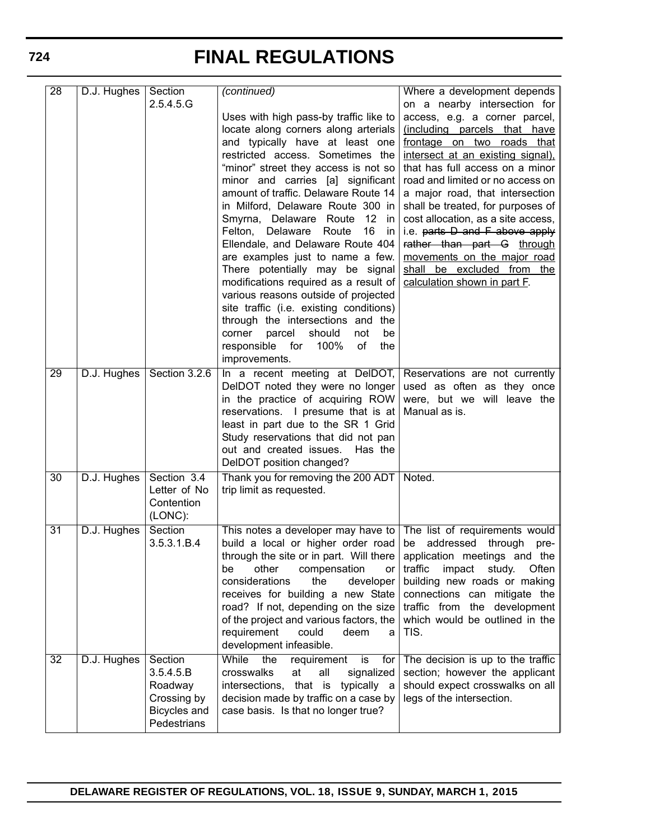| $\overline{28}$ | D.J. Hughes | Section                     | (continued)                                                                                                     | Where a development depends                                         |
|-----------------|-------------|-----------------------------|-----------------------------------------------------------------------------------------------------------------|---------------------------------------------------------------------|
|                 |             | 2.5.4.5.G                   | Uses with high pass-by traffic like to                                                                          | on a nearby intersection for                                        |
|                 |             |                             | locate along corners along arterials                                                                            | access, e.g. a corner parcel,<br>(including parcels that have       |
|                 |             |                             | and typically have at least one                                                                                 | frontage on two roads that                                          |
|                 |             |                             | restricted access. Sometimes the                                                                                | intersect at an existing signal).                                   |
|                 |             |                             | "minor" street they access is not so                                                                            | that has full access on a minor                                     |
|                 |             |                             | minor and carries [a] significant<br>amount of traffic. Delaware Route 14                                       | road and limited or no access on<br>a major road, that intersection |
|                 |             |                             | in Milford, Delaware Route 300 in                                                                               | shall be treated, for purposes of                                   |
|                 |             |                             | Smyrna, Delaware Route 12 in                                                                                    | cost allocation, as a site access,                                  |
|                 |             |                             | Felton, Delaware Route<br>16<br>in                                                                              | i.e. parts D and F above apply                                      |
|                 |             |                             | Ellendale, and Delaware Route 404                                                                               | rather than part G through                                          |
|                 |             |                             | are examples just to name a few.<br>There potentially may be signal                                             | movements on the major road                                         |
|                 |             |                             | modifications required as a result of                                                                           | shall be excluded from the<br>calculation shown in part F.          |
|                 |             |                             | various reasons outside of projected                                                                            |                                                                     |
|                 |             |                             | site traffic (i.e. existing conditions)                                                                         |                                                                     |
|                 |             |                             | through the intersections and the                                                                               |                                                                     |
|                 |             |                             | parcel<br>should<br>corner<br>not<br>be<br>responsible for<br>100%<br>of<br>the                                 |                                                                     |
|                 |             |                             | improvements.                                                                                                   |                                                                     |
| $\overline{29}$ | D.J. Hughes | Section 3.2.6               | In a recent meeting at DelDOT, Reservations are not currently                                                   |                                                                     |
|                 |             |                             | DeIDOT noted they were no longer                                                                                | used as often as they once                                          |
|                 |             |                             | in the practice of acquiring ROW                                                                                | were, but we will leave the                                         |
|                 |             |                             | reservations. I presume that is at<br>least in part due to the SR 1 Grid                                        | Manual as is.                                                       |
|                 |             |                             | Study reservations that did not pan                                                                             |                                                                     |
|                 |             |                             | out and created issues. Has the                                                                                 |                                                                     |
|                 |             |                             | DelDOT position changed?                                                                                        |                                                                     |
| 30              | D.J. Hughes | Section 3.4<br>Letter of No | Thank you for removing the 200 ADT   Noted.<br>trip limit as requested.                                         |                                                                     |
|                 |             | Contention                  |                                                                                                                 |                                                                     |
|                 |             | (LONC):                     |                                                                                                                 |                                                                     |
| $\overline{31}$ | D.J. Hughes | Section                     | This notes a developer may have to   The list of requirements would                                             |                                                                     |
|                 |             | 3.5.3.1.B.4                 | build a local or higher order road be<br>through the site or in part. Will there   application meetings and the | addressed through<br>$pre-$                                         |
|                 |             |                             | other<br>compensation<br>be<br>or l                                                                             | traffic<br>impact study. Often                                      |
|                 |             |                             | considerations<br>developer<br>the                                                                              | building new roads or making                                        |
|                 |             |                             | receives for building a new State                                                                               | connections can mitigate the                                        |
|                 |             |                             | road? If not, depending on the size   traffic from the development                                              | which would be outlined in the                                      |
|                 |             |                             | of the project and various factors, the<br>requirement<br>could<br>deem<br>a                                    | TIS.                                                                |
|                 |             |                             | development infeasible.                                                                                         |                                                                     |
| 32              | D.J. Hughes | Section                     | the<br>While<br>requirement<br>is<br>for                                                                        | The decision is up to the traffic                                   |
|                 |             | 3.5.4.5.B<br>Roadway        | crosswalks<br>at<br>all<br>signalized<br>intersections, that is typically a                                     | section; however the applicant<br>should expect crosswalks on all   |
|                 |             | Crossing by                 | decision made by traffic on a case by                                                                           | legs of the intersection.                                           |
|                 |             | Bicycles and                | case basis. Is that no longer true?                                                                             |                                                                     |
|                 |             | Pedestrians                 |                                                                                                                 |                                                                     |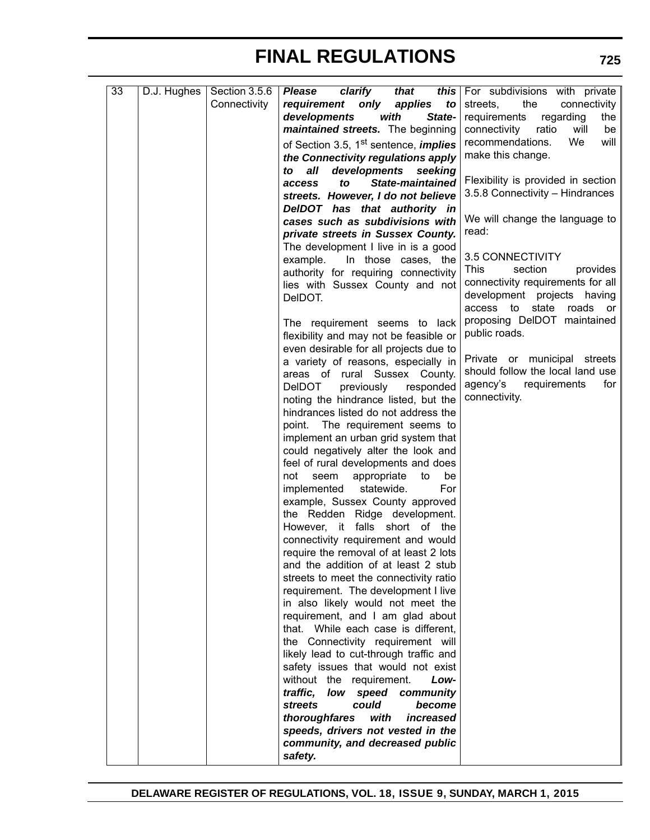| 33 | D.J. Hughes | Section 3.5.6 | clarify<br><b>Please</b><br>that                                             | this For subdivisions with private    |
|----|-------------|---------------|------------------------------------------------------------------------------|---------------------------------------|
|    |             | Connectivity  | requirement<br>only<br>applies<br>to                                         | the<br>streets,<br>connectivity       |
|    |             |               | developments<br>with<br>State-                                               | requirements<br>regarding<br>the      |
|    |             |               | maintained streets. The beginning                                            | connectivity<br>ratio<br>will<br>be   |
|    |             |               | of Section 3.5, 1 <sup>st</sup> sentence, <i>implies</i>                     | <b>We</b><br>will<br>recommendations. |
|    |             |               | the Connectivity regulations apply                                           | make this change.                     |
|    |             |               | developments<br>all<br>seeking<br>to                                         |                                       |
|    |             |               | <b>State-maintained</b><br>to<br>access                                      | Flexibility is provided in section    |
|    |             |               | streets. However, I do not believe                                           | 3.5.8 Connectivity - Hindrances       |
|    |             |               | DeIDOT has that authority in                                                 |                                       |
|    |             |               | cases such as subdivisions with                                              | We will change the language to        |
|    |             |               | private streets in Sussex County.                                            | read:                                 |
|    |             |               | The development I live in is a good                                          |                                       |
|    |             |               | example.<br>In those cases, the                                              | 3.5 CONNECTIVITY                      |
|    |             |               | authority for requiring connectivity                                         | section<br>This<br>provides           |
|    |             |               | lies with Sussex County and not                                              | connectivity requirements for all     |
|    |             |               | DelDOT.                                                                      | development projects having           |
|    |             |               |                                                                              | state<br>access to<br>roads or        |
|    |             |               | The requirement seems to lack                                                | proposing DelDOT maintained           |
|    |             |               | flexibility and may not be feasible or                                       | public roads.                         |
|    |             |               | even desirable for all projects due to                                       |                                       |
|    |             |               | a variety of reasons, especially in                                          | Private or municipal streets          |
|    |             |               | areas of rural Sussex County.                                                | should follow the local land use      |
|    |             |               | previously<br><b>DeIDOT</b><br>responded                                     | agency's<br>requirements<br>for       |
|    |             |               | noting the hindrance listed, but the                                         | connectivity.                         |
|    |             |               | hindrances listed do not address the                                         |                                       |
|    |             |               |                                                                              |                                       |
|    |             |               | point. The requirement seems to                                              |                                       |
|    |             |               | implement an urban grid system that                                          |                                       |
|    |             |               | could negatively alter the look and<br>feel of rural developments and does   |                                       |
|    |             |               | be<br>not                                                                    |                                       |
|    |             |               | appropriate<br>seem<br>to<br>For<br>implemented<br>statewide.                |                                       |
|    |             |               | example, Sussex County approved                                              |                                       |
|    |             |               | the Redden Ridge development.                                                |                                       |
|    |             |               | However, it falls short of the                                               |                                       |
|    |             |               |                                                                              |                                       |
|    |             |               | connectivity requirement and would<br>require the removal of at least 2 lots |                                       |
|    |             |               | and the addition of at least 2 stub                                          |                                       |
|    |             |               |                                                                              |                                       |
|    |             |               | streets to meet the connectivity ratio                                       |                                       |
|    |             |               | requirement. The development I live<br>in also likely would not meet the     |                                       |
|    |             |               |                                                                              |                                       |
|    |             |               | requirement, and I am glad about                                             |                                       |
|    |             |               | that. While each case is different,                                          |                                       |
|    |             |               | the Connectivity requirement will                                            |                                       |
|    |             |               | likely lead to cut-through traffic and                                       |                                       |
|    |             |               | safety issues that would not exist                                           |                                       |
|    |             |               | without the requirement.<br>Low-                                             |                                       |
|    |             |               | traffic,<br>low speed<br>community                                           |                                       |
|    |             |               | <b>streets</b><br>could<br>become                                            |                                       |
|    |             |               | thoroughfares<br>increased<br>with                                           |                                       |
|    |             |               | speeds, drivers not vested in the                                            |                                       |
|    |             |               | community, and decreased public                                              |                                       |
|    |             |               | safety.                                                                      |                                       |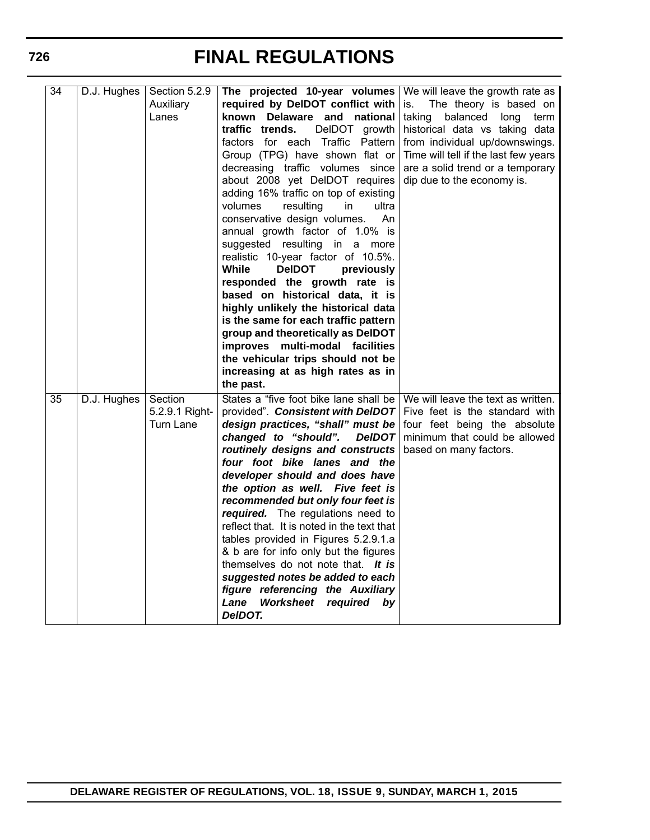| 34 | D.J. Hughes | Section 5.2.9<br>Auxiliary<br>Lanes    | The projected 10-year volumes<br>required by DelDOT conflict with<br>known Delaware and national<br>traffic trends.<br>DelDOT growth<br>factors for each Traffic Pattern<br>Group (TPG) have shown flat or<br>decreasing traffic volumes since<br>about 2008 yet DelDOT requires<br>adding 16% traffic on top of existing<br>volumes<br>resulting<br>in<br>ultra<br>conservative design volumes.<br>An<br>annual growth factor of 1.0% is<br>suggested resulting in a more<br>realistic 10-year factor of 10.5%.<br>While<br><b>DeIDOT</b><br>previously<br>responded the growth rate is<br>based on historical data, it is<br>highly unlikely the historical data<br>is the same for each traffic pattern<br>group and theoretically as DelDOT<br>improves multi-modal facilities<br>the vehicular trips should not be<br>increasing at as high rates as in<br>the past. | We will leave the growth rate as<br>The theory is based on<br>is.<br>taking<br>balanced<br>long<br>term  <br>historical data vs taking data<br>from individual up/downswings.<br>Time will tell if the last few years<br>are a solid trend or a temporary<br>dip due to the economy is. |
|----|-------------|----------------------------------------|---------------------------------------------------------------------------------------------------------------------------------------------------------------------------------------------------------------------------------------------------------------------------------------------------------------------------------------------------------------------------------------------------------------------------------------------------------------------------------------------------------------------------------------------------------------------------------------------------------------------------------------------------------------------------------------------------------------------------------------------------------------------------------------------------------------------------------------------------------------------------|-----------------------------------------------------------------------------------------------------------------------------------------------------------------------------------------------------------------------------------------------------------------------------------------|
| 35 | D.J. Hughes | Section<br>5.2.9.1 Right-<br>Turn Lane | States a "five foot bike lane shall be<br>provided". Consistent with DeIDOT<br>design practices, "shall" must be<br>changed to "should".<br><b>DeIDOT</b><br>routinely designs and constructs<br>four foot bike lanes and the<br>developer should and does have<br>the option as well. Five feet is<br>recommended but only four feet is<br>required. The regulations need to<br>reflect that. It is noted in the text that<br>tables provided in Figures 5.2.9.1.a<br>& b are for info only but the figures<br>themselves do not note that. It is<br>suggested notes be added to each<br>figure referencing the Auxiliary<br>Lane<br>Worksheet<br>required<br>by<br>DeIDOT.                                                                                                                                                                                              | We will leave the text as written.<br>Five feet is the standard with<br>four feet being the absolute<br>minimum that could be allowed<br>based on many factors.                                                                                                                         |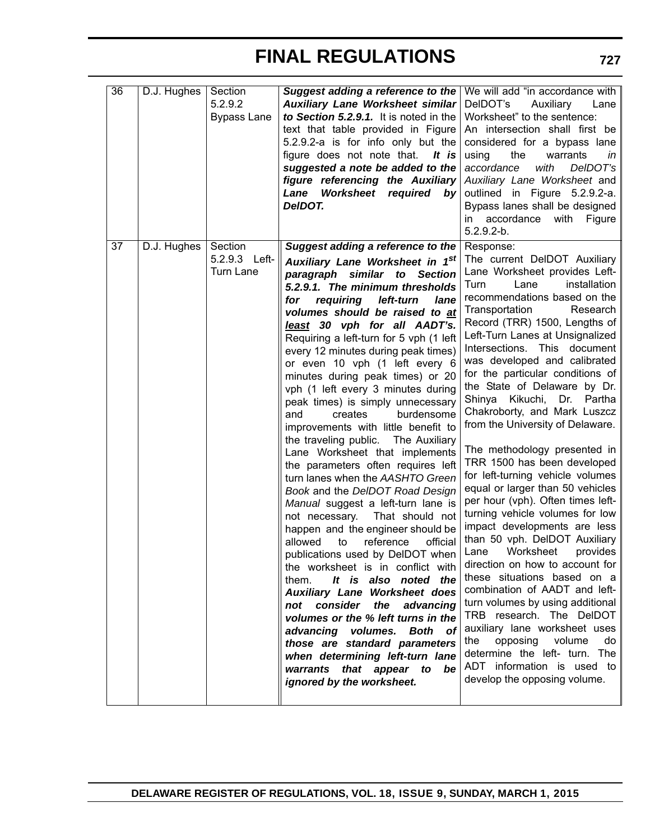| 36 | D.J. Hughes | Section<br>5.2.9.2 | Suggest adding a reference to the We will add "in accordance with<br>Auxiliary Lane Worksheet similar | DelDOT's<br>Auxiliary<br>Lane     |
|----|-------------|--------------------|-------------------------------------------------------------------------------------------------------|-----------------------------------|
|    |             | <b>Bypass Lane</b> | to Section 5.2.9.1. It is noted in the                                                                | Worksheet" to the sentence:       |
|    |             |                    | text that table provided in Figure                                                                    | An intersection shall first be    |
|    |             |                    | 5.2.9.2-a is for info only but the                                                                    | considered for a bypass lane      |
|    |             |                    | figure does not note that.<br>It is                                                                   | the<br>warrants<br>using<br>in    |
|    |             |                    | suggested a note be added to the                                                                      | with<br>DelDOT's<br>accordance    |
|    |             |                    | figure referencing the Auxiliary                                                                      | Auxiliary Lane Worksheet and      |
|    |             |                    | Worksheet required by<br>Lane                                                                         | outlined in Figure 5.2.9.2-a.     |
|    |             |                    | DelDOT.                                                                                               | Bypass lanes shall be designed    |
|    |             |                    |                                                                                                       | accordance with<br>in<br>Figure   |
|    |             |                    |                                                                                                       | $5.2.9.2-b.$                      |
| 37 | D.J. Hughes | Section            | Suggest adding a reference to the                                                                     | Response:                         |
|    |             | 5.2.9.3 Left-      | Auxiliary Lane Worksheet in 1st                                                                       | The current DelDOT Auxiliary      |
|    |             | <b>Turn Lane</b>   | similar<br>paragraph<br>to<br><b>Section</b>                                                          | Lane Worksheet provides Left-     |
|    |             |                    | 5.2.9.1. The minimum thresholds                                                                       | Lane<br>installation<br>Turn      |
|    |             |                    | requiring<br>left-turn<br>for<br>lane                                                                 | recommendations based on the      |
|    |             |                    | volumes should be raised to at                                                                        | Transportation<br>Research        |
|    |             |                    | least 30 vph for all AADT's.                                                                          | Record (TRR) 1500, Lengths of     |
|    |             |                    | Requiring a left-turn for 5 vph (1 left                                                               | Left-Turn Lanes at Unsignalized   |
|    |             |                    | every 12 minutes during peak times)                                                                   | Intersections. This document      |
|    |             |                    | or even 10 vph (1 left every 6                                                                        | was developed and calibrated      |
|    |             |                    | minutes during peak times) or 20                                                                      | for the particular conditions of  |
|    |             |                    | vph (1 left every 3 minutes during                                                                    | the State of Delaware by Dr.      |
|    |             |                    | peak times) is simply unnecessary                                                                     | Shinya Kikuchi,<br>Dr.<br>Partha  |
|    |             |                    | and<br>creates<br>burdensome                                                                          | Chakroborty, and Mark Luszcz      |
|    |             |                    | improvements with little benefit to                                                                   | from the University of Delaware.  |
|    |             |                    | the traveling public.<br>The Auxiliary                                                                |                                   |
|    |             |                    | Lane Worksheet that implements                                                                        | The methodology presented in      |
|    |             |                    | the parameters often requires left                                                                    | TRR 1500 has been developed       |
|    |             |                    | turn lanes when the AASHTO Green                                                                      | for left-turning vehicle volumes  |
|    |             |                    | Book and the DeIDOT Road Design                                                                       | equal or larger than 50 vehicles  |
|    |             |                    | Manual suggest a left-turn lane is                                                                    | per hour (vph). Often times left- |
|    |             |                    | That should not<br>not necessary.                                                                     | turning vehicle volumes for low   |
|    |             |                    | happen and the engineer should be                                                                     | impact developments are less      |
|    |             |                    | to<br>reference<br>official<br>allowed                                                                | than 50 vph. DelDOT Auxiliary     |
|    |             |                    | publications used by DelDOT when                                                                      | Worksheet<br>provides<br>Lane     |
|    |             |                    | the worksheet is in conflict with                                                                     | direction on how to account for   |
|    |             |                    | It is also noted the<br>them.                                                                         | these situations based on a       |
|    |             |                    | <b>Auxiliary Lane Worksheet does</b>                                                                  | combination of AADT and left-     |
|    |             |                    | the<br>not consider<br>advancing                                                                      | turn volumes by using additional  |
|    |             |                    | volumes or the % left turns in the                                                                    | TRB research. The DelDOT          |
|    |             |                    | advancing volumes. Both of                                                                            | auxiliary lane worksheet uses     |
|    |             |                    | those are standard parameters                                                                         | opposing volume<br>the<br>do      |
|    |             |                    | when determining left-turn lane                                                                       | determine the left- turn. The     |
|    |             |                    | warrants that appear to be                                                                            | ADT information is used to        |
|    |             |                    | ignored by the worksheet.                                                                             | develop the opposing volume.      |
|    |             |                    |                                                                                                       |                                   |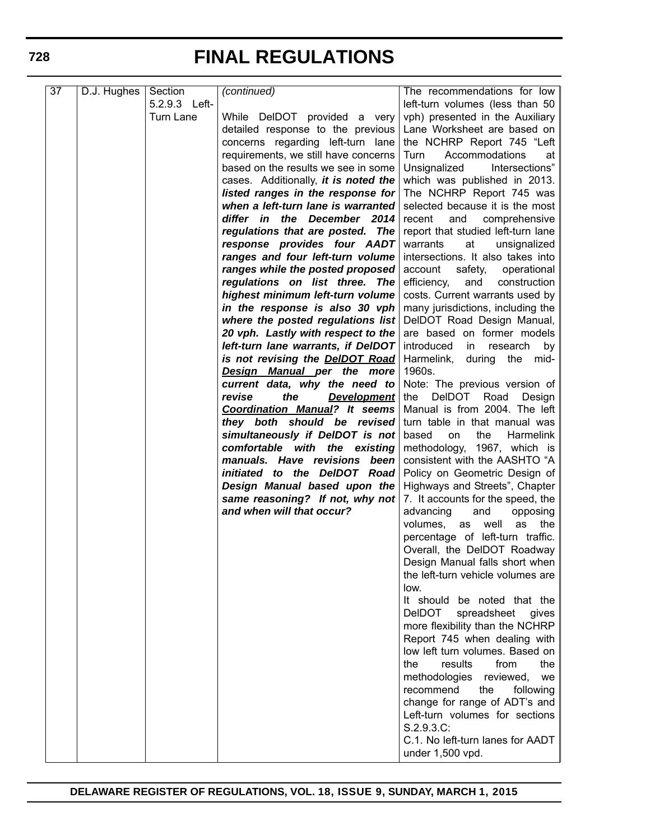| 37 | D.J. Hughes | Section       | (continued)                                                        | The recommendations for low            |
|----|-------------|---------------|--------------------------------------------------------------------|----------------------------------------|
|    |             | 5.2.9.3 Left- |                                                                    | left-turn volumes (less than 50        |
|    |             | Turn Lane     | While DelDOT provided a very                                       | vph) presented in the Auxiliary        |
|    |             |               | detailed response to the previous                                  | Lane Worksheet are based on            |
|    |             |               | concerns regarding left-turn lane                                  | the NCHRP Report 745 "Left             |
|    |             |               | requirements, we still have concerns                               | Accommodations<br>Turn<br>at           |
|    |             |               | based on the results we see in some                                | Intersections"<br>Unsignalized         |
|    |             |               | cases. Additionally, <i>it is noted the</i>                        | which was published in 2013.           |
|    |             |               | listed ranges in the response for                                  | The NCHRP Report 745 was               |
|    |             |               | when a left-turn lane is warranted                                 | selected because it is the most        |
|    |             |               | differ in the December 2014                                        | and<br>comprehensive<br>recent         |
|    |             |               | regulations that are posted. The                                   | report that studied left-turn lane     |
|    |             |               | response provides four AADT                                        | warrants<br>at<br>unsignalized         |
|    |             |               | ranges and four left-turn volume                                   | intersections. It also takes into      |
|    |             |               | ranges while the posted proposed   account                         | safety,<br>operational                 |
|    |             |               | regulations on list three. The                                     | efficiency,<br>and<br>construction     |
|    |             |               | highest minimum left-turn volume                                   | costs. Current warrants used by        |
|    |             |               | in the response is also 30 vph                                     | many jurisdictions, including the      |
|    |             |               | where the posted regulations list   DelDOT Road Design Manual, $ $ |                                        |
|    |             |               | 20 vph. Lastly with respect to the                                 | are based on former models             |
|    |             |               | left-turn lane warrants, if DelDOT                                 | introduced<br>research<br>in<br>by     |
|    |             |               | is not revising the <b>DeIDOT Road</b>                             | Harmelink,<br>during<br>the<br>mid-    |
|    |             |               | Design Manual per the more                                         | 1960s.                                 |
|    |             |               | current data, why the need to                                      | Note: The previous version of          |
|    |             |               | the<br>revise<br><u>Development</u>                                | <b>DeIDOT</b><br>Road<br>Design<br>the |
|    |             |               | <b>Coordination Manual?</b> It seems                               | Manual is from 2004. The left          |
|    |             |               | they both should be revised                                        | turn table in that manual was          |
|    |             |               | simultaneously if DelDOT is not                                    | based<br>the<br>on<br>Harmelink        |
|    |             |               | comfortable with the existing                                      | methodology, 1967, which is            |
|    |             |               | manuals. Have revisions<br>been                                    | consistent with the AASHTO "A          |
|    |             |               | initiated to the DelDOT Road                                       | Policy on Geometric Design of          |
|    |             |               | Design Manual based upon the                                       | Highways and Streets", Chapter         |
|    |             |               | same reasoning? If not, why not                                    | 7. It accounts for the speed, the      |
|    |             |               | and when will that occur?                                          | advancing<br>and<br>opposing           |
|    |             |               |                                                                    | the I<br>volumes,<br>well<br>as<br>as  |
|    |             |               |                                                                    | percentage of left-turn traffic.       |
|    |             |               |                                                                    | Overall, the DelDOT Roadway            |
|    |             |               |                                                                    | Design Manual falls short when         |
|    |             |               |                                                                    | the left-turn vehicle volumes are      |
|    |             |               |                                                                    | low.                                   |
|    |             |               |                                                                    | It should be noted that the            |
|    |             |               |                                                                    | <b>DeIDOT</b><br>spreadsheet<br>gives  |
|    |             |               |                                                                    | more flexibility than the NCHRP        |
|    |             |               |                                                                    | Report 745 when dealing with           |
|    |             |               |                                                                    | low left turn volumes. Based on        |
|    |             |               |                                                                    | from<br>the<br>the<br>results          |
|    |             |               |                                                                    | methodologies<br>reviewed,<br>we       |
|    |             |               |                                                                    | recommend<br>the<br>following          |
|    |             |               |                                                                    | change for range of ADT's and          |
|    |             |               |                                                                    | Left-turn volumes for sections         |
|    |             |               |                                                                    | S.2.9.3.C:                             |
|    |             |               |                                                                    | C.1. No left-turn lanes for AADT       |
|    |             |               |                                                                    | under 1,500 vpd.                       |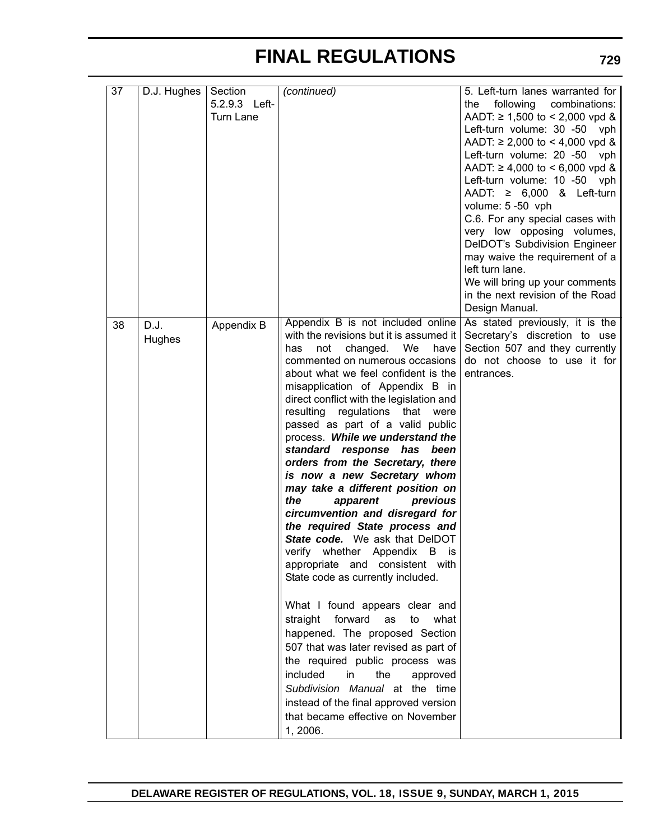| 37 | D.J. Hughes    | Section<br>5.2.9.3 Left-<br>Turn Lane | (continued)                                                                                                                                                                                                                                                                                                                                                                                                                                                                                                                                                                                                                                                                                                                                                                                                                                                                                                                                                                                                                                                                                                                                   | 5. Left-turn lanes warranted for<br>following combinations:<br>the<br>AADT: $\geq 1,500$ to < 2,000 vpd &<br>Left-turn volume: 30 -50 vph<br>AADT: $\geq 2,000$ to < 4,000 vpd &<br>Left-turn volume: 20 -50 vph<br>AADT: $\geq 4,000$ to < 6,000 vpd &<br>Left-turn volume: 10 -50 vph<br>AADT: $\geq$ 6,000 & Left-turn<br>volume: 5 -50 vph<br>C.6. For any special cases with<br>very low opposing volumes,<br>DelDOT's Subdivision Engineer<br>may waive the requirement of a<br>left turn lane.<br>We will bring up your comments<br>in the next revision of the Road<br>Design Manual. |
|----|----------------|---------------------------------------|-----------------------------------------------------------------------------------------------------------------------------------------------------------------------------------------------------------------------------------------------------------------------------------------------------------------------------------------------------------------------------------------------------------------------------------------------------------------------------------------------------------------------------------------------------------------------------------------------------------------------------------------------------------------------------------------------------------------------------------------------------------------------------------------------------------------------------------------------------------------------------------------------------------------------------------------------------------------------------------------------------------------------------------------------------------------------------------------------------------------------------------------------|-----------------------------------------------------------------------------------------------------------------------------------------------------------------------------------------------------------------------------------------------------------------------------------------------------------------------------------------------------------------------------------------------------------------------------------------------------------------------------------------------------------------------------------------------------------------------------------------------|
| 38 | D.J.<br>Hughes | Appendix B                            | Appendix B is not included online<br>with the revisions but it is assumed it<br>We<br>not<br>changed.<br>have<br>has<br>commented on numerous occasions<br>about what we feel confident is the<br>misapplication of Appendix B in<br>direct conflict with the legislation and<br>resulting regulations that<br>were<br>passed as part of a valid public<br>process. While we understand the<br>standard response has<br>been<br>orders from the Secretary, there<br>is now a new Secretary whom<br>may take a different position on<br>the<br>apparent<br>previous<br>circumvention and disregard for<br>the required State process and<br>State code. We ask that DelDOT<br>verify whether Appendix B<br>is<br>appropriate and consistent with<br>State code as currently included.<br>What I found appears clear and<br>straight forward<br>as<br>to<br>what<br>happened. The proposed Section<br>507 that was later revised as part of<br>the required public process was<br>included<br>the<br>in<br>approved<br>Subdivision Manual at the time<br>instead of the final approved version<br>that became effective on November<br>1, 2006. | As stated previously, it is the<br>Secretary's discretion to use<br>Section 507 and they currently<br>do not choose to use it for<br>entrances.                                                                                                                                                                                                                                                                                                                                                                                                                                               |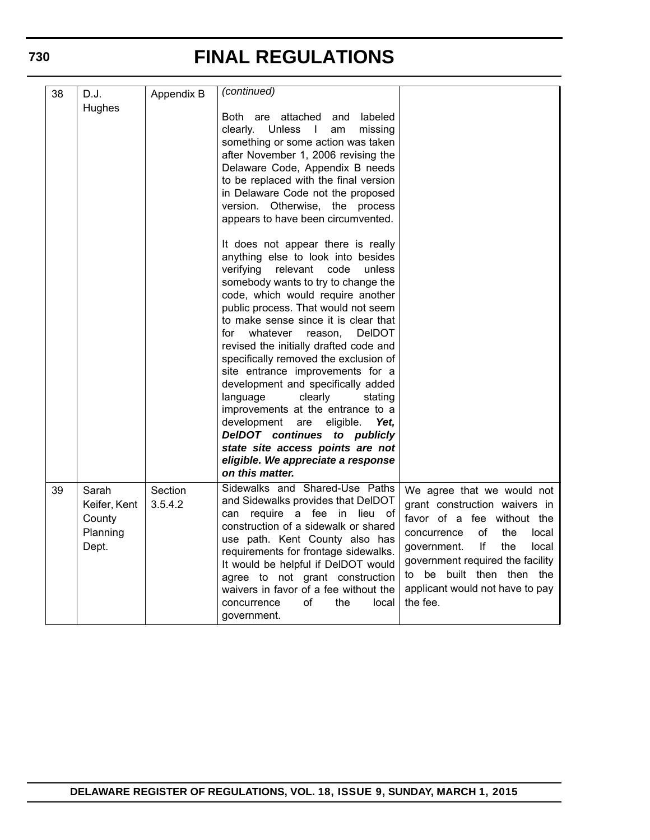| 38 | D.J.<br>Hughes                                       | Appendix B         | (continued)<br>Both are attached and<br>labeled<br>clearly.<br>Unless I<br>missing<br>am<br>something or some action was taken<br>after November 1, 2006 revising the<br>Delaware Code, Appendix B needs<br>to be replaced with the final version<br>in Delaware Code not the proposed<br>version. Otherwise, the process<br>appears to have been circumvented.                                                                                                                                                                                                                                                                                                                                                                  |                                                                                                                                                                                                                                                                                     |
|----|------------------------------------------------------|--------------------|----------------------------------------------------------------------------------------------------------------------------------------------------------------------------------------------------------------------------------------------------------------------------------------------------------------------------------------------------------------------------------------------------------------------------------------------------------------------------------------------------------------------------------------------------------------------------------------------------------------------------------------------------------------------------------------------------------------------------------|-------------------------------------------------------------------------------------------------------------------------------------------------------------------------------------------------------------------------------------------------------------------------------------|
|    |                                                      |                    | It does not appear there is really<br>anything else to look into besides<br>verifying<br>relevant code<br>unless<br>somebody wants to try to change the<br>code, which would require another<br>public process. That would not seem<br>to make sense since it is clear that<br><b>DeIDOT</b><br>for<br>whatever reason,<br>revised the initially drafted code and<br>specifically removed the exclusion of<br>site entrance improvements for a<br>development and specifically added<br>language<br>clearly<br>stating<br>improvements at the entrance to a<br>development are<br>eligible.<br>Yet,<br>DeIDOT continues to publicly<br>state site access points are not<br>eligible. We appreciate a response<br>on this matter. |                                                                                                                                                                                                                                                                                     |
| 39 | Sarah<br>Keifer, Kent<br>County<br>Planning<br>Dept. | Section<br>3.5.4.2 | Sidewalks and Shared-Use Paths<br>and Sidewalks provides that DelDOT<br>require a fee in lieu of<br>can<br>construction of a sidewalk or shared<br>use path. Kent County also has<br>requirements for frontage sidewalks.<br>It would be helpful if DeIDOT would<br>agree to not grant construction<br>waivers in favor of a fee without the<br>local<br>οf<br>the<br>concurrence<br>government.                                                                                                                                                                                                                                                                                                                                 | We agree that we would not<br>grant construction waivers in<br>favor of a fee without the<br>of<br>the<br>concurrence<br>local<br>If<br>the<br>local<br>government.<br>government required the facility<br>to be built then then the<br>applicant would not have to pay<br>the fee. |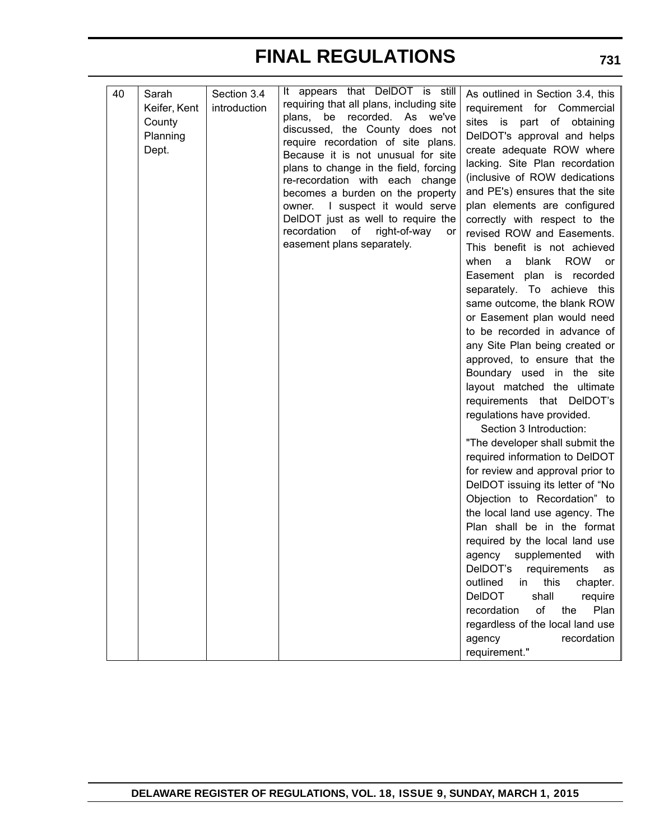| 40 | Sarah<br>Keifer, Kent<br>County<br>Planning<br>Dept. | Section 3.4<br>introduction | It appears that DeIDOT is still<br>requiring that all plans, including site<br>be recorded. As we've<br>plans,<br>discussed, the County does not<br>require recordation of site plans.<br>Because it is not unusual for site<br>plans to change in the field, forcing<br>re-recordation with each change<br>becomes a burden on the property<br>owner. I suspect it would serve<br>DelDOT just as well to require the<br>recordation<br>of<br>right-of-way<br>or<br>easement plans separately. | As outlined in Section 3.4, this<br>requirement for Commercial<br>sites is<br>part of obtaining<br>DelDOT's approval and helps<br>create adequate ROW where<br>lacking. Site Plan recordation<br>(inclusive of ROW dedications<br>and PE's) ensures that the site<br>plan elements are configured<br>correctly with respect to the<br>revised ROW and Easements.<br>This benefit is not achieved<br><b>ROW</b><br>when<br>blank<br>a<br>or<br>Easement plan is recorded<br>separately. To achieve this<br>same outcome, the blank ROW<br>or Easement plan would need<br>to be recorded in advance of<br>any Site Plan being created or<br>approved, to ensure that the<br>Boundary used in the site<br>layout matched the ultimate<br>requirements that DelDOT's<br>regulations have provided.<br>Section 3 Introduction:<br>"The developer shall submit the<br>required information to DelDOT<br>for review and approval prior to<br>DelDOT issuing its letter of "No<br>Objection to Recordation" to<br>the local land use agency. The<br>Plan shall be in the format<br>required by the local land use<br>agency supplemented with<br>DelDOT's requirements as<br>outlined<br>in<br>this<br>chapter.<br>shall<br><b>DeIDOT</b><br>require<br>recordation<br>of<br>Plan<br>the<br>regardless of the local land use<br>agency<br>recordation<br>requirement." |
|----|------------------------------------------------------|-----------------------------|------------------------------------------------------------------------------------------------------------------------------------------------------------------------------------------------------------------------------------------------------------------------------------------------------------------------------------------------------------------------------------------------------------------------------------------------------------------------------------------------|----------------------------------------------------------------------------------------------------------------------------------------------------------------------------------------------------------------------------------------------------------------------------------------------------------------------------------------------------------------------------------------------------------------------------------------------------------------------------------------------------------------------------------------------------------------------------------------------------------------------------------------------------------------------------------------------------------------------------------------------------------------------------------------------------------------------------------------------------------------------------------------------------------------------------------------------------------------------------------------------------------------------------------------------------------------------------------------------------------------------------------------------------------------------------------------------------------------------------------------------------------------------------------------------------------------------------------------------------------------|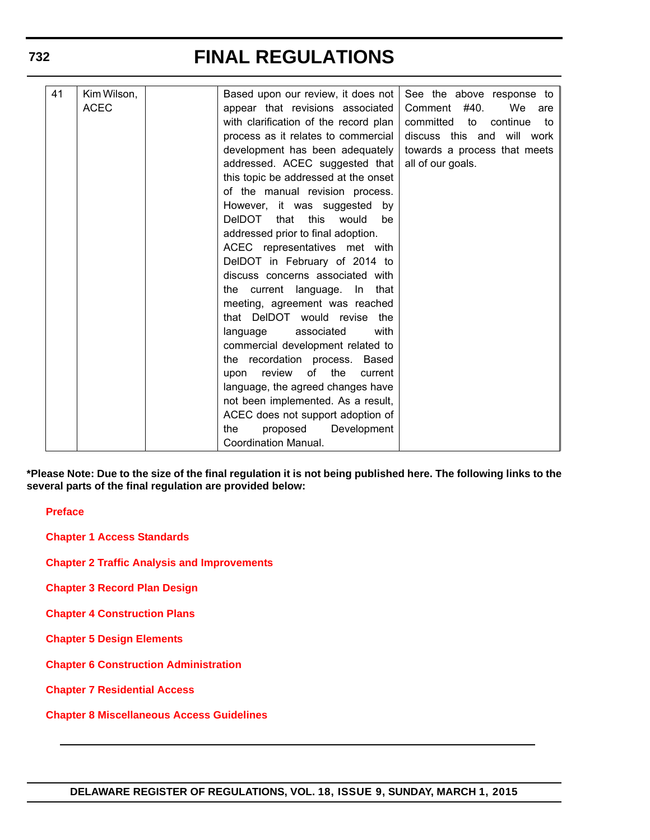| 41 | Kim Wilson, | Based upon our review, it does not     | See the above response to         |
|----|-------------|----------------------------------------|-----------------------------------|
|    | <b>ACEC</b> | appear that revisions associated       | Comment #40.<br>We<br>are         |
|    |             | with clarification of the record plan  | committed<br>to<br>continue<br>to |
|    |             | process as it relates to commercial    | discuss this and will work        |
|    |             |                                        |                                   |
|    |             | development has been adequately        | towards a process that meets      |
|    |             | addressed. ACEC suggested that         | all of our goals.                 |
|    |             | this topic be addressed at the onset   |                                   |
|    |             | of the manual revision process.        |                                   |
|    |             | However, it was suggested by           |                                   |
|    |             | DeIDOT<br>this<br>that<br>would<br>be  |                                   |
|    |             | addressed prior to final adoption.     |                                   |
|    |             | ACEC representatives met with          |                                   |
|    |             | DelDOT in February of 2014 to          |                                   |
|    |             | discuss concerns associated with       |                                   |
|    |             | the current language. In<br>that       |                                   |
|    |             | meeting, agreement was reached         |                                   |
|    |             | that DelDOT would revise the           |                                   |
|    |             | associated<br>with<br>language         |                                   |
|    |             | commercial development related to      |                                   |
|    |             | the recordation process. Based         |                                   |
|    |             | of<br>the<br>review<br>current<br>upon |                                   |
|    |             | language, the agreed changes have      |                                   |
|    |             | not been implemented. As a result,     |                                   |
|    |             | ACEC does not support adoption of      |                                   |
|    |             | proposed<br>the<br>Development         |                                   |
|    |             | Coordination Manual.                   |                                   |

**\*Please Note: Due to the size of the final regulation it is not being published here. The following links to the several parts of the final regulation are provided below:**

**[Preface](http://regulations.delaware.gov/register/march2015/final/Preface.pdf)**

**[Chapter 1 Access Standards](http://regulations.delaware.gov/register/march2015/final/Chap1.pdf)**

**[Chapter 2 Traffic Analysis and Improvements](http://regulations.delaware.gov/register/march2015/final/Chap2.pdf)**

**[Chapter 3 Record Plan Design](http://regulations.delaware.gov/register/march2015/final/Chap3.pdf)**

**[Chapter 4 Construction Plans](http://regulations.delaware.gov/register/march2015/final/Chap4.pdf)**

**[Chapter 5 Design Elements](http://regulations.delaware.gov/register/march2015/final/Chap5.pdf)**

**[Chapter 6 Construction Administration](http://regulations.delaware.gov/register/march2015/final/Chap6.pdf)**

**[Chapter 7 Residential Access](http://regulations.delaware.gov/register/march2015/final/Chap7.pdf)**

**[Chapter 8 Miscellaneous Access Guidelines](http://regulations.delaware.gov/register/march2015/final/Chap8.pdf)**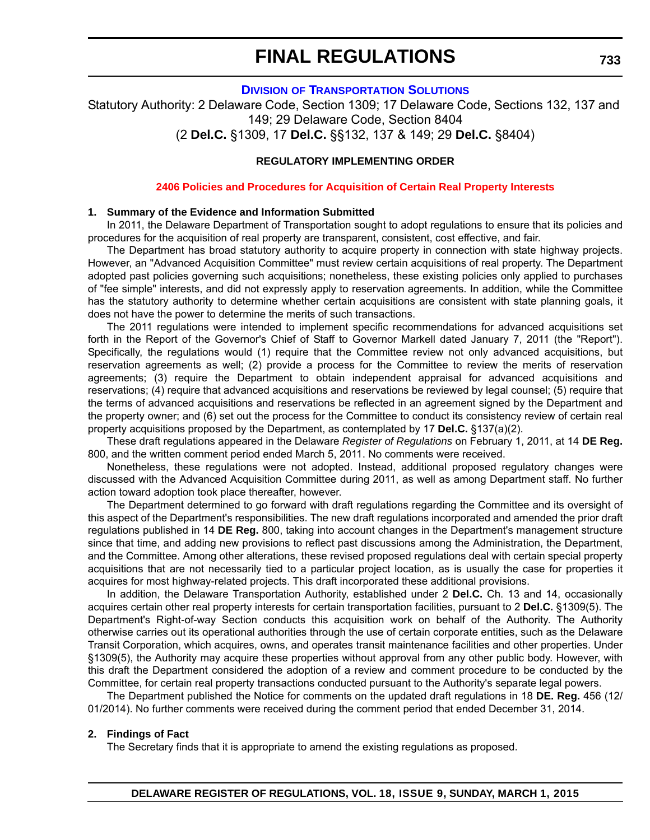#### **DIVISION [OF TRANSPORTATION SOLUTIONS](http://www.deldot.gov/home/divisions/)**

Statutory Authority: 2 Delaware Code, Section 1309; 17 Delaware Code, Sections 132, 137 and 149; 29 Delaware Code, Section 8404 (2 **Del.C.** §1309, 17 **Del.C.** §§132, 137 & 149; 29 **Del.C.** §8404)

#### **REGULATORY IMPLEMENTING ORDER**

#### **[2406 Policies and Procedures for Acquisition of Certain Real Property Interests](#page-4-0)**

#### **1. Summary of the Evidence and Information Submitted**

In 2011, the Delaware Department of Transportation sought to adopt regulations to ensure that its policies and procedures for the acquisition of real property are transparent, consistent, cost effective, and fair.

The Department has broad statutory authority to acquire property in connection with state highway projects. However, an "Advanced Acquisition Committee" must review certain acquisitions of real property. The Department adopted past policies governing such acquisitions; nonetheless, these existing policies only applied to purchases of "fee simple" interests, and did not expressly apply to reservation agreements. In addition, while the Committee has the statutory authority to determine whether certain acquisitions are consistent with state planning goals, it does not have the power to determine the merits of such transactions.

The 2011 regulations were intended to implement specific recommendations for advanced acquisitions set forth in the Report of the Governor's Chief of Staff to Governor Markell dated January 7, 2011 (the "Report"). Specifically, the regulations would (1) require that the Committee review not only advanced acquisitions, but reservation agreements as well; (2) provide a process for the Committee to review the merits of reservation agreements; (3) require the Department to obtain independent appraisal for advanced acquisitions and reservations; (4) require that advanced acquisitions and reservations be reviewed by legal counsel; (5) require that the terms of advanced acquisitions and reservations be reflected in an agreement signed by the Department and the property owner; and (6) set out the process for the Committee to conduct its consistency review of certain real property acquisitions proposed by the Department, as contemplated by 17 **Del.C.** §137(a)(2).

These draft regulations appeared in the Delaware *Register of Regulations* on February 1, 2011, at 14 **DE Reg.** 800, and the written comment period ended March 5, 2011. No comments were received.

Nonetheless, these regulations were not adopted. Instead, additional proposed regulatory changes were discussed with the Advanced Acquisition Committee during 2011, as well as among Department staff. No further action toward adoption took place thereafter, however.

The Department determined to go forward with draft regulations regarding the Committee and its oversight of this aspect of the Department's responsibilities. The new draft regulations incorporated and amended the prior draft regulations published in 14 **DE Reg.** 800, taking into account changes in the Department's management structure since that time, and adding new provisions to reflect past discussions among the Administration, the Department, and the Committee. Among other alterations, these revised proposed regulations deal with certain special property acquisitions that are not necessarily tied to a particular project location, as is usually the case for properties it acquires for most highway-related projects. This draft incorporated these additional provisions.

In addition, the Delaware Transportation Authority, established under 2 **Del.C.** Ch. 13 and 14, occasionally acquires certain other real property interests for certain transportation facilities, pursuant to 2 **Del.C.** §1309(5). The Department's Right-of-way Section conducts this acquisition work on behalf of the Authority. The Authority otherwise carries out its operational authorities through the use of certain corporate entities, such as the Delaware Transit Corporation, which acquires, owns, and operates transit maintenance facilities and other properties. Under §1309(5), the Authority may acquire these properties without approval from any other public body. However, with this draft the Department considered the adoption of a review and comment procedure to be conducted by the Committee, for certain real property transactions conducted pursuant to the Authority's separate legal powers.

The Department published the Notice for comments on the updated draft regulations in 18 **DE. Reg.** 456 (12/ 01/2014). No further comments were received during the comment period that ended December 31, 2014.

#### **2. Findings of Fact**

The Secretary finds that it is appropriate to amend the existing regulations as proposed.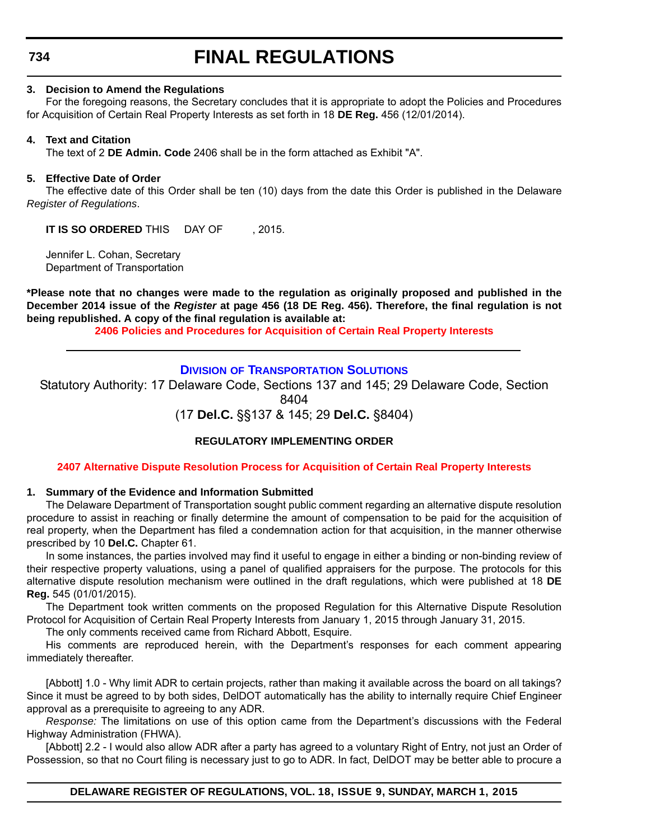**734**

# **FINAL REGULATIONS**

#### **3. Decision to Amend the Regulations**

For the foregoing reasons, the Secretary concludes that it is appropriate to adopt the Policies and Procedures for Acquisition of Certain Real Property Interests as set forth in 18 **DE Reg.** 456 (12/01/2014).

### **4. Text and Citation**

The text of 2 **DE Admin. Code** 2406 shall be in the form attached as Exhibit "A".

### **5. Effective Date of Order**

The effective date of this Order shall be ten (10) days from the date this Order is published in the Delaware *Register of Regulations*.

**IT IS SO ORDERED** THIS DAY OF . 2015.

Jennifer L. Cohan, Secretary Department of Transportation

**\*Please note that no changes were made to the regulation as originally proposed and published in the December 2014 issue of the** *Register* **at page 456 (18 DE Reg. 456). Therefore, the final regulation is not being republished. A copy of the final regulation is available at:**

**[2406 Policies and Procedures for Acquisition of Certain Real Property Interests](http://regulations.delaware.gov/register/march2015/final/18 DE Reg 733 03-01-15.htm)**

### **DIVISION [OF TRANSPORTATION SOLUTIONS](http://www.deldot.gov/home/divisions/)**

Statutory Authority: 17 Delaware Code, Sections 137 and 145; 29 Delaware Code, Section 8404

(17 **Del.C.** §§137 & 145; 29 **Del.C.** §8404)

### **REGULATORY IMPLEMENTING ORDER**

### **[2407 Alternative Dispute Resolution Process for Acquisition of Certain Real Property Interests](#page-4-0)**

### **1. Summary of the Evidence and Information Submitted**

The Delaware Department of Transportation sought public comment regarding an alternative dispute resolution procedure to assist in reaching or finally determine the amount of compensation to be paid for the acquisition of real property, when the Department has filed a condemnation action for that acquisition, in the manner otherwise prescribed by 10 **Del.C.** Chapter 61.

In some instances, the parties involved may find it useful to engage in either a binding or non-binding review of their respective property valuations, using a panel of qualified appraisers for the purpose. The protocols for this alternative dispute resolution mechanism were outlined in the draft regulations, which were published at 18 **DE Reg.** 545 (01/01/2015).

The Department took written comments on the proposed Regulation for this Alternative Dispute Resolution Protocol for Acquisition of Certain Real Property Interests from January 1, 2015 through January 31, 2015.

The only comments received came from Richard Abbott, Esquire.

His comments are reproduced herein, with the Department's responses for each comment appearing immediately thereafter.

[Abbott] 1.0 - Why limit ADR to certain projects, rather than making it available across the board on all takings? Since it must be agreed to by both sides, DelDOT automatically has the ability to internally require Chief Engineer approval as a prerequisite to agreeing to any ADR.

*Response:* The limitations on use of this option came from the Department's discussions with the Federal Highway Administration (FHWA).

[Abbott] 2.2 - I would also allow ADR after a party has agreed to a voluntary Right of Entry, not just an Order of Possession, so that no Court filing is necessary just to go to ADR. In fact, DelDOT may be better able to procure a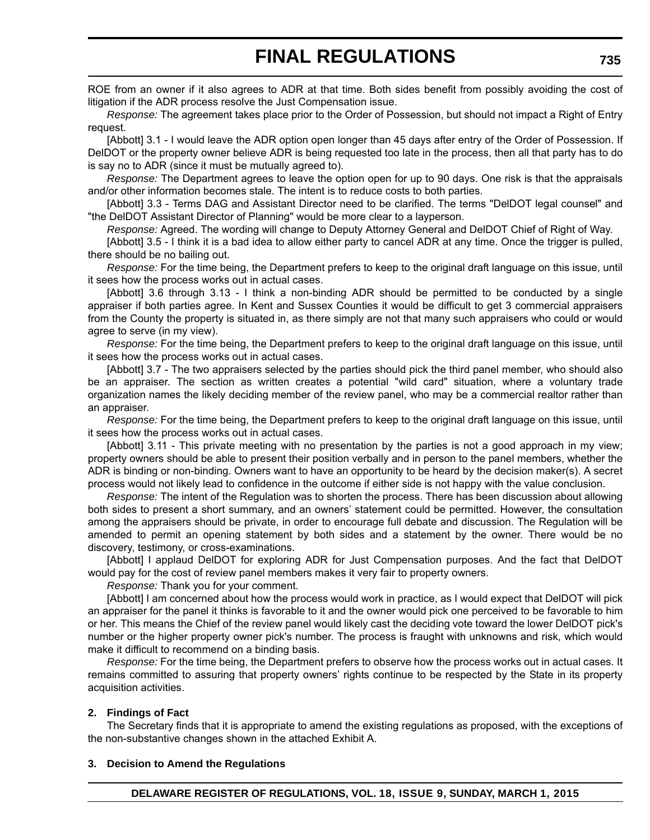ROE from an owner if it also agrees to ADR at that time. Both sides benefit from possibly avoiding the cost of litigation if the ADR process resolve the Just Compensation issue.

*Response:* The agreement takes place prior to the Order of Possession, but should not impact a Right of Entry request.

[Abbott] 3.1 - I would leave the ADR option open longer than 45 days after entry of the Order of Possession. If DelDOT or the property owner believe ADR is being requested too late in the process, then all that party has to do is say no to ADR (since it must be mutually agreed to).

*Response:* The Department agrees to leave the option open for up to 90 days. One risk is that the appraisals and/or other information becomes stale. The intent is to reduce costs to both parties.

[Abbott] 3.3 - Terms DAG and Assistant Director need to be clarified. The terms "DelDOT legal counsel" and "the DelDOT Assistant Director of Planning" would be more clear to a layperson.

*Response:* Agreed. The wording will change to Deputy Attorney General and DelDOT Chief of Right of Way.

[Abbott] 3.5 - I think it is a bad idea to allow either party to cancel ADR at any time. Once the trigger is pulled, there should be no bailing out.

*Response:* For the time being, the Department prefers to keep to the original draft language on this issue, until it sees how the process works out in actual cases.

[Abbott] 3.6 through 3.13 - I think a non-binding ADR should be permitted to be conducted by a single appraiser if both parties agree. In Kent and Sussex Counties it would be difficult to get 3 commercial appraisers from the County the property is situated in, as there simply are not that many such appraisers who could or would agree to serve (in my view).

*Response:* For the time being, the Department prefers to keep to the original draft language on this issue, until it sees how the process works out in actual cases.

[Abbott] 3.7 - The two appraisers selected by the parties should pick the third panel member, who should also be an appraiser. The section as written creates a potential "wild card" situation, where a voluntary trade organization names the likely deciding member of the review panel, who may be a commercial realtor rather than an appraiser.

*Response:* For the time being, the Department prefers to keep to the original draft language on this issue, until it sees how the process works out in actual cases.

[Abbott] 3.11 - This private meeting with no presentation by the parties is not a good approach in my view; property owners should be able to present their position verbally and in person to the panel members, whether the ADR is binding or non-binding. Owners want to have an opportunity to be heard by the decision maker(s). A secret process would not likely lead to confidence in the outcome if either side is not happy with the value conclusion.

*Response:* The intent of the Regulation was to shorten the process. There has been discussion about allowing both sides to present a short summary, and an owners' statement could be permitted. However, the consultation among the appraisers should be private, in order to encourage full debate and discussion. The Regulation will be amended to permit an opening statement by both sides and a statement by the owner. There would be no discovery, testimony, or cross-examinations.

[Abbott] I applaud DelDOT for exploring ADR for Just Compensation purposes. And the fact that DelDOT would pay for the cost of review panel members makes it very fair to property owners.

*Response:* Thank you for your comment.

[Abbott] I am concerned about how the process would work in practice, as I would expect that DelDOT will pick an appraiser for the panel it thinks is favorable to it and the owner would pick one perceived to be favorable to him or her. This means the Chief of the review panel would likely cast the deciding vote toward the lower DelDOT pick's number or the higher property owner pick's number. The process is fraught with unknowns and risk, which would make it difficult to recommend on a binding basis.

*Response:* For the time being, the Department prefers to observe how the process works out in actual cases. It remains committed to assuring that property owners' rights continue to be respected by the State in its property acquisition activities.

### **2. Findings of Fact**

The Secretary finds that it is appropriate to amend the existing regulations as proposed, with the exceptions of the non-substantive changes shown in the attached Exhibit A.

### **3. Decision to Amend the Regulations**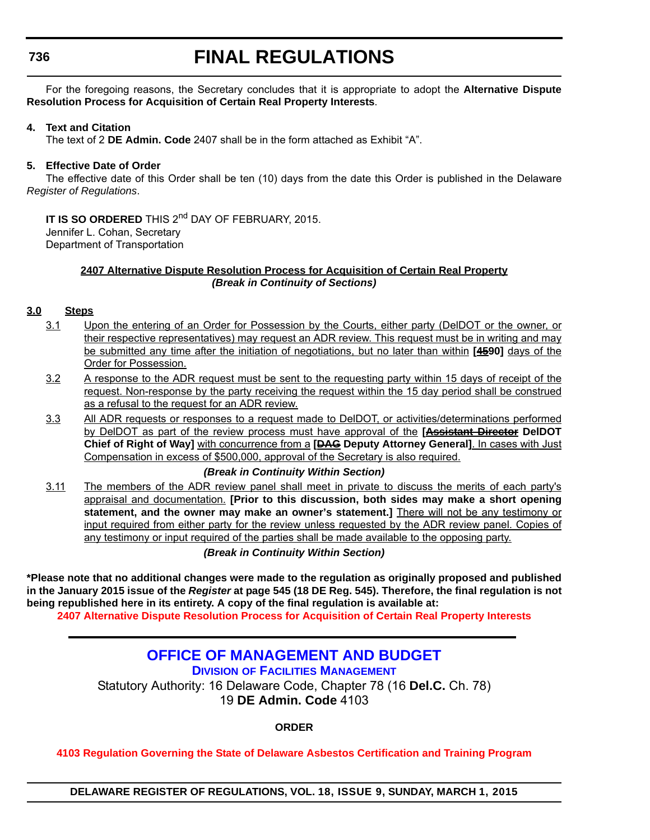# **FINAL REGULATIONS**

For the foregoing reasons, the Secretary concludes that it is appropriate to adopt the **Alternative Dispute Resolution Process for Acquisition of Certain Real Property Interests**.

### **4. Text and Citation**

The text of 2 **DE Admin. Code** 2407 shall be in the form attached as Exhibit "A".

### **5. Effective Date of Order**

The effective date of this Order shall be ten (10) days from the date this Order is published in the Delaware *Register of Regulations*.

### **IT IS SO ORDERED** THIS 2<sup>nd</sup> DAY OF FEBRUARY, 2015.

Jennifer L. Cohan, Secretary Department of Transportation

### **2407 Alternative Dispute Resolution Process for Acquisition of Certain Real Property** *(Break in Continuity of Sections)*

### **3.0 Steps**

- 3.1 Upon the entering of an Order for Possession by the Courts, either party (DelDOT or the owner, or their respective representatives) may request an ADR review. This request must be in writing and may be submitted any time after the initiation of negotiations, but no later than within **[4590]** days of the Order for Possession.
- 3.2 A response to the ADR request must be sent to the requesting party within 15 days of receipt of the request. Non-response by the party receiving the request within the 15 day period shall be construed as a refusal to the request for an ADR review.
- 3.3 All ADR requests or responses to a request made to DelDOT, or activities/determinations performed by DelDOT as part of the review process must have approval of the **[Assistant Director DelDOT Chief of Right of Way]** with concurrence from a **[DAG Deputy Attorney General]**. In cases with Just Compensation in excess of \$500,000, approval of the Secretary is also required.

### *(Break in Continuity Within Section)*

3.11 The members of the ADR review panel shall meet in private to discuss the merits of each party's appraisal and documentation. **[Prior to this discussion, both sides may make a short opening statement, and the owner may make an owner's statement.]** There will not be any testimony or input required from either party for the review unless requested by the ADR review panel. Copies of any testimony or input required of the parties shall be made available to the opposing party.

*(Break in Continuity Within Section)*

**\*Please note that no additional changes were made to the regulation as originally proposed and published in the January 2015 issue of the** *Register* **at page 545 (18 DE Reg. 545). Therefore, the final regulation is not being republished here in its entirety. A copy of the final regulation is available at:**

**[2407 Alternative Dispute Resolution Process for Acquisition of Certain Real Property Interests](http://regulations.delaware.gov/register/march2015/final/18 DE Reg 734 03-01-15.htm)**

## **[OFFICE OF MANAGEMENT AND BUDGET](http://dfm.delaware.gov/)**

**DIVISION OF FACILITIES MANAGEMENT**

Statutory Authority: 16 Delaware Code, Chapter 78 (16 **Del.C.** Ch. 78) 19 **DE Admin. Code** 4103

**ORDER**

**[4103 Regulation Governing the State of Delaware Asbestos Certification and Training Program](#page-4-0)**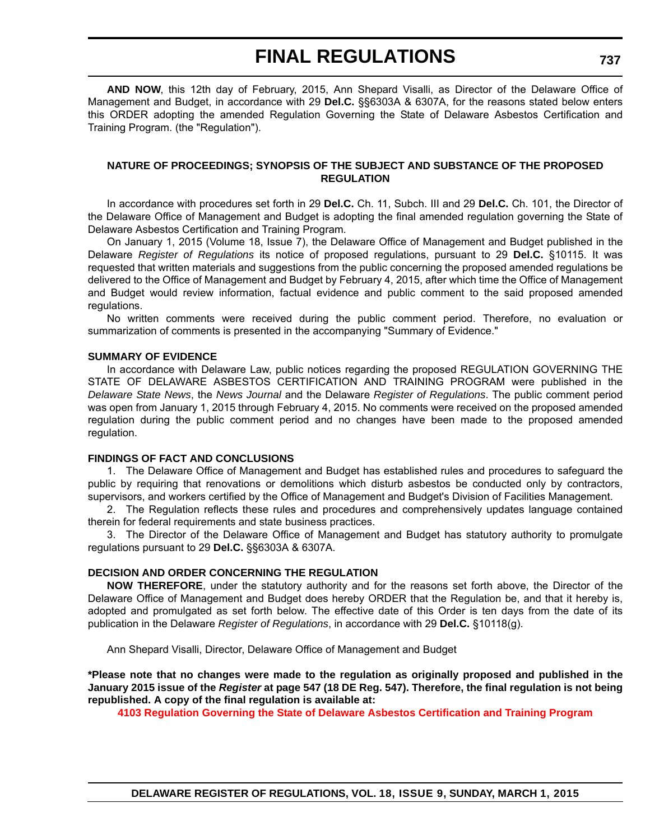# **FINAL REGULATIONS**

**AND NOW**, this 12th day of February, 2015, Ann Shepard Visalli, as Director of the Delaware Office of Management and Budget, in accordance with 29 **Del.C.** §§6303A & 6307A, for the reasons stated below enters this ORDER adopting the amended Regulation Governing the State of Delaware Asbestos Certification and Training Program. (the "Regulation").

### **NATURE OF PROCEEDINGS; SYNOPSIS OF THE SUBJECT AND SUBSTANCE OF THE PROPOSED REGULATION**

In accordance with procedures set forth in 29 **Del.C.** Ch. 11, Subch. III and 29 **Del.C.** Ch. 101, the Director of the Delaware Office of Management and Budget is adopting the final amended regulation governing the State of Delaware Asbestos Certification and Training Program.

On January 1, 2015 (Volume 18, Issue 7), the Delaware Office of Management and Budget published in the Delaware *Register of Regulations* its notice of proposed regulations, pursuant to 29 **Del.C.** §10115. It was requested that written materials and suggestions from the public concerning the proposed amended regulations be delivered to the Office of Management and Budget by February 4, 2015, after which time the Office of Management and Budget would review information, factual evidence and public comment to the said proposed amended regulations.

No written comments were received during the public comment period. Therefore, no evaluation or summarization of comments is presented in the accompanying "Summary of Evidence."

### **SUMMARY OF EVIDENCE**

In accordance with Delaware Law, public notices regarding the proposed REGULATION GOVERNING THE STATE OF DELAWARE ASBESTOS CERTIFICATION AND TRAINING PROGRAM were published in the *Delaware State News*, the *News Journal* and the Delaware *Register of Regulations*. The public comment period was open from January 1, 2015 through February 4, 2015. No comments were received on the proposed amended regulation during the public comment period and no changes have been made to the proposed amended regulation.

### **FINDINGS OF FACT AND CONCLUSIONS**

1. The Delaware Office of Management and Budget has established rules and procedures to safeguard the public by requiring that renovations or demolitions which disturb asbestos be conducted only by contractors, supervisors, and workers certified by the Office of Management and Budget's Division of Facilities Management.

2. The Regulation reflects these rules and procedures and comprehensively updates language contained therein for federal requirements and state business practices.

3. The Director of the Delaware Office of Management and Budget has statutory authority to promulgate regulations pursuant to 29 **Del.C.** §§6303A & 6307A.

### **DECISION AND ORDER CONCERNING THE REGULATION**

**NOW THEREFORE**, under the statutory authority and for the reasons set forth above, the Director of the Delaware Office of Management and Budget does hereby ORDER that the Regulation be, and that it hereby is, adopted and promulgated as set forth below. The effective date of this Order is ten days from the date of its publication in the Delaware *Register of Regulations*, in accordance with 29 **Del.C.** §10118(g).

Ann Shepard Visalli, Director, Delaware Office of Management and Budget

**\*Please note that no changes were made to the regulation as originally proposed and published in the January 2015 issue of the** *Register* **at page 547 (18 DE Reg. 547). Therefore, the final regulation is not being republished. A copy of the final regulation is available at:**

**[4103 Regulation Governing the State of Delaware Asbestos Certification and Training Program](http://regulations.delaware.gov/register/march2015/final/18 DE Reg 736 03-01-15.htm)**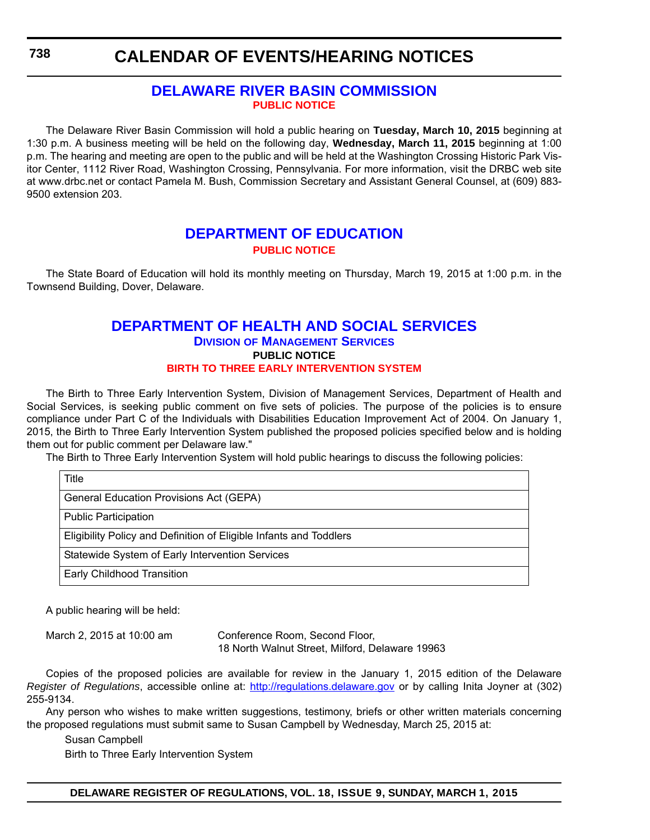### **[DELAWARE RIVER BASIN COMMISSION](http://www.state.nj.us/drbc/) [PUBLIC NOTICE](#page-4-0)**

The Delaware River Basin Commission will hold a public hearing on **Tuesday, March 10, 2015** beginning at 1:30 p.m. A business meeting will be held on the following day, **Wednesday, March 11, 2015** beginning at 1:00 p.m. The hearing and meeting are open to the public and will be held at the Washington Crossing Historic Park Visitor Center, 1112 River Road, Washington Crossing, Pennsylvania. For more information, visit the DRBC web site at www.drbc.net or contact Pamela M. Bush, Commission Secretary and Assistant General Counsel, at (609) 883- 9500 extension 203.

### **[DEPARTMENT OF EDUCATION](http://www.doe.k12.de.us/site/default.aspx?PageID=1) [PUBLIC NOTICE](#page-4-0)**

The State Board of Education will hold its monthly meeting on Thursday, March 19, 2015 at 1:00 p.m. in the Townsend Building, Dover, Delaware.

### **[DEPARTMENT OF HEALTH AND SOCIAL SERVICES](http://www.dhss.delaware.gov/dhss/dms/) DIVISION OF MANAGEMENT SERVICES PUBLIC NOTICE [BIRTH TO THREE EARLY INTERVENTION SYSTEM](#page-4-0)**

The Birth to Three Early Intervention System, Division of Management Services, Department of Health and Social Services, is seeking public comment on five sets of policies. The purpose of the policies is to ensure compliance under Part C of the Individuals with Disabilities Education Improvement Act of 2004. On January 1, 2015, the Birth to Three Early Intervention System published the proposed policies specified below and is holding them out for public comment per Delaware law."

The Birth to Three Early Intervention System will hold public hearings to discuss the following policies:

| Title                                                              |
|--------------------------------------------------------------------|
| <b>General Education Provisions Act (GEPA)</b>                     |
| <b>Public Participation</b>                                        |
| Eligibility Policy and Definition of Eligible Infants and Toddlers |
| Statewide System of Early Intervention Services                    |
| Early Childhood Transition                                         |

A public hearing will be held:

March 2, 2015 at 10:00 am Conference Room, Second Floor, 18 North Walnut Street, Milford, Delaware 19963

Copies of the proposed policies are available for review in the January 1, 2015 edition of the Delaware *Register of Regulations*, accessible online at: http://regulations.delaware.gov or by calling Inita Joyner at (302) 255-9134.

Any person who wishes to make written suggestions, testimony, briefs or other written materials concerning the proposed regulations must submit same to Susan Campbell by Wednesday, March 25, 2015 at:

Susan Campbell

Birth to Three Early Intervention System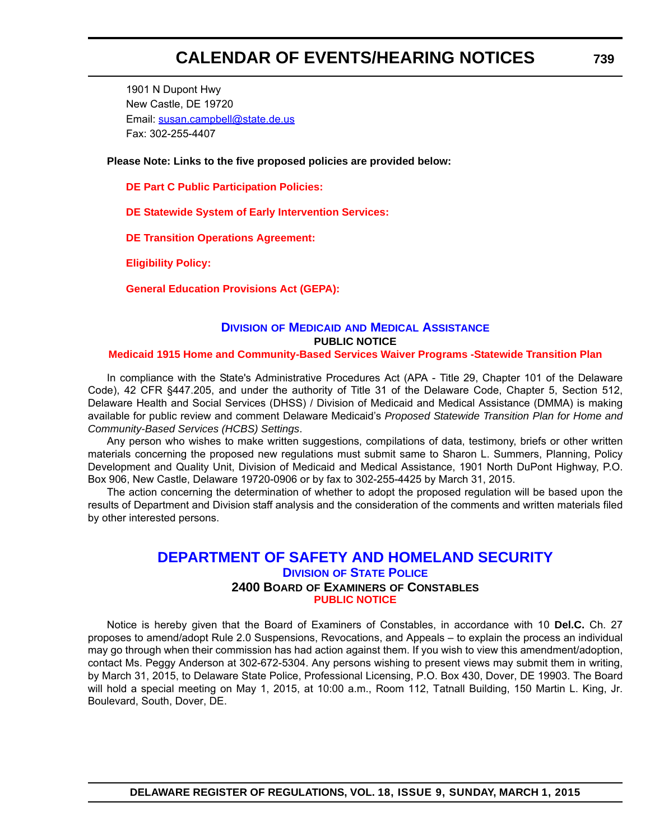1901 N Dupont Hwy New Castle, DE 19720 Email: susan.campbell@state.de.us Fax: 302-255-4407

**Please Note: Links to the five proposed policies are provided below:**

**[DE Part C Public Participation Policies:](http://regulations.delaware.gov/register/march2015/calendar/policy1.pdf)**

**[DE Statewide System of Early Intervention Services:](http://regulations.delaware.gov/register/march2015/calendar/policy2.pdf)**

**[DE Transition Operations Agreement:](http://regulations.delaware.gov/register/march2015/calendar/policy3.pdf)**

**[Eligibility Policy:](http://regulations.delaware.gov/register/march2015/calendar/policy4.pdf)**

**[General Education Provisions Act \(GEPA\):](http://regulations.delaware.gov/register/march2015/calendar/policy5.pdf)**

### **DIVISION OF MEDICAID [AND MEDICAL ASSISTANCE](http://www.dhss.delaware.gov/dhss/dmma/) PUBLIC NOTICE**

#### **[Medicaid 1915 Home and Community-Based Services Waiver Programs -Statewide Transition Plan](#page-4-0)**

In compliance with the State's Administrative Procedures Act (APA - Title 29, Chapter 101 of the Delaware Code), 42 CFR §447.205, and under the authority of Title 31 of the Delaware Code, Chapter 5, Section 512, Delaware Health and Social Services (DHSS) / Division of Medicaid and Medical Assistance (DMMA) is making available for public review and comment Delaware Medicaid's *Proposed Statewide Transition Plan for Home and Community-Based Services (HCBS) Settings*.

Any person who wishes to make written suggestions, compilations of data, testimony, briefs or other written materials concerning the proposed new regulations must submit same to Sharon L. Summers, Planning, Policy Development and Quality Unit, Division of Medicaid and Medical Assistance, 1901 North DuPont Highway, P.O. Box 906, New Castle, Delaware 19720-0906 or by fax to 302-255-4425 by March 31, 2015.

The action concerning the determination of whether to adopt the proposed regulation will be based upon the results of Department and Division staff analysis and the consideration of the comments and written materials filed by other interested persons.

### **[DEPARTMENT OF SAFETY AND HOMELAND SECURITY](http://dsp.delaware.gov/) DIVISION OF STATE POLICE 2400 BOARD OF EXAMINERS OF CONSTABLES [PUBLIC NOTICE](#page-4-0)**

Notice is hereby given that the Board of Examiners of Constables, in accordance with 10 **Del.C.** Ch. 27 proposes to amend/adopt Rule 2.0 Suspensions, Revocations, and Appeals – to explain the process an individual may go through when their commission has had action against them. If you wish to view this amendment/adoption, contact Ms. Peggy Anderson at 302-672-5304. Any persons wishing to present views may submit them in writing, by March 31, 2015, to Delaware State Police, Professional Licensing, P.O. Box 430, Dover, DE 19903. The Board will hold a special meeting on May 1, 2015, at 10:00 a.m., Room 112, Tatnall Building, 150 Martin L. King, Jr. Boulevard, South, Dover, DE.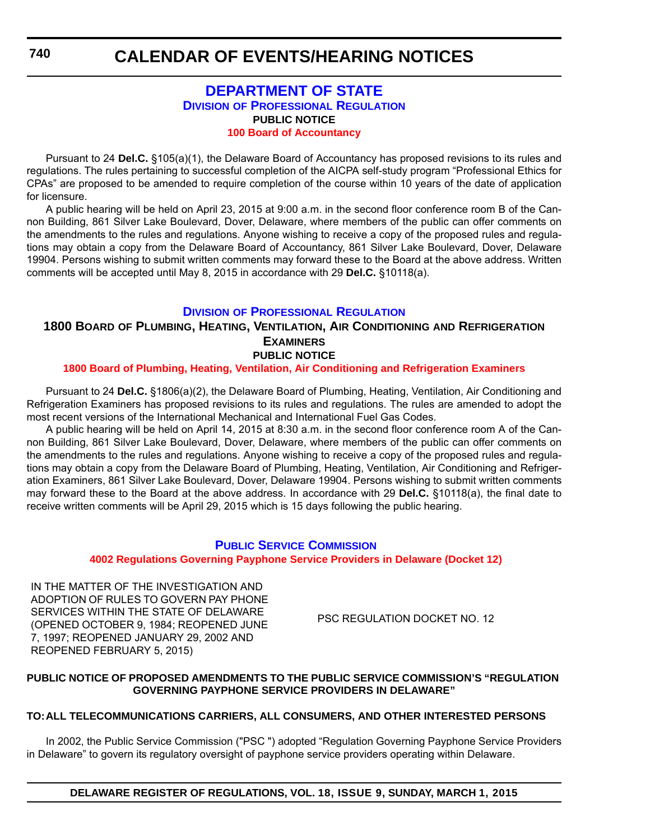### **[DEPARTMENT OF STATE](http://dpr.delaware.gov/) DIVISION OF PROFESSIONAL REGULATION PUBLIC NOTICE [100 Board of Accountancy](#page-4-0)**

Pursuant to 24 **Del.C.** §105(a)(1), the Delaware Board of Accountancy has proposed revisions to its rules and regulations. The rules pertaining to successful completion of the AICPA self-study program "Professional Ethics for CPAs" are proposed to be amended to require completion of the course within 10 years of the date of application for licensure.

A public hearing will be held on April 23, 2015 at 9:00 a.m. in the second floor conference room B of the Cannon Building, 861 Silver Lake Boulevard, Dover, Delaware, where members of the public can offer comments on the amendments to the rules and regulations. Anyone wishing to receive a copy of the proposed rules and regulations may obtain a copy from the Delaware Board of Accountancy, 861 Silver Lake Boulevard, Dover, Delaware 19904. Persons wishing to submit written comments may forward these to the Board at the above address. Written comments will be accepted until May 8, 2015 in accordance with 29 **Del.C.** §10118(a).

### **DIVISION [OF PROFESSIONAL REGULATION](http://dpr.delaware.gov/)**

### **1800 BOARD OF PLUMBING, HEATING, VENTILATION, AIR CONDITIONING AND REFRIGERATION EXAMINERS PUBLIC NOTICE**

### **[1800 Board of Plumbing, Heating, Ventilation, Air Conditioning and Refrigeration Examiners](#page-4-0)**

Pursuant to 24 **Del.C.** §1806(a)(2), the Delaware Board of Plumbing, Heating, Ventilation, Air Conditioning and Refrigeration Examiners has proposed revisions to its rules and regulations. The rules are amended to adopt the most recent versions of the International Mechanical and International Fuel Gas Codes.

A public hearing will be held on April 14, 2015 at 8:30 a.m. in the second floor conference room A of the Cannon Building, 861 Silver Lake Boulevard, Dover, Delaware, where members of the public can offer comments on the amendments to the rules and regulations. Anyone wishing to receive a copy of the proposed rules and regulations may obtain a copy from the Delaware Board of Plumbing, Heating, Ventilation, Air Conditioning and Refrigeration Examiners, 861 Silver Lake Boulevard, Dover, Delaware 19904. Persons wishing to submit written comments may forward these to the Board at the above address. In accordance with 29 **Del.C.** §10118(a), the final date to receive written comments will be April 29, 2015 which is 15 days following the public hearing.

### **PUBLIC SERVICE C[OMMISSION](http://depsc.delaware.gov/) 4002 Regulations Governing [Payphone Service Providers in Delaware \(Docket 12\)](#page-4-0)**

IN THE MATTER OF THE INVESTIGATION AND ADOPTION OF RULES TO GOVERN PAY PHONE SERVICES WITHIN THE STATE OF DELAWARE (OPENED OCTOBER 9, 1984; REOPENED JUNE 7, 1997; REOPENED JANUARY 29, 2002 AND REOPENED FEBRUARY 5, 2015)

PSC REGULATION DOCKET NO. 12

### **PUBLIC NOTICE OF PROPOSED AMENDMENTS TO THE PUBLIC SERVICE COMMISSION'S "REGULATION GOVERNING PAYPHONE SERVICE PROVIDERS IN DELAWARE"**

### **TO:ALL TELECOMMUNICATIONS CARRIERS, ALL CONSUMERS, AND OTHER INTERESTED PERSONS**

In 2002, the Public Service Commission ("PSC ") adopted "Regulation Governing Payphone Service Providers in Delaware" to govern its regulatory oversight of payphone service providers operating within Delaware.

**DELAWARE REGISTER OF REGULATIONS, VOL. 18, ISSUE 9, SUNDAY, MARCH 1, 2015**